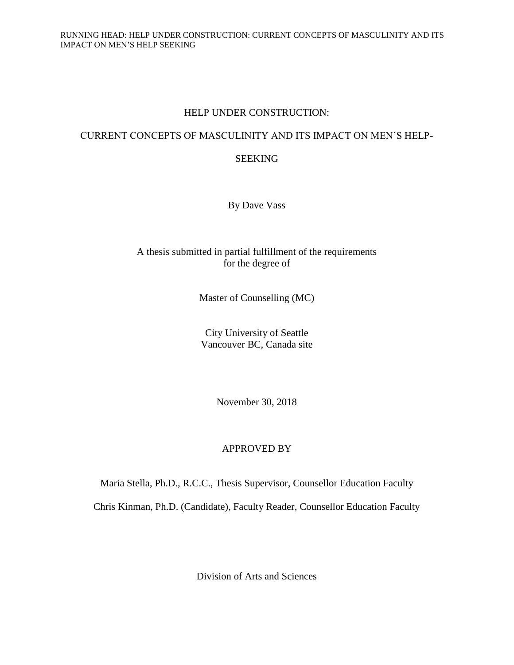## HELP UNDER CONSTRUCTION:

## CURRENT CONCEPTS OF MASCULINITY AND ITS IMPACT ON MEN'S HELP-

## SEEKING

By Dave Vass

## A thesis submitted in partial fulfillment of the requirements for the degree of

Master of Counselling (MC)

City University of Seattle Vancouver BC, Canada site

November 30, 2018

## APPROVED BY

Maria Stella, Ph.D., R.C.C., Thesis Supervisor, Counsellor Education Faculty

Chris Kinman, Ph.D. (Candidate), Faculty Reader, Counsellor Education Faculty

Division of Arts and Sciences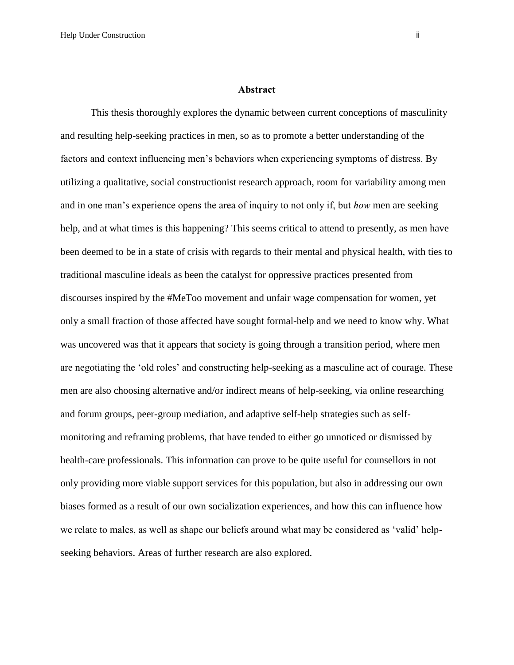#### **Abstract**

This thesis thoroughly explores the dynamic between current conceptions of masculinity and resulting help-seeking practices in men, so as to promote a better understanding of the factors and context influencing men's behaviors when experiencing symptoms of distress. By utilizing a qualitative, social constructionist research approach, room for variability among men and in one man's experience opens the area of inquiry to not only if, but *how* men are seeking help, and at what times is this happening? This seems critical to attend to presently, as men have been deemed to be in a state of crisis with regards to their mental and physical health, with ties to traditional masculine ideals as been the catalyst for oppressive practices presented from discourses inspired by the #MeToo movement and unfair wage compensation for women, yet only a small fraction of those affected have sought formal-help and we need to know why. What was uncovered was that it appears that society is going through a transition period, where men are negotiating the 'old roles' and constructing help-seeking as a masculine act of courage. These men are also choosing alternative and/or indirect means of help-seeking, via online researching and forum groups, peer-group mediation, and adaptive self-help strategies such as selfmonitoring and reframing problems, that have tended to either go unnoticed or dismissed by health-care professionals. This information can prove to be quite useful for counsellors in not only providing more viable support services for this population, but also in addressing our own biases formed as a result of our own socialization experiences, and how this can influence how we relate to males, as well as shape our beliefs around what may be considered as 'valid' helpseeking behaviors. Areas of further research are also explored.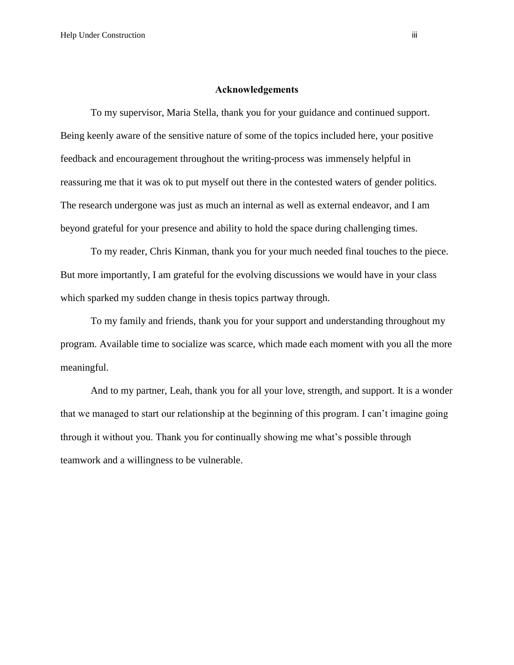#### **Acknowledgements**

To my supervisor, Maria Stella, thank you for your guidance and continued support. Being keenly aware of the sensitive nature of some of the topics included here, your positive feedback and encouragement throughout the writing-process was immensely helpful in reassuring me that it was ok to put myself out there in the contested waters of gender politics. The research undergone was just as much an internal as well as external endeavor, and I am beyond grateful for your presence and ability to hold the space during challenging times.

To my reader, Chris Kinman, thank you for your much needed final touches to the piece. But more importantly, I am grateful for the evolving discussions we would have in your class which sparked my sudden change in thesis topics partway through.

To my family and friends, thank you for your support and understanding throughout my program. Available time to socialize was scarce, which made each moment with you all the more meaningful.

And to my partner, Leah, thank you for all your love, strength, and support. It is a wonder that we managed to start our relationship at the beginning of this program. I can't imagine going through it without you. Thank you for continually showing me what's possible through teamwork and a willingness to be vulnerable.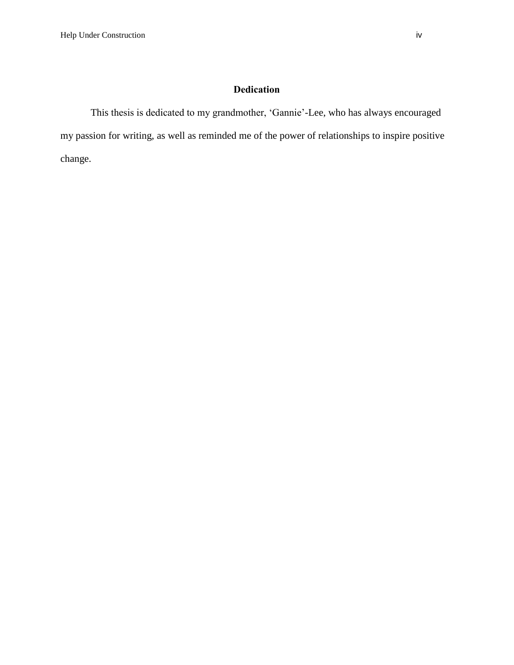# **Dedication**

This thesis is dedicated to my grandmother, 'Gannie'-Lee, who has always encouraged my passion for writing, as well as reminded me of the power of relationships to inspire positive change.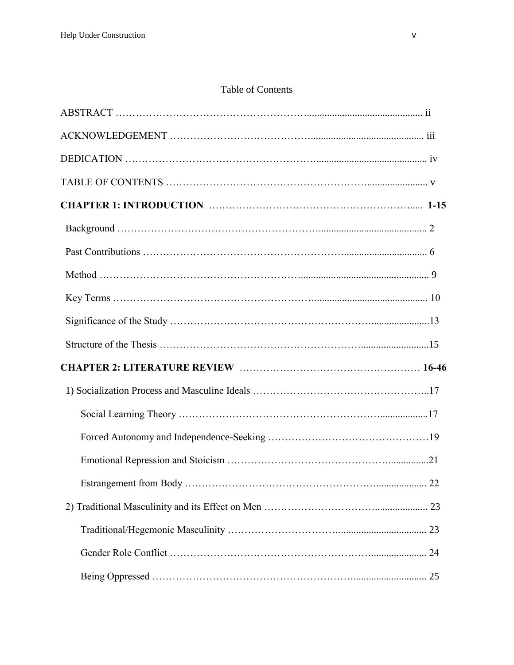# Table of Contents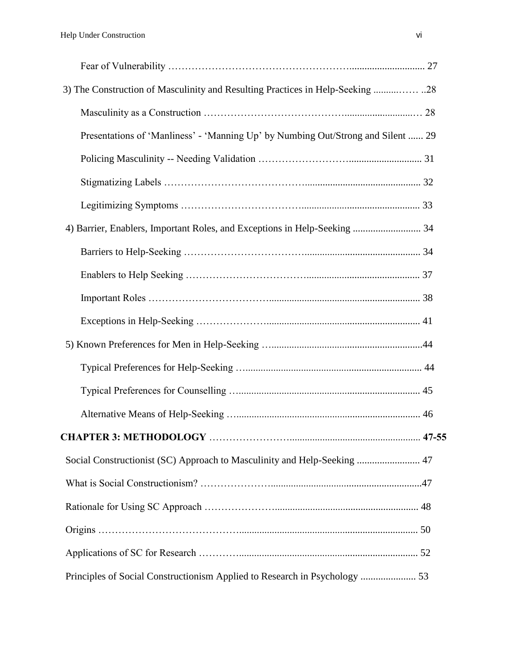| 3) The Construction of Masculinity and Resulting Practices in Help-Seeking 28    |  |
|----------------------------------------------------------------------------------|--|
|                                                                                  |  |
| Presentations of 'Manliness' - 'Manning Up' by Numbing Out/Strong and Silent  29 |  |
|                                                                                  |  |
|                                                                                  |  |
|                                                                                  |  |
| 4) Barrier, Enablers, Important Roles, and Exceptions in Help-Seeking  34        |  |
|                                                                                  |  |
|                                                                                  |  |
|                                                                                  |  |
|                                                                                  |  |
|                                                                                  |  |
|                                                                                  |  |
|                                                                                  |  |
|                                                                                  |  |
|                                                                                  |  |
| Social Constructionist (SC) Approach to Masculinity and Help-Seeking  47         |  |
|                                                                                  |  |
|                                                                                  |  |
|                                                                                  |  |
|                                                                                  |  |
| Principles of Social Constructionism Applied to Research in Psychology  53       |  |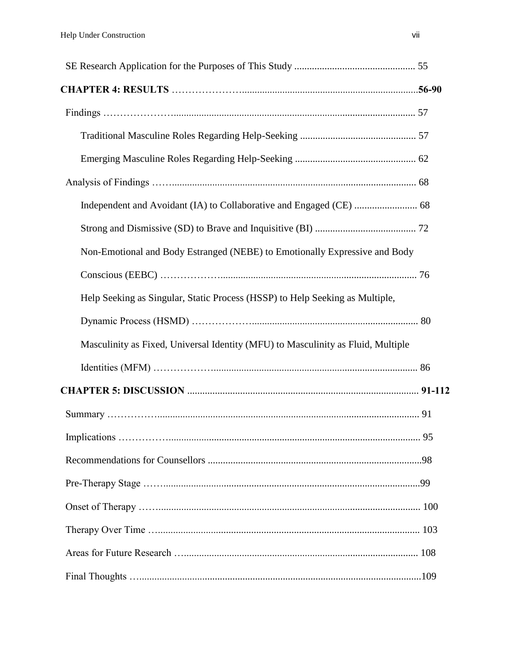| Non-Emotional and Body Estranged (NEBE) to Emotionally Expressive and Body       |    |
|----------------------------------------------------------------------------------|----|
|                                                                                  |    |
| Help Seeking as Singular, Static Process (HSSP) to Help Seeking as Multiple,     |    |
|                                                                                  |    |
| Masculinity as Fixed, Universal Identity (MFU) to Masculinity as Fluid, Multiple |    |
|                                                                                  |    |
|                                                                                  |    |
|                                                                                  |    |
|                                                                                  | 95 |
|                                                                                  |    |
|                                                                                  |    |
|                                                                                  |    |
|                                                                                  |    |
|                                                                                  |    |
|                                                                                  |    |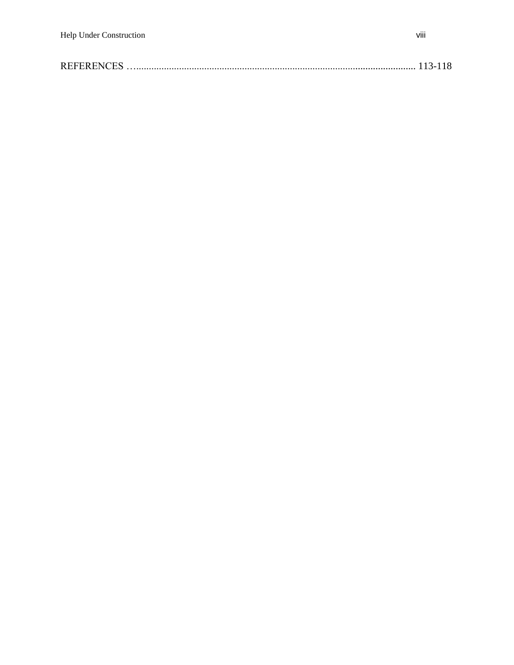| <b>REFERENCES</b> |  |  |  |
|-------------------|--|--|--|
|-------------------|--|--|--|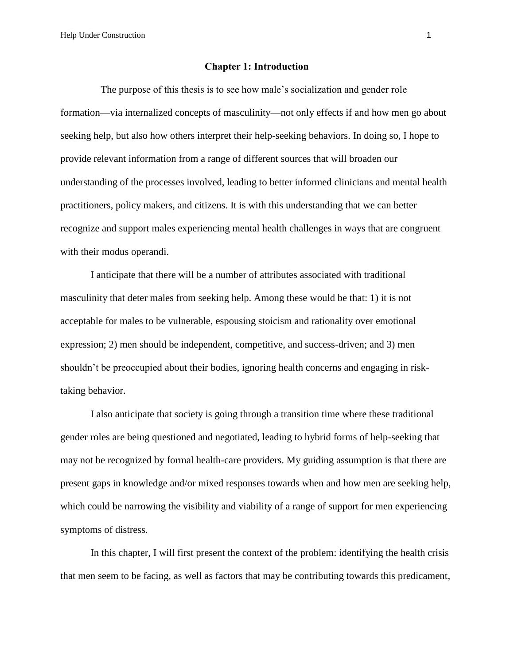Help Under Construction 1

#### **Chapter 1: Introduction**

The purpose of this thesis is to see how male's socialization and gender role formation—via internalized concepts of masculinity—not only effects if and how men go about seeking help, but also how others interpret their help-seeking behaviors. In doing so, I hope to provide relevant information from a range of different sources that will broaden our understanding of the processes involved, leading to better informed clinicians and mental health practitioners, policy makers, and citizens. It is with this understanding that we can better recognize and support males experiencing mental health challenges in ways that are congruent with their modus operandi.

I anticipate that there will be a number of attributes associated with traditional masculinity that deter males from seeking help. Among these would be that: 1) it is not acceptable for males to be vulnerable, espousing stoicism and rationality over emotional expression; 2) men should be independent, competitive, and success-driven; and 3) men shouldn't be preoccupied about their bodies, ignoring health concerns and engaging in risktaking behavior.

I also anticipate that society is going through a transition time where these traditional gender roles are being questioned and negotiated, leading to hybrid forms of help-seeking that may not be recognized by formal health-care providers. My guiding assumption is that there are present gaps in knowledge and/or mixed responses towards when and how men are seeking help, which could be narrowing the visibility and viability of a range of support for men experiencing symptoms of distress.

In this chapter, I will first present the context of the problem: identifying the health crisis that men seem to be facing, as well as factors that may be contributing towards this predicament,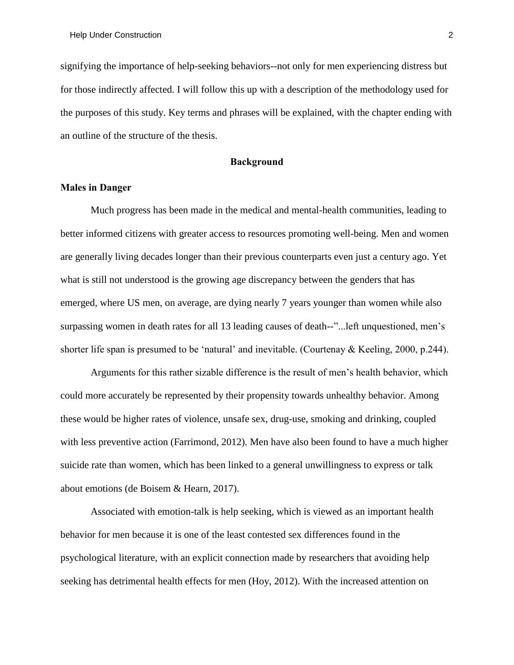signifying the importance of help-seeking behaviors--not only for men experiencing distress but for those indirectly affected. I will follow this up with a description of the methodology used for the purposes of this study. Key terms and phrases will be explained, with the chapter ending with an outline of the structure of the thesis.

#### **Background**

#### **Males in Danger**

Much progress has been made in the medical and mental-health communities, leading to better informed citizens with greater access to resources promoting well-being. Men and women are generally living decades longer than their previous counterparts even just a century ago. Yet what is still not understood is the growing age discrepancy between the genders that has emerged, where US men, on average, are dying nearly 7 years younger than women while also surpassing women in death rates for all 13 leading causes of death--"...left unquestioned, men's shorter life span is presumed to be 'natural' and inevitable. (Courtenay & Keeling, 2000, p.244).

Arguments for this rather sizable difference is the result of men's health behavior, which could more accurately be represented by their propensity towards unhealthy behavior. Among these would be higher rates of violence, unsafe sex, drug-use, smoking and drinking, coupled with less preventive action (Farrimond, 2012). Men have also been found to have a much higher suicide rate than women, which has been linked to a general unwillingness to express or talk about emotions (de Boisem & Hearn, 2017).

Associated with emotion-talk is help seeking, which is viewed as an important health behavior for men because it is one of the least contested sex differences found in the psychological literature, with an explicit connection made by researchers that avoiding help seeking has detrimental health effects for men (Hoy, 2012). With the increased attention on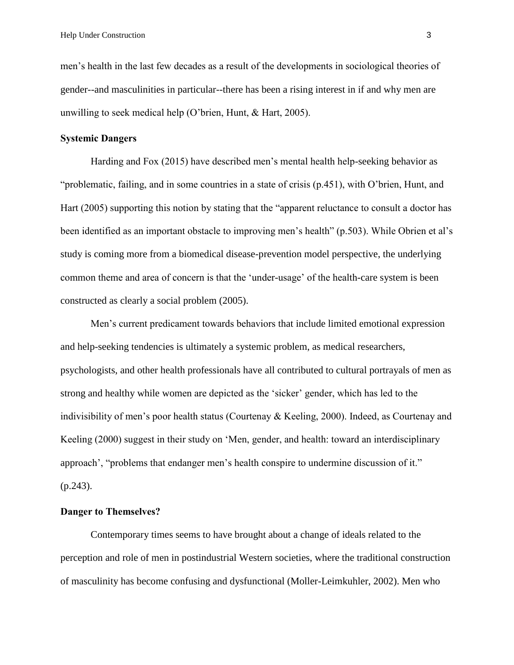men's health in the last few decades as a result of the developments in sociological theories of gender--and masculinities in particular--there has been a rising interest in if and why men are unwilling to seek medical help (O'brien, Hunt, & Hart, 2005).

## **Systemic Dangers**

Harding and Fox (2015) have described men's mental health help-seeking behavior as "problematic, failing, and in some countries in a state of crisis (p.451), with O'brien, Hunt, and Hart (2005) supporting this notion by stating that the "apparent reluctance to consult a doctor has been identified as an important obstacle to improving men's health" (p.503). While Obrien et al's study is coming more from a biomedical disease-prevention model perspective, the underlying common theme and area of concern is that the 'under-usage' of the health-care system is been constructed as clearly a social problem (2005).

Men's current predicament towards behaviors that include limited emotional expression and help-seeking tendencies is ultimately a systemic problem, as medical researchers, psychologists, and other health professionals have all contributed to cultural portrayals of men as strong and healthy while women are depicted as the 'sicker' gender, which has led to the indivisibility of men's poor health status (Courtenay & Keeling, 2000). Indeed, as Courtenay and Keeling (2000) suggest in their study on 'Men, gender, and health: toward an interdisciplinary approach', "problems that endanger men's health conspire to undermine discussion of it." (p.243).

## **Danger to Themselves?**

Contemporary times seems to have brought about a change of ideals related to the perception and role of men in postindustrial Western societies, where the traditional construction of masculinity has become confusing and dysfunctional (Moller-Leimkuhler, 2002). Men who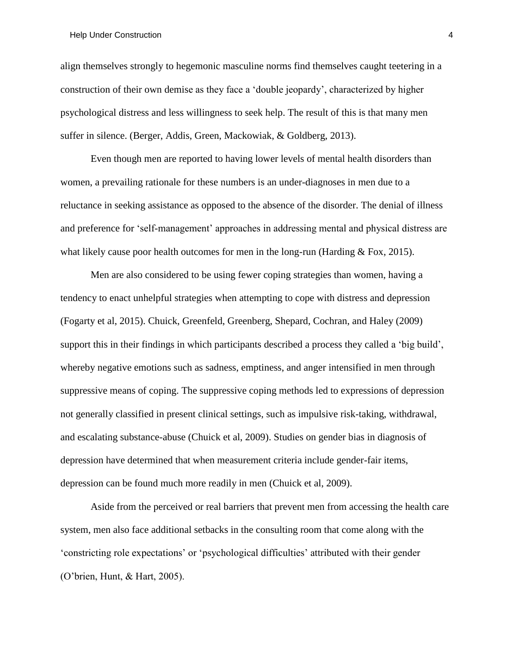#### Help Under Construction 4

align themselves strongly to hegemonic masculine norms find themselves caught teetering in a construction of their own demise as they face a 'double jeopardy', characterized by higher psychological distress and less willingness to seek help. The result of this is that many men suffer in silence. (Berger, Addis, Green, Mackowiak, & Goldberg, 2013).

Even though men are reported to having lower levels of mental health disorders than women, a prevailing rationale for these numbers is an under-diagnoses in men due to a reluctance in seeking assistance as opposed to the absence of the disorder. The denial of illness and preference for 'self-management' approaches in addressing mental and physical distress are what likely cause poor health outcomes for men in the long-run (Harding  $& Fox, 2015$ ).

Men are also considered to be using fewer coping strategies than women, having a tendency to enact unhelpful strategies when attempting to cope with distress and depression (Fogarty et al, 2015). Chuick, Greenfeld, Greenberg, Shepard, Cochran, and Haley (2009) support this in their findings in which participants described a process they called a 'big build', whereby negative emotions such as sadness, emptiness, and anger intensified in men through suppressive means of coping. The suppressive coping methods led to expressions of depression not generally classified in present clinical settings, such as impulsive risk-taking, withdrawal, and escalating substance-abuse (Chuick et al, 2009). Studies on gender bias in diagnosis of depression have determined that when measurement criteria include gender-fair items, depression can be found much more readily in men (Chuick et al, 2009).

Aside from the perceived or real barriers that prevent men from accessing the health care system, men also face additional setbacks in the consulting room that come along with the 'constricting role expectations' or 'psychological difficulties' attributed with their gender (O'brien, Hunt, & Hart, 2005).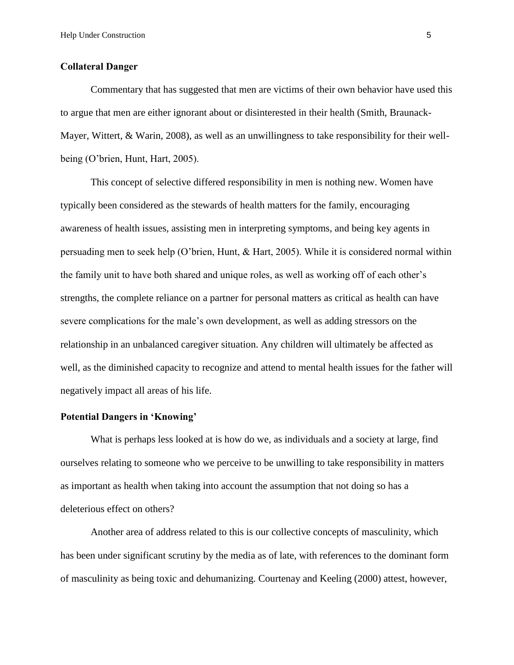### **Collateral Danger**

Commentary that has suggested that men are victims of their own behavior have used this to argue that men are either ignorant about or disinterested in their health (Smith, Braunack-Mayer, Wittert, & Warin, 2008), as well as an unwillingness to take responsibility for their wellbeing (O'brien, Hunt, Hart, 2005).

This concept of selective differed responsibility in men is nothing new. Women have typically been considered as the stewards of health matters for the family, encouraging awareness of health issues, assisting men in interpreting symptoms, and being key agents in persuading men to seek help (O'brien, Hunt, & Hart, 2005). While it is considered normal within the family unit to have both shared and unique roles, as well as working off of each other's strengths, the complete reliance on a partner for personal matters as critical as health can have severe complications for the male's own development, as well as adding stressors on the relationship in an unbalanced caregiver situation. Any children will ultimately be affected as well, as the diminished capacity to recognize and attend to mental health issues for the father will negatively impact all areas of his life.

#### **Potential Dangers in 'Knowing'**

What is perhaps less looked at is how do we, as individuals and a society at large, find ourselves relating to someone who we perceive to be unwilling to take responsibility in matters as important as health when taking into account the assumption that not doing so has a deleterious effect on others?

Another area of address related to this is our collective concepts of masculinity, which has been under significant scrutiny by the media as of late, with references to the dominant form of masculinity as being toxic and dehumanizing. Courtenay and Keeling (2000) attest, however,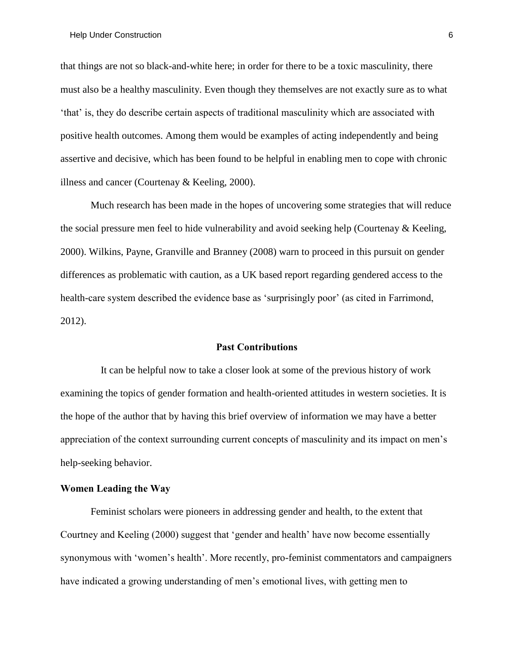that things are not so black-and-white here; in order for there to be a toxic masculinity, there must also be a healthy masculinity. Even though they themselves are not exactly sure as to what 'that' is, they do describe certain aspects of traditional masculinity which are associated with positive health outcomes. Among them would be examples of acting independently and being assertive and decisive, which has been found to be helpful in enabling men to cope with chronic illness and cancer (Courtenay & Keeling, 2000).

Much research has been made in the hopes of uncovering some strategies that will reduce the social pressure men feel to hide vulnerability and avoid seeking help (Courtenay & Keeling, 2000). Wilkins, Payne, Granville and Branney (2008) warn to proceed in this pursuit on gender differences as problematic with caution, as a UK based report regarding gendered access to the health-care system described the evidence base as 'surprisingly poor' (as cited in Farrimond, 2012).

#### **Past Contributions**

It can be helpful now to take a closer look at some of the previous history of work examining the topics of gender formation and health-oriented attitudes in western societies. It is the hope of the author that by having this brief overview of information we may have a better appreciation of the context surrounding current concepts of masculinity and its impact on men's help-seeking behavior.

#### **Women Leading the Way**

Feminist scholars were pioneers in addressing gender and health, to the extent that Courtney and Keeling (2000) suggest that 'gender and health' have now become essentially synonymous with 'women's health'. More recently, pro-feminist commentators and campaigners have indicated a growing understanding of men's emotional lives, with getting men to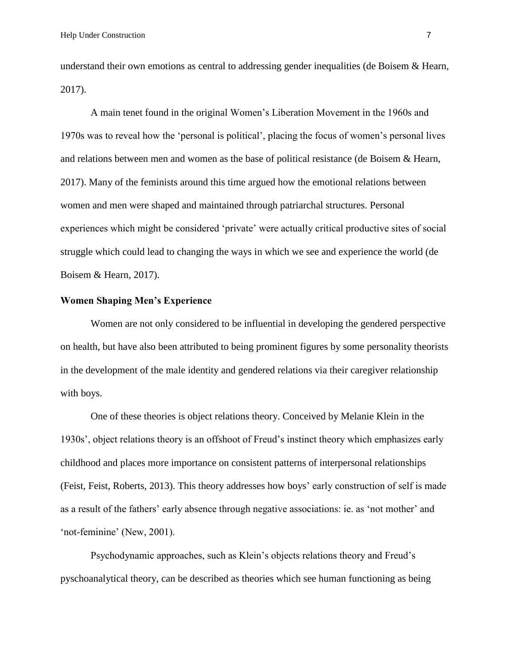understand their own emotions as central to addressing gender inequalities (de Boisem & Hearn, 2017).

A main tenet found in the original Women's Liberation Movement in the 1960s and 1970s was to reveal how the 'personal is political', placing the focus of women's personal lives and relations between men and women as the base of political resistance (de Boisem & Hearn, 2017). Many of the feminists around this time argued how the emotional relations between women and men were shaped and maintained through patriarchal structures. Personal experiences which might be considered 'private' were actually critical productive sites of social struggle which could lead to changing the ways in which we see and experience the world (de Boisem & Hearn, 2017).

## **Women Shaping Men's Experience**

Women are not only considered to be influential in developing the gendered perspective on health, but have also been attributed to being prominent figures by some personality theorists in the development of the male identity and gendered relations via their caregiver relationship with boys.

One of these theories is object relations theory. Conceived by Melanie Klein in the 1930s', object relations theory is an offshoot of Freud's instinct theory which emphasizes early childhood and places more importance on consistent patterns of interpersonal relationships (Feist, Feist, Roberts, 2013). This theory addresses how boys' early construction of self is made as a result of the fathers' early absence through negative associations: ie. as 'not mother' and 'not-feminine' (New, 2001).

Psychodynamic approaches, such as Klein's objects relations theory and Freud's pyschoanalytical theory, can be described as theories which see human functioning as being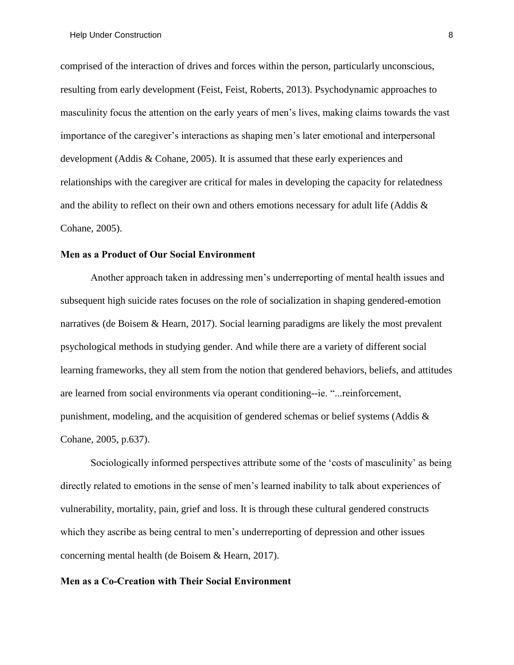comprised of the interaction of drives and forces within the person, particularly unconscious, resulting from early development (Feist, Feist, Roberts, 2013). Psychodynamic approaches to masculinity focus the attention on the early years of men's lives, making claims towards the vast importance of the caregiver's interactions as shaping men's later emotional and interpersonal development (Addis & Cohane, 2005). It is assumed that these early experiences and relationships with the caregiver are critical for males in developing the capacity for relatedness and the ability to reflect on their own and others emotions necessary for adult life (Addis  $\&$ Cohane, 2005).

## **Men as a Product of Our Social Environment**

Another approach taken in addressing men's underreporting of mental health issues and subsequent high suicide rates focuses on the role of socialization in shaping gendered-emotion narratives (de Boisem & Hearn, 2017). Social learning paradigms are likely the most prevalent psychological methods in studying gender. And while there are a variety of different social learning frameworks, they all stem from the notion that gendered behaviors, beliefs, and attitudes are learned from social environments via operant conditioning--ie. "...reinforcement, punishment, modeling, and the acquisition of gendered schemas or belief systems (Addis  $\&$ Cohane, 2005, p.637).

Sociologically informed perspectives attribute some of the 'costs of masculinity' as being directly related to emotions in the sense of men's learned inability to talk about experiences of vulnerability, mortality, pain, grief and loss. It is through these cultural gendered constructs which they ascribe as being central to men's underreporting of depression and other issues concerning mental health (de Boisem & Hearn, 2017).

## **Men as a Co-Creation with Their Social Environment**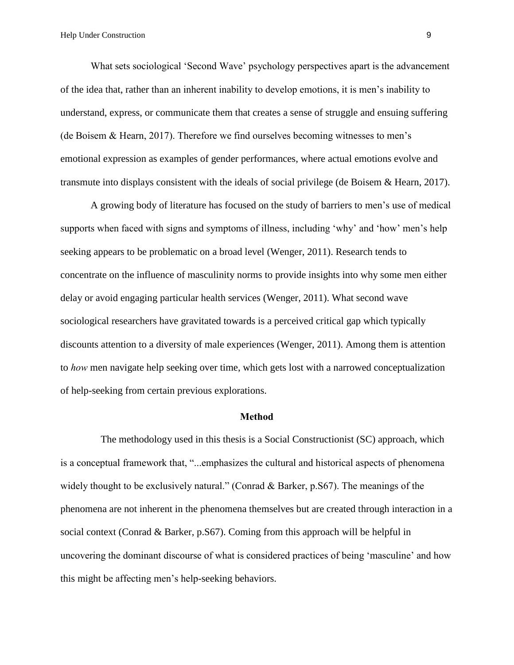What sets sociological 'Second Wave' psychology perspectives apart is the advancement of the idea that, rather than an inherent inability to develop emotions, it is men's inability to understand, express, or communicate them that creates a sense of struggle and ensuing suffering (de Boisem & Hearn, 2017). Therefore we find ourselves becoming witnesses to men's emotional expression as examples of gender performances, where actual emotions evolve and transmute into displays consistent with the ideals of social privilege (de Boisem & Hearn, 2017).

A growing body of literature has focused on the study of barriers to men's use of medical supports when faced with signs and symptoms of illness, including 'why' and 'how' men's help seeking appears to be problematic on a broad level (Wenger, 2011). Research tends to concentrate on the influence of masculinity norms to provide insights into why some men either delay or avoid engaging particular health services (Wenger, 2011). What second wave sociological researchers have gravitated towards is a perceived critical gap which typically discounts attention to a diversity of male experiences (Wenger, 2011). Among them is attention to *how* men navigate help seeking over time, which gets lost with a narrowed conceptualization of help-seeking from certain previous explorations.

#### **Method**

The methodology used in this thesis is a Social Constructionist (SC) approach, which is a conceptual framework that, "...emphasizes the cultural and historical aspects of phenomena widely thought to be exclusively natural." (Conrad & Barker, p. S67). The meanings of the phenomena are not inherent in the phenomena themselves but are created through interaction in a social context (Conrad & Barker, p.S67). Coming from this approach will be helpful in uncovering the dominant discourse of what is considered practices of being 'masculine' and how this might be affecting men's help-seeking behaviors.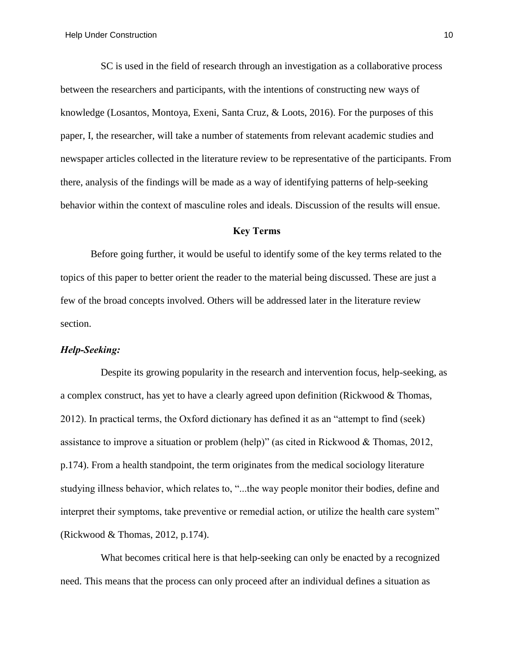SC is used in the field of research through an investigation as a collaborative process between the researchers and participants, with the intentions of constructing new ways of knowledge (Losantos, Montoya, Exeni, Santa Cruz, & Loots, 2016). For the purposes of this paper, I, the researcher, will take a number of statements from relevant academic studies and newspaper articles collected in the literature review to be representative of the participants. From there, analysis of the findings will be made as a way of identifying patterns of help-seeking behavior within the context of masculine roles and ideals. Discussion of the results will ensue.

## **Key Terms**

Before going further, it would be useful to identify some of the key terms related to the topics of this paper to better orient the reader to the material being discussed. These are just a few of the broad concepts involved. Others will be addressed later in the literature review section.

#### *Help-Seeking:*

Despite its growing popularity in the research and intervention focus, help-seeking, as a complex construct, has yet to have a clearly agreed upon definition (Rickwood & Thomas, 2012). In practical terms, the Oxford dictionary has defined it as an "attempt to find (seek) assistance to improve a situation or problem (help)" (as cited in Rickwood & Thomas, 2012, p.174). From a health standpoint, the term originates from the medical sociology literature studying illness behavior, which relates to, "...the way people monitor their bodies, define and interpret their symptoms, take preventive or remedial action, or utilize the health care system" (Rickwood & Thomas, 2012, p.174).

What becomes critical here is that help-seeking can only be enacted by a recognized need. This means that the process can only proceed after an individual defines a situation as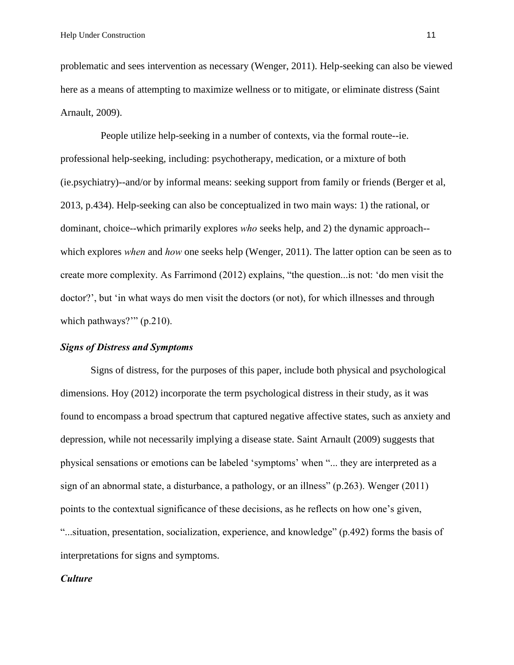problematic and sees intervention as necessary (Wenger, 2011). Help-seeking can also be viewed here as a means of attempting to maximize wellness or to mitigate, or eliminate distress (Saint Arnault, 2009).

People utilize help-seeking in a number of contexts, via the formal route--ie. professional help-seeking, including: psychotherapy, medication, or a mixture of both (ie.psychiatry)--and/or by informal means: seeking support from family or friends (Berger et al, 2013, p.434). Help-seeking can also be conceptualized in two main ways: 1) the rational, or dominant, choice--which primarily explores *who* seeks help, and 2) the dynamic approach- which explores *when* and *how* one seeks help (Wenger, 2011). The latter option can be seen as to create more complexity. As Farrimond (2012) explains, "the question...is not: 'do men visit the doctor?', but 'in what ways do men visit the doctors (or not), for which illnesses and through which pathways?"" (p.210).

#### *Signs of Distress and Symptoms*

Signs of distress, for the purposes of this paper, include both physical and psychological dimensions. Hoy (2012) incorporate the term psychological distress in their study, as it was found to encompass a broad spectrum that captured negative affective states, such as anxiety and depression, while not necessarily implying a disease state. Saint Arnault (2009) suggests that physical sensations or emotions can be labeled 'symptoms' when "... they are interpreted as a sign of an abnormal state, a disturbance, a pathology, or an illness" (p.263). Wenger (2011) points to the contextual significance of these decisions, as he reflects on how one's given, "...situation, presentation, socialization, experience, and knowledge" (p.492) forms the basis of interpretations for signs and symptoms.

#### *Culture*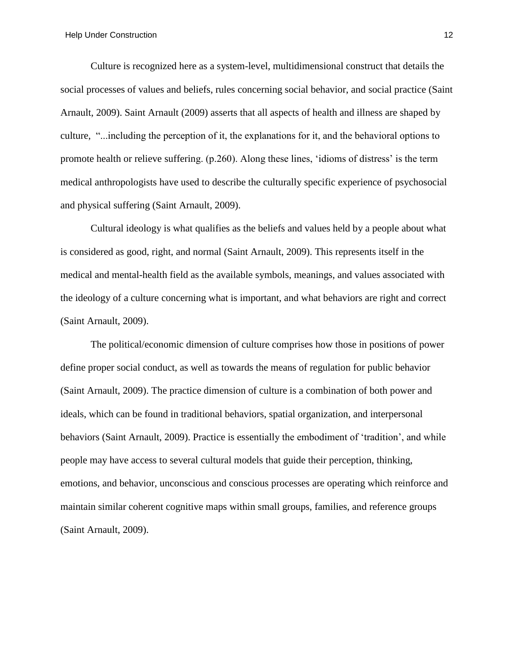Culture is recognized here as a system-level, multidimensional construct that details the social processes of values and beliefs, rules concerning social behavior, and social practice (Saint Arnault, 2009). Saint Arnault (2009) asserts that all aspects of health and illness are shaped by culture, "...including the perception of it, the explanations for it, and the behavioral options to promote health or relieve suffering. (p.260). Along these lines, 'idioms of distress' is the term medical anthropologists have used to describe the culturally specific experience of psychosocial and physical suffering (Saint Arnault, 2009).

Cultural ideology is what qualifies as the beliefs and values held by a people about what is considered as good, right, and normal (Saint Arnault, 2009). This represents itself in the medical and mental-health field as the available symbols, meanings, and values associated with the ideology of a culture concerning what is important, and what behaviors are right and correct (Saint Arnault, 2009).

The political/economic dimension of culture comprises how those in positions of power define proper social conduct, as well as towards the means of regulation for public behavior (Saint Arnault, 2009). The practice dimension of culture is a combination of both power and ideals, which can be found in traditional behaviors, spatial organization, and interpersonal behaviors (Saint Arnault, 2009). Practice is essentially the embodiment of 'tradition', and while people may have access to several cultural models that guide their perception, thinking, emotions, and behavior, unconscious and conscious processes are operating which reinforce and maintain similar coherent cognitive maps within small groups, families, and reference groups (Saint Arnault, 2009).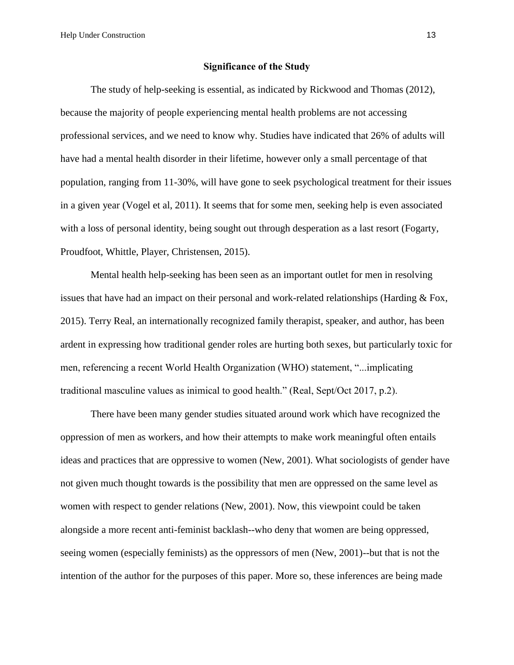Help Under Construction 13

#### **Significance of the Study**

The study of help-seeking is essential, as indicated by Rickwood and Thomas (2012), because the majority of people experiencing mental health problems are not accessing professional services, and we need to know why. Studies have indicated that 26% of adults will have had a mental health disorder in their lifetime, however only a small percentage of that population, ranging from 11-30%, will have gone to seek psychological treatment for their issues in a given year (Vogel et al, 2011). It seems that for some men, seeking help is even associated with a loss of personal identity, being sought out through desperation as a last resort (Fogarty, Proudfoot, Whittle, Player, Christensen, 2015).

Mental health help-seeking has been seen as an important outlet for men in resolving issues that have had an impact on their personal and work-related relationships (Harding & Fox, 2015). Terry Real, an internationally recognized family therapist, speaker, and author, has been ardent in expressing how traditional gender roles are hurting both sexes, but particularly toxic for men, referencing a recent World Health Organization (WHO) statement, "...implicating traditional masculine values as inimical to good health." (Real, Sept/Oct 2017, p.2).

There have been many gender studies situated around work which have recognized the oppression of men as workers, and how their attempts to make work meaningful often entails ideas and practices that are oppressive to women (New, 2001). What sociologists of gender have not given much thought towards is the possibility that men are oppressed on the same level as women with respect to gender relations (New, 2001). Now, this viewpoint could be taken alongside a more recent anti-feminist backlash--who deny that women are being oppressed, seeing women (especially feminists) as the oppressors of men (New, 2001)--but that is not the intention of the author for the purposes of this paper. More so, these inferences are being made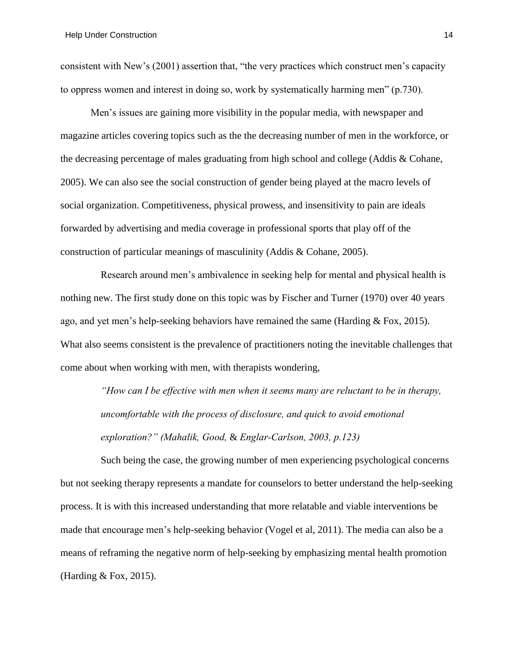consistent with New's (2001) assertion that, "the very practices which construct men's capacity to oppress women and interest in doing so, work by systematically harming men" (p.730).

Men's issues are gaining more visibility in the popular media, with newspaper and magazine articles covering topics such as the the decreasing number of men in the workforce, or the decreasing percentage of males graduating from high school and college (Addis & Cohane, 2005). We can also see the social construction of gender being played at the macro levels of social organization. Competitiveness, physical prowess, and insensitivity to pain are ideals forwarded by advertising and media coverage in professional sports that play off of the construction of particular meanings of masculinity (Addis & Cohane, 2005).

Research around men's ambivalence in seeking help for mental and physical health is nothing new. The first study done on this topic was by Fischer and Turner (1970) over 40 years ago, and yet men's help-seeking behaviors have remained the same (Harding & Fox, 2015). What also seems consistent is the prevalence of practitioners noting the inevitable challenges that come about when working with men, with therapists wondering,

> *"How can I be effective with men when it seems many are reluctant to be in therapy, uncomfortable with the process of disclosure, and quick to avoid emotional exploration?" (Mahalik, Good,* & *Englar-Carlson, 2003, p.123)*

Such being the case, the growing number of men experiencing psychological concerns but not seeking therapy represents a mandate for counselors to better understand the help-seeking process. It is with this increased understanding that more relatable and viable interventions be made that encourage men's help-seeking behavior (Vogel et al, 2011). The media can also be a means of reframing the negative norm of help-seeking by emphasizing mental health promotion (Harding & Fox, 2015).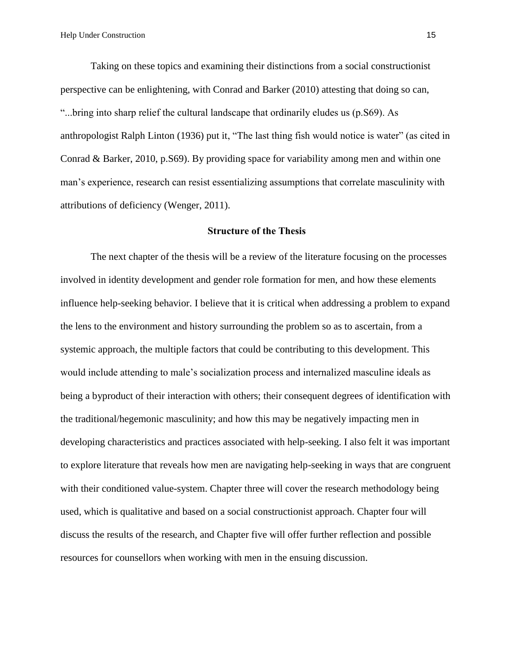Taking on these topics and examining their distinctions from a social constructionist perspective can be enlightening, with Conrad and Barker (2010) attesting that doing so can, "...bring into sharp relief the cultural landscape that ordinarily eludes us (p.S69). As anthropologist Ralph Linton (1936) put it, "The last thing fish would notice is water" (as cited in Conrad & Barker, 2010, p.S69). By providing space for variability among men and within one man's experience, research can resist essentializing assumptions that correlate masculinity with attributions of deficiency (Wenger, 2011).

#### **Structure of the Thesis**

The next chapter of the thesis will be a review of the literature focusing on the processes involved in identity development and gender role formation for men, and how these elements influence help-seeking behavior. I believe that it is critical when addressing a problem to expand the lens to the environment and history surrounding the problem so as to ascertain, from a systemic approach, the multiple factors that could be contributing to this development. This would include attending to male's socialization process and internalized masculine ideals as being a byproduct of their interaction with others; their consequent degrees of identification with the traditional/hegemonic masculinity; and how this may be negatively impacting men in developing characteristics and practices associated with help-seeking. I also felt it was important to explore literature that reveals how men are navigating help-seeking in ways that are congruent with their conditioned value-system. Chapter three will cover the research methodology being used, which is qualitative and based on a social constructionist approach. Chapter four will discuss the results of the research, and Chapter five will offer further reflection and possible resources for counsellors when working with men in the ensuing discussion.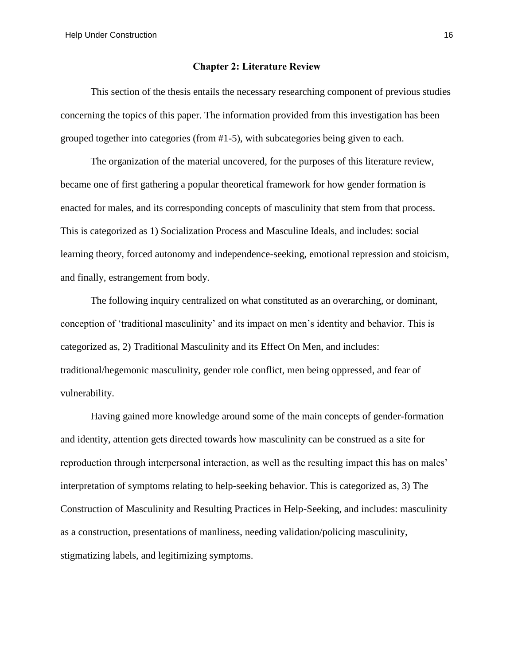#### **Chapter 2: Literature Review**

This section of the thesis entails the necessary researching component of previous studies concerning the topics of this paper. The information provided from this investigation has been grouped together into categories (from #1-5), with subcategories being given to each.

The organization of the material uncovered, for the purposes of this literature review, became one of first gathering a popular theoretical framework for how gender formation is enacted for males, and its corresponding concepts of masculinity that stem from that process. This is categorized as 1) Socialization Process and Masculine Ideals, and includes: social learning theory, forced autonomy and independence-seeking, emotional repression and stoicism, and finally, estrangement from body.

The following inquiry centralized on what constituted as an overarching, or dominant, conception of 'traditional masculinity' and its impact on men's identity and behavior. This is categorized as, 2) Traditional Masculinity and its Effect On Men, and includes: traditional/hegemonic masculinity, gender role conflict, men being oppressed, and fear of vulnerability.

Having gained more knowledge around some of the main concepts of gender-formation and identity, attention gets directed towards how masculinity can be construed as a site for reproduction through interpersonal interaction, as well as the resulting impact this has on males' interpretation of symptoms relating to help-seeking behavior. This is categorized as, 3) The Construction of Masculinity and Resulting Practices in Help-Seeking, and includes: masculinity as a construction, presentations of manliness, needing validation/policing masculinity, stigmatizing labels, and legitimizing symptoms.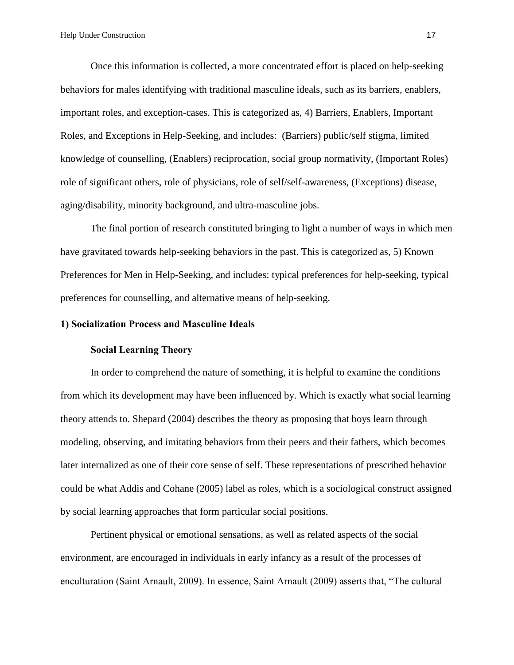Once this information is collected, a more concentrated effort is placed on help-seeking behaviors for males identifying with traditional masculine ideals, such as its barriers, enablers, important roles, and exception-cases. This is categorized as, 4) Barriers, Enablers, Important Roles, and Exceptions in Help-Seeking, and includes: (Barriers) public/self stigma, limited knowledge of counselling, (Enablers) reciprocation, social group normativity, (Important Roles) role of significant others, role of physicians, role of self/self-awareness, (Exceptions) disease, aging/disability, minority background, and ultra-masculine jobs.

The final portion of research constituted bringing to light a number of ways in which men have gravitated towards help-seeking behaviors in the past. This is categorized as, 5) Known Preferences for Men in Help-Seeking, and includes: typical preferences for help-seeking, typical preferences for counselling, and alternative means of help-seeking.

#### **1) Socialization Process and Masculine Ideals**

#### **Social Learning Theory**

In order to comprehend the nature of something, it is helpful to examine the conditions from which its development may have been influenced by. Which is exactly what social learning theory attends to. Shepard (2004) describes the theory as proposing that boys learn through modeling, observing, and imitating behaviors from their peers and their fathers, which becomes later internalized as one of their core sense of self. These representations of prescribed behavior could be what Addis and Cohane (2005) label as roles, which is a sociological construct assigned by social learning approaches that form particular social positions.

Pertinent physical or emotional sensations, as well as related aspects of the social environment, are encouraged in individuals in early infancy as a result of the processes of enculturation (Saint Arnault, 2009). In essence, Saint Arnault (2009) asserts that, "The cultural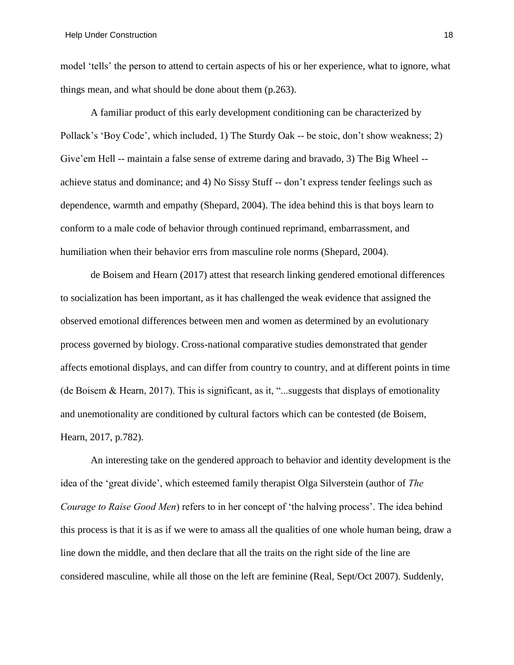model 'tells' the person to attend to certain aspects of his or her experience, what to ignore, what things mean, and what should be done about them (p.263).

A familiar product of this early development conditioning can be characterized by Pollack's 'Boy Code', which included, 1) The Sturdy Oak -- be stoic, don't show weakness; 2) Give'em Hell -- maintain a false sense of extreme daring and bravado, 3) The Big Wheel - achieve status and dominance; and 4) No Sissy Stuff -- don't express tender feelings such as dependence, warmth and empathy (Shepard, 2004). The idea behind this is that boys learn to conform to a male code of behavior through continued reprimand, embarrassment, and humiliation when their behavior errs from masculine role norms (Shepard, 2004).

de Boisem and Hearn (2017) attest that research linking gendered emotional differences to socialization has been important, as it has challenged the weak evidence that assigned the observed emotional differences between men and women as determined by an evolutionary process governed by biology. Cross-national comparative studies demonstrated that gender affects emotional displays, and can differ from country to country, and at different points in time (de Boisem & Hearn, 2017). This is significant, as it, "...suggests that displays of emotionality and unemotionality are conditioned by cultural factors which can be contested (de Boisem, Hearn, 2017, p.782).

An interesting take on the gendered approach to behavior and identity development is the idea of the 'great divide', which esteemed family therapist Olga Silverstein (author of *The Courage to Raise Good Men*) refers to in her concept of 'the halving process'. The idea behind this process is that it is as if we were to amass all the qualities of one whole human being, draw a line down the middle, and then declare that all the traits on the right side of the line are considered masculine, while all those on the left are feminine (Real, Sept/Oct 2007). Suddenly,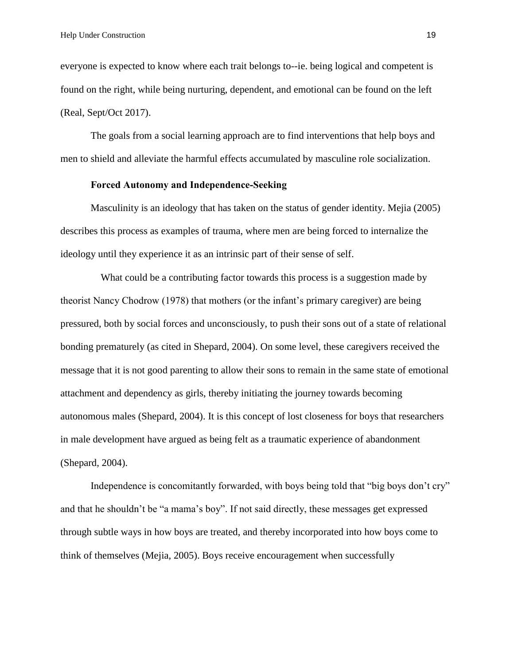everyone is expected to know where each trait belongs to--ie. being logical and competent is found on the right, while being nurturing, dependent, and emotional can be found on the left (Real, Sept/Oct 2017).

The goals from a social learning approach are to find interventions that help boys and men to shield and alleviate the harmful effects accumulated by masculine role socialization.

## **Forced Autonomy and Independence-Seeking**

Masculinity is an ideology that has taken on the status of gender identity. Mejia (2005) describes this process as examples of trauma, where men are being forced to internalize the ideology until they experience it as an intrinsic part of their sense of self.

What could be a contributing factor towards this process is a suggestion made by theorist Nancy Chodrow (1978) that mothers (or the infant's primary caregiver) are being pressured, both by social forces and unconsciously, to push their sons out of a state of relational bonding prematurely (as cited in Shepard, 2004). On some level, these caregivers received the message that it is not good parenting to allow their sons to remain in the same state of emotional attachment and dependency as girls, thereby initiating the journey towards becoming autonomous males (Shepard, 2004). It is this concept of lost closeness for boys that researchers in male development have argued as being felt as a traumatic experience of abandonment (Shepard, 2004).

Independence is concomitantly forwarded, with boys being told that "big boys don't cry" and that he shouldn't be "a mama's boy". If not said directly, these messages get expressed through subtle ways in how boys are treated, and thereby incorporated into how boys come to think of themselves (Mejia, 2005). Boys receive encouragement when successfully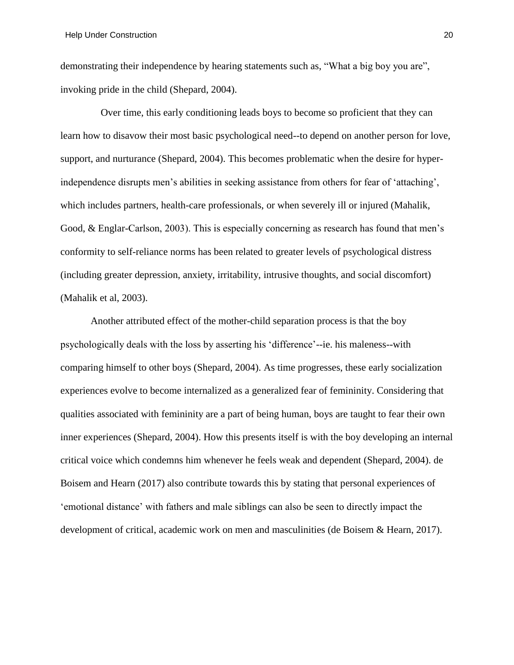demonstrating their independence by hearing statements such as, "What a big boy you are", invoking pride in the child (Shepard, 2004).

Over time, this early conditioning leads boys to become so proficient that they can learn how to disavow their most basic psychological need--to depend on another person for love, support, and nurturance (Shepard, 2004). This becomes problematic when the desire for hyperindependence disrupts men's abilities in seeking assistance from others for fear of 'attaching', which includes partners, health-care professionals, or when severely ill or injured (Mahalik, Good, & Englar-Carlson, 2003). This is especially concerning as research has found that men's conformity to self-reliance norms has been related to greater levels of psychological distress (including greater depression, anxiety, irritability, intrusive thoughts, and social discomfort) (Mahalik et al, 2003).

Another attributed effect of the mother-child separation process is that the boy psychologically deals with the loss by asserting his 'difference'--ie. his maleness--with comparing himself to other boys (Shepard, 2004). As time progresses, these early socialization experiences evolve to become internalized as a generalized fear of femininity. Considering that qualities associated with femininity are a part of being human, boys are taught to fear their own inner experiences (Shepard, 2004). How this presents itself is with the boy developing an internal critical voice which condemns him whenever he feels weak and dependent (Shepard, 2004). de Boisem and Hearn (2017) also contribute towards this by stating that personal experiences of 'emotional distance' with fathers and male siblings can also be seen to directly impact the development of critical, academic work on men and masculinities (de Boisem & Hearn, 2017).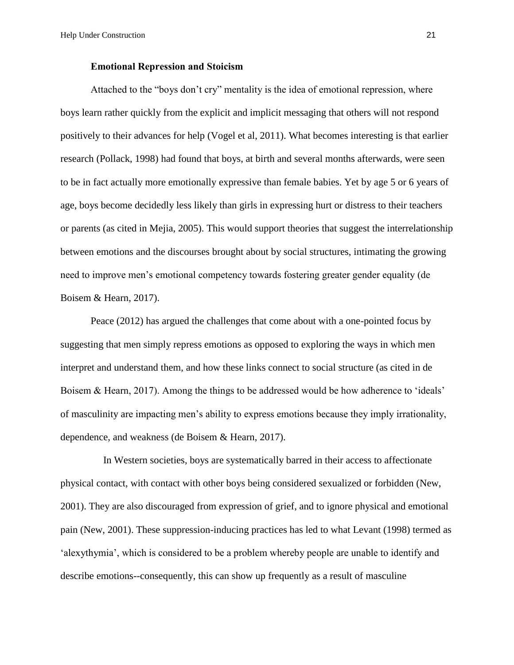#### **Emotional Repression and Stoicism**

Attached to the "boys don't cry" mentality is the idea of emotional repression, where boys learn rather quickly from the explicit and implicit messaging that others will not respond positively to their advances for help (Vogel et al, 2011). What becomes interesting is that earlier research (Pollack, 1998) had found that boys, at birth and several months afterwards, were seen to be in fact actually more emotionally expressive than female babies. Yet by age 5 or 6 years of age, boys become decidedly less likely than girls in expressing hurt or distress to their teachers or parents (as cited in Mejia, 2005). This would support theories that suggest the interrelationship between emotions and the discourses brought about by social structures, intimating the growing need to improve men's emotional competency towards fostering greater gender equality (de Boisem & Hearn, 2017).

Peace (2012) has argued the challenges that come about with a one-pointed focus by suggesting that men simply repress emotions as opposed to exploring the ways in which men interpret and understand them, and how these links connect to social structure (as cited in de Boisem & Hearn, 2017). Among the things to be addressed would be how adherence to 'ideals' of masculinity are impacting men's ability to express emotions because they imply irrationality, dependence, and weakness (de Boisem & Hearn, 2017).

In Western societies, boys are systematically barred in their access to affectionate physical contact, with contact with other boys being considered sexualized or forbidden (New, 2001). They are also discouraged from expression of grief, and to ignore physical and emotional pain (New, 2001). These suppression-inducing practices has led to what Levant (1998) termed as 'alexythymia', which is considered to be a problem whereby people are unable to identify and describe emotions--consequently, this can show up frequently as a result of masculine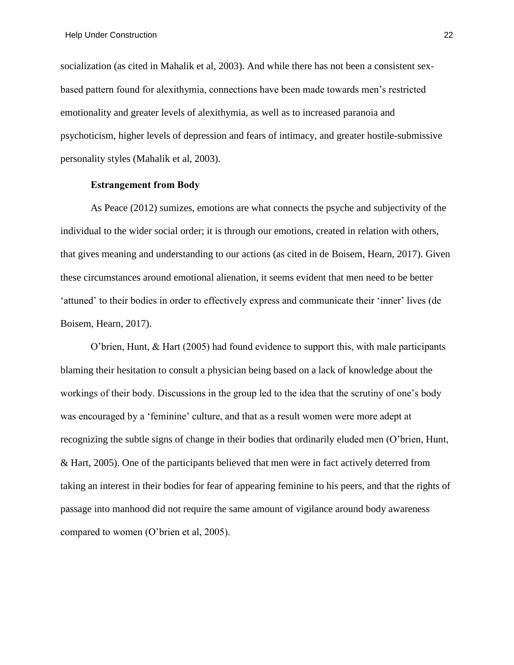socialization (as cited in Mahalik et al, 2003). And while there has not been a consistent sexbased pattern found for alexithymia, connections have been made towards men's restricted emotionality and greater levels of alexithymia, as well as to increased paranoia and psychoticism, higher levels of depression and fears of intimacy, and greater hostile-submissive personality styles (Mahalik et al, 2003).

## **Estrangement from Body**

As Peace (2012) sumizes, emotions are what connects the psyche and subjectivity of the individual to the wider social order; it is through our emotions, created in relation with others, that gives meaning and understanding to our actions (as cited in de Boisem, Hearn, 2017). Given these circumstances around emotional alienation, it seems evident that men need to be better 'attuned' to their bodies in order to effectively express and communicate their 'inner' lives (de Boisem, Hearn, 2017).

O'brien, Hunt, & Hart (2005) had found evidence to support this, with male participants blaming their hesitation to consult a physician being based on a lack of knowledge about the workings of their body. Discussions in the group led to the idea that the scrutiny of one's body was encouraged by a 'feminine' culture, and that as a result women were more adept at recognizing the subtle signs of change in their bodies that ordinarily eluded men (O'brien, Hunt, & Hart, 2005). One of the participants believed that men were in fact actively deterred from taking an interest in their bodies for fear of appearing feminine to his peers, and that the rights of passage into manhood did not require the same amount of vigilance around body awareness compared to women (O'brien et al, 2005).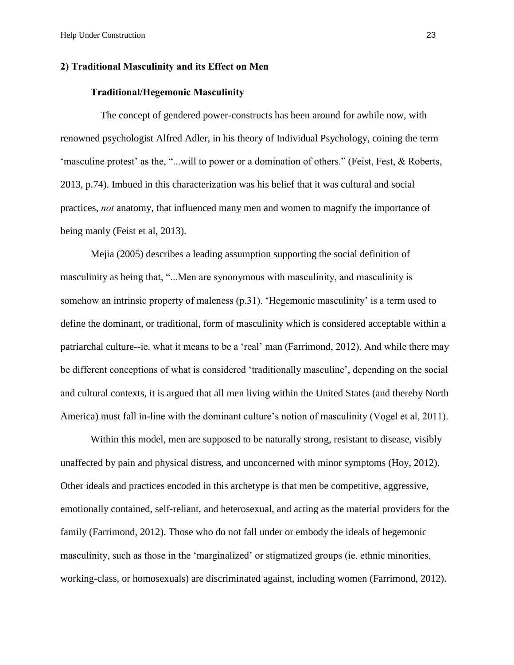#### **2) Traditional Masculinity and its Effect on Men**

### **Traditional/Hegemonic Masculinity**

The concept of gendered power-constructs has been around for awhile now, with renowned psychologist Alfred Adler, in his theory of Individual Psychology, coining the term 'masculine protest' as the, "...will to power or a domination of others." (Feist, Fest, & Roberts, 2013, p.74). Imbued in this characterization was his belief that it was cultural and social practices, *not* anatomy, that influenced many men and women to magnify the importance of being manly (Feist et al, 2013).

Mejia (2005) describes a leading assumption supporting the social definition of masculinity as being that, "...Men are synonymous with masculinity, and masculinity is somehow an intrinsic property of maleness (p.31). 'Hegemonic masculinity' is a term used to define the dominant, or traditional, form of masculinity which is considered acceptable within a patriarchal culture--ie. what it means to be a 'real' man (Farrimond, 2012). And while there may be different conceptions of what is considered 'traditionally masculine', depending on the social and cultural contexts, it is argued that all men living within the United States (and thereby North America) must fall in-line with the dominant culture's notion of masculinity (Vogel et al, 2011).

Within this model, men are supposed to be naturally strong, resistant to disease, visibly unaffected by pain and physical distress, and unconcerned with minor symptoms (Hoy, 2012). Other ideals and practices encoded in this archetype is that men be competitive, aggressive, emotionally contained, self-reliant, and heterosexual, and acting as the material providers for the family (Farrimond, 2012). Those who do not fall under or embody the ideals of hegemonic masculinity, such as those in the 'marginalized' or stigmatized groups (ie. ethnic minorities, working-class, or homosexuals) are discriminated against, including women (Farrimond, 2012).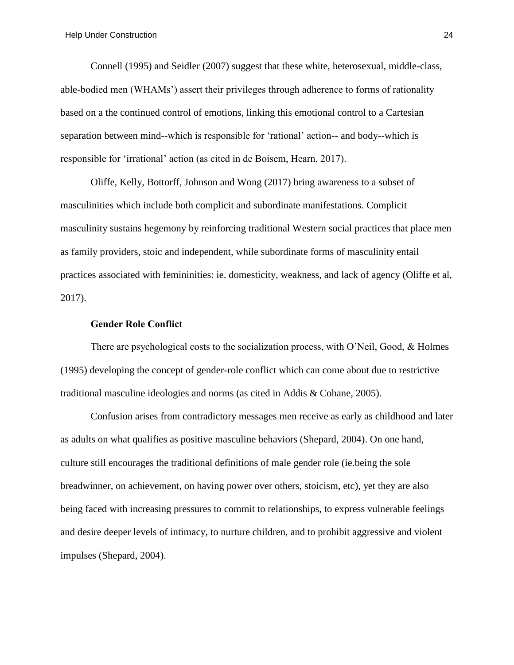Connell (1995) and Seidler (2007) suggest that these white, heterosexual, middle-class, able-bodied men (WHAMs') assert their privileges through adherence to forms of rationality based on a the continued control of emotions, linking this emotional control to a Cartesian separation between mind--which is responsible for 'rational' action-- and body--which is responsible for 'irrational' action (as cited in de Boisem, Hearn, 2017).

Oliffe, Kelly, Bottorff, Johnson and Wong (2017) bring awareness to a subset of masculinities which include both complicit and subordinate manifestations. Complicit masculinity sustains hegemony by reinforcing traditional Western social practices that place men as family providers, stoic and independent, while subordinate forms of masculinity entail practices associated with femininities: ie. domesticity, weakness, and lack of agency (Oliffe et al, 2017).

### **Gender Role Conflict**

There are psychological costs to the socialization process, with O'Neil, Good, & Holmes (1995) developing the concept of gender-role conflict which can come about due to restrictive traditional masculine ideologies and norms (as cited in Addis & Cohane, 2005).

Confusion arises from contradictory messages men receive as early as childhood and later as adults on what qualifies as positive masculine behaviors (Shepard, 2004). On one hand, culture still encourages the traditional definitions of male gender role (ie.being the sole breadwinner, on achievement, on having power over others, stoicism, etc), yet they are also being faced with increasing pressures to commit to relationships, to express vulnerable feelings and desire deeper levels of intimacy, to nurture children, and to prohibit aggressive and violent impulses (Shepard, 2004).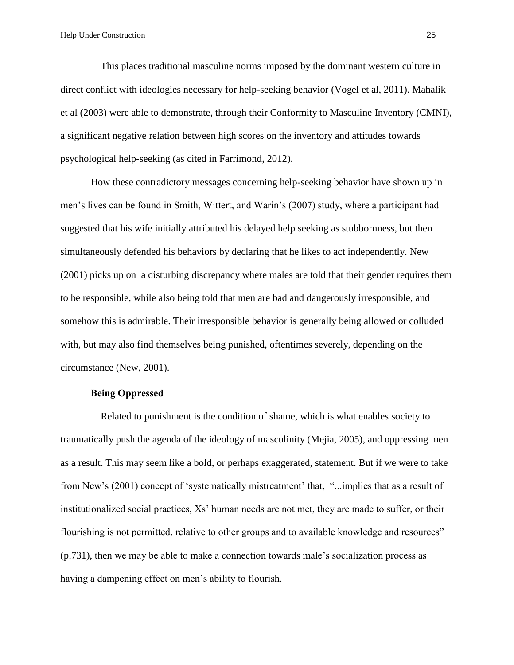This places traditional masculine norms imposed by the dominant western culture in direct conflict with ideologies necessary for help-seeking behavior (Vogel et al, 2011). Mahalik et al (2003) were able to demonstrate, through their Conformity to Masculine Inventory (CMNI), a significant negative relation between high scores on the inventory and attitudes towards psychological help-seeking (as cited in Farrimond, 2012).

How these contradictory messages concerning help-seeking behavior have shown up in men's lives can be found in Smith, Wittert, and Warin's (2007) study, where a participant had suggested that his wife initially attributed his delayed help seeking as stubbornness, but then simultaneously defended his behaviors by declaring that he likes to act independently. New (2001) picks up on a disturbing discrepancy where males are told that their gender requires them to be responsible, while also being told that men are bad and dangerously irresponsible, and somehow this is admirable. Their irresponsible behavior is generally being allowed or colluded with, but may also find themselves being punished, oftentimes severely, depending on the circumstance (New, 2001).

## **Being Oppressed**

Related to punishment is the condition of shame, which is what enables society to traumatically push the agenda of the ideology of masculinity (Mejia, 2005), and oppressing men as a result. This may seem like a bold, or perhaps exaggerated, statement. But if we were to take from New's (2001) concept of 'systematically mistreatment' that, "...implies that as a result of institutionalized social practices, Xs' human needs are not met, they are made to suffer, or their flourishing is not permitted, relative to other groups and to available knowledge and resources" (p.731), then we may be able to make a connection towards male's socialization process as having a dampening effect on men's ability to flourish.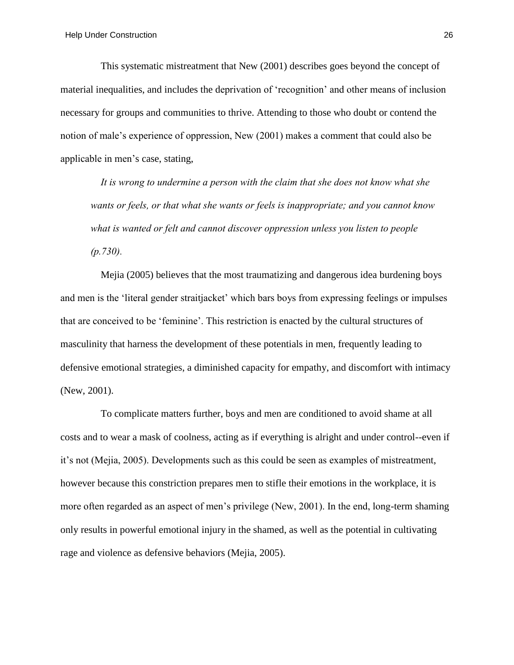This systematic mistreatment that New (2001) describes goes beyond the concept of material inequalities, and includes the deprivation of 'recognition' and other means of inclusion necessary for groups and communities to thrive. Attending to those who doubt or contend the notion of male's experience of oppression, New (2001) makes a comment that could also be applicable in men's case, stating,

*It is wrong to undermine a person with the claim that she does not know what she wants or feels, or that what she wants or feels is inappropriate; and you cannot know what is wanted or felt and cannot discover oppression unless you listen to people (p.730).* 

Mejia (2005) believes that the most traumatizing and dangerous idea burdening boys and men is the 'literal gender straitjacket' which bars boys from expressing feelings or impulses that are conceived to be 'feminine'. This restriction is enacted by the cultural structures of masculinity that harness the development of these potentials in men, frequently leading to defensive emotional strategies, a diminished capacity for empathy, and discomfort with intimacy (New, 2001).

To complicate matters further, boys and men are conditioned to avoid shame at all costs and to wear a mask of coolness, acting as if everything is alright and under control--even if it's not (Mejia, 2005). Developments such as this could be seen as examples of mistreatment, however because this constriction prepares men to stifle their emotions in the workplace, it is more often regarded as an aspect of men's privilege (New, 2001). In the end, long-term shaming only results in powerful emotional injury in the shamed, as well as the potential in cultivating rage and violence as defensive behaviors (Mejia, 2005).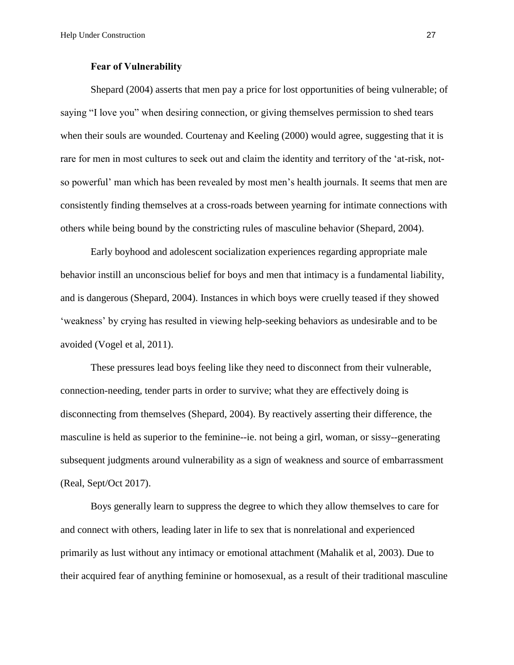#### **Fear of Vulnerability**

Shepard (2004) asserts that men pay a price for lost opportunities of being vulnerable; of saying "I love you" when desiring connection, or giving themselves permission to shed tears when their souls are wounded. Courtenay and Keeling (2000) would agree, suggesting that it is rare for men in most cultures to seek out and claim the identity and territory of the 'at-risk, notso powerful' man which has been revealed by most men's health journals. It seems that men are consistently finding themselves at a cross-roads between yearning for intimate connections with others while being bound by the constricting rules of masculine behavior (Shepard, 2004).

Early boyhood and adolescent socialization experiences regarding appropriate male behavior instill an unconscious belief for boys and men that intimacy is a fundamental liability, and is dangerous (Shepard, 2004). Instances in which boys were cruelly teased if they showed 'weakness' by crying has resulted in viewing help-seeking behaviors as undesirable and to be avoided (Vogel et al, 2011).

These pressures lead boys feeling like they need to disconnect from their vulnerable, connection-needing, tender parts in order to survive; what they are effectively doing is disconnecting from themselves (Shepard, 2004). By reactively asserting their difference, the masculine is held as superior to the feminine--ie. not being a girl, woman, or sissy--generating subsequent judgments around vulnerability as a sign of weakness and source of embarrassment (Real, Sept/Oct 2017).

Boys generally learn to suppress the degree to which they allow themselves to care for and connect with others, leading later in life to sex that is nonrelational and experienced primarily as lust without any intimacy or emotional attachment (Mahalik et al, 2003). Due to their acquired fear of anything feminine or homosexual, as a result of their traditional masculine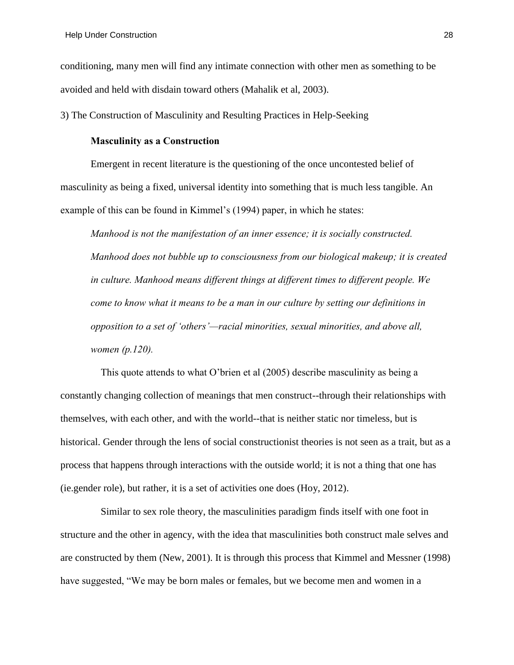conditioning, many men will find any intimate connection with other men as something to be avoided and held with disdain toward others (Mahalik et al, 2003).

3) The Construction of Masculinity and Resulting Practices in Help-Seeking

## **Masculinity as a Construction**

Emergent in recent literature is the questioning of the once uncontested belief of masculinity as being a fixed, universal identity into something that is much less tangible. An example of this can be found in Kimmel's (1994) paper, in which he states:

*Manhood is not the manifestation of an inner essence; it is socially constructed. Manhood does not bubble up to consciousness from our biological makeup; it is created in culture. Manhood means different things at different times to different people. We come to know what it means to be a man in our culture by setting our definitions in opposition to a set of 'others'—racial minorities, sexual minorities, and above all, women (p.120).*

This quote attends to what O'brien et al (2005) describe masculinity as being a constantly changing collection of meanings that men construct--through their relationships with themselves, with each other, and with the world--that is neither static nor timeless, but is historical. Gender through the lens of social constructionist theories is not seen as a trait, but as a process that happens through interactions with the outside world; it is not a thing that one has (ie.gender role), but rather, it is a set of activities one does (Hoy, 2012).

Similar to sex role theory, the masculinities paradigm finds itself with one foot in structure and the other in agency, with the idea that masculinities both construct male selves and are constructed by them (New, 2001). It is through this process that Kimmel and Messner (1998) have suggested, "We may be born males or females, but we become men and women in a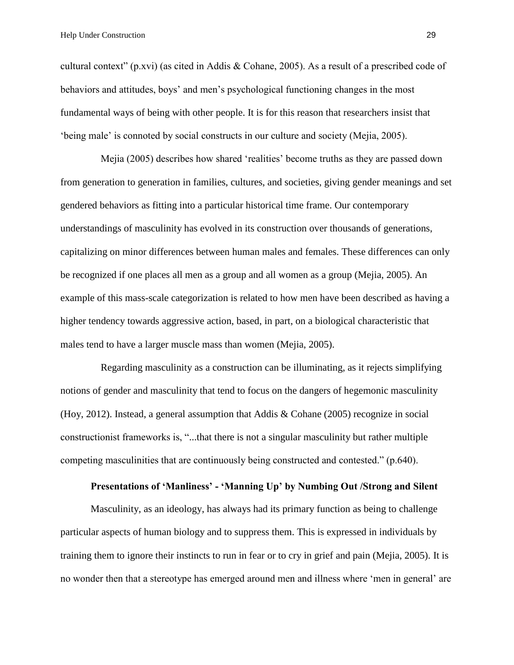cultural context" (p.xvi) (as cited in Addis & Cohane, 2005). As a result of a prescribed code of behaviors and attitudes, boys' and men's psychological functioning changes in the most fundamental ways of being with other people. It is for this reason that researchers insist that 'being male' is connoted by social constructs in our culture and society (Mejia, 2005).

Mejia (2005) describes how shared 'realities' become truths as they are passed down from generation to generation in families, cultures, and societies, giving gender meanings and set gendered behaviors as fitting into a particular historical time frame. Our contemporary understandings of masculinity has evolved in its construction over thousands of generations, capitalizing on minor differences between human males and females. These differences can only be recognized if one places all men as a group and all women as a group (Mejia, 2005). An example of this mass-scale categorization is related to how men have been described as having a higher tendency towards aggressive action, based, in part, on a biological characteristic that males tend to have a larger muscle mass than women (Mejia, 2005).

Regarding masculinity as a construction can be illuminating, as it rejects simplifying notions of gender and masculinity that tend to focus on the dangers of hegemonic masculinity (Hoy, 2012). Instead, a general assumption that Addis & Cohane (2005) recognize in social constructionist frameworks is, "...that there is not a singular masculinity but rather multiple competing masculinities that are continuously being constructed and contested." (p.640).

## **Presentations of 'Manliness' - 'Manning Up' by Numbing Out /Strong and Silent**

Masculinity, as an ideology, has always had its primary function as being to challenge particular aspects of human biology and to suppress them. This is expressed in individuals by training them to ignore their instincts to run in fear or to cry in grief and pain (Mejia, 2005). It is no wonder then that a stereotype has emerged around men and illness where 'men in general' are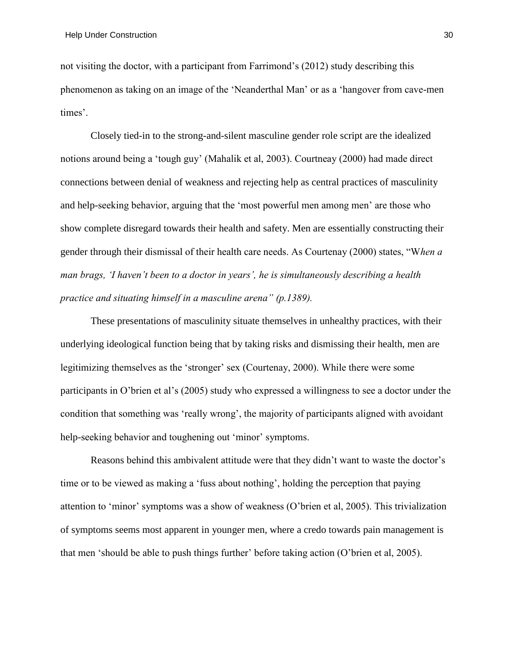not visiting the doctor, with a participant from Farrimond's (2012) study describing this phenomenon as taking on an image of the 'Neanderthal Man' or as a 'hangover from cave-men times'.

Closely tied-in to the strong-and-silent masculine gender role script are the idealized notions around being a 'tough guy' (Mahalik et al, 2003). Courtneay (2000) had made direct connections between denial of weakness and rejecting help as central practices of masculinity and help-seeking behavior, arguing that the 'most powerful men among men' are those who show complete disregard towards their health and safety. Men are essentially constructing their gender through their dismissal of their health care needs. As Courtenay (2000) states, "W*hen a man brags, 'I haven't been to a doctor in years', he is simultaneously describing a health practice and situating himself in a masculine arena" (p.1389).*

These presentations of masculinity situate themselves in unhealthy practices, with their underlying ideological function being that by taking risks and dismissing their health, men are legitimizing themselves as the 'stronger' sex (Courtenay, 2000). While there were some participants in O'brien et al's (2005) study who expressed a willingness to see a doctor under the condition that something was 'really wrong', the majority of participants aligned with avoidant help-seeking behavior and toughening out 'minor' symptoms.

Reasons behind this ambivalent attitude were that they didn't want to waste the doctor's time or to be viewed as making a 'fuss about nothing', holding the perception that paying attention to 'minor' symptoms was a show of weakness (O'brien et al, 2005). This trivialization of symptoms seems most apparent in younger men, where a credo towards pain management is that men 'should be able to push things further' before taking action (O'brien et al, 2005).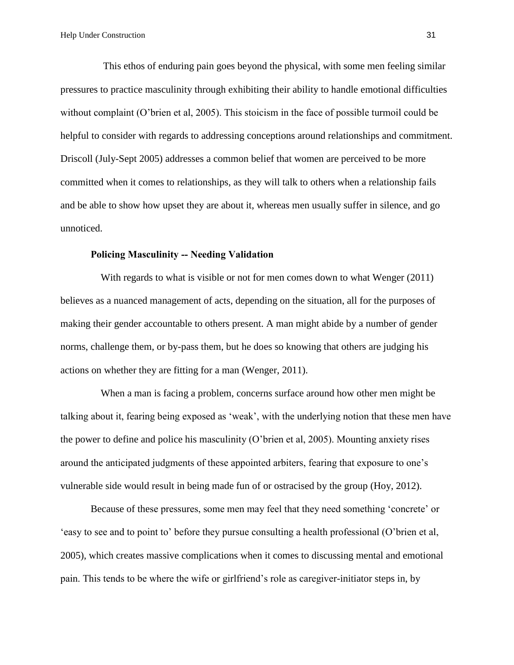This ethos of enduring pain goes beyond the physical, with some men feeling similar pressures to practice masculinity through exhibiting their ability to handle emotional difficulties without complaint (O'brien et al, 2005). This stoicism in the face of possible turmoil could be helpful to consider with regards to addressing conceptions around relationships and commitment. Driscoll (July-Sept 2005) addresses a common belief that women are perceived to be more committed when it comes to relationships, as they will talk to others when a relationship fails and be able to show how upset they are about it, whereas men usually suffer in silence, and go unnoticed.

## **Policing Masculinity -- Needing Validation**

With regards to what is visible or not for men comes down to what Wenger (2011) believes as a nuanced management of acts, depending on the situation, all for the purposes of making their gender accountable to others present. A man might abide by a number of gender norms, challenge them, or by-pass them, but he does so knowing that others are judging his actions on whether they are fitting for a man (Wenger, 2011).

When a man is facing a problem, concerns surface around how other men might be talking about it, fearing being exposed as 'weak', with the underlying notion that these men have the power to define and police his masculinity (O'brien et al, 2005). Mounting anxiety rises around the anticipated judgments of these appointed arbiters, fearing that exposure to one's vulnerable side would result in being made fun of or ostracised by the group (Hoy, 2012).

Because of these pressures, some men may feel that they need something 'concrete' or 'easy to see and to point to' before they pursue consulting a health professional (O'brien et al, 2005), which creates massive complications when it comes to discussing mental and emotional pain. This tends to be where the wife or girlfriend's role as caregiver-initiator steps in, by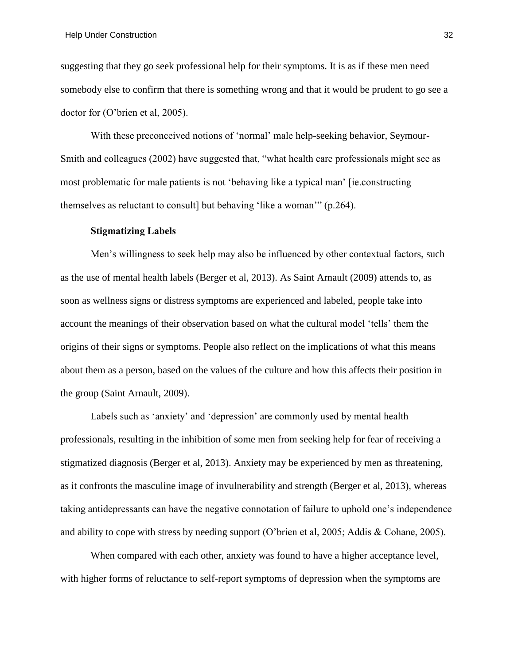suggesting that they go seek professional help for their symptoms. It is as if these men need somebody else to confirm that there is something wrong and that it would be prudent to go see a doctor for (O'brien et al, 2005).

With these preconceived notions of 'normal' male help-seeking behavior, Seymour-Smith and colleagues (2002) have suggested that, "what health care professionals might see as most problematic for male patients is not 'behaving like a typical man' [ie.constructing themselves as reluctant to consult] but behaving 'like a woman'" (p.264).

#### **Stigmatizing Labels**

Men's willingness to seek help may also be influenced by other contextual factors, such as the use of mental health labels (Berger et al, 2013). As Saint Arnault (2009) attends to, as soon as wellness signs or distress symptoms are experienced and labeled, people take into account the meanings of their observation based on what the cultural model 'tells' them the origins of their signs or symptoms. People also reflect on the implications of what this means about them as a person, based on the values of the culture and how this affects their position in the group (Saint Arnault, 2009).

Labels such as 'anxiety' and 'depression' are commonly used by mental health professionals, resulting in the inhibition of some men from seeking help for fear of receiving a stigmatized diagnosis (Berger et al, 2013). Anxiety may be experienced by men as threatening, as it confronts the masculine image of invulnerability and strength (Berger et al, 2013), whereas taking antidepressants can have the negative connotation of failure to uphold one's independence and ability to cope with stress by needing support (O'brien et al, 2005; Addis & Cohane, 2005).

When compared with each other, anxiety was found to have a higher acceptance level, with higher forms of reluctance to self-report symptoms of depression when the symptoms are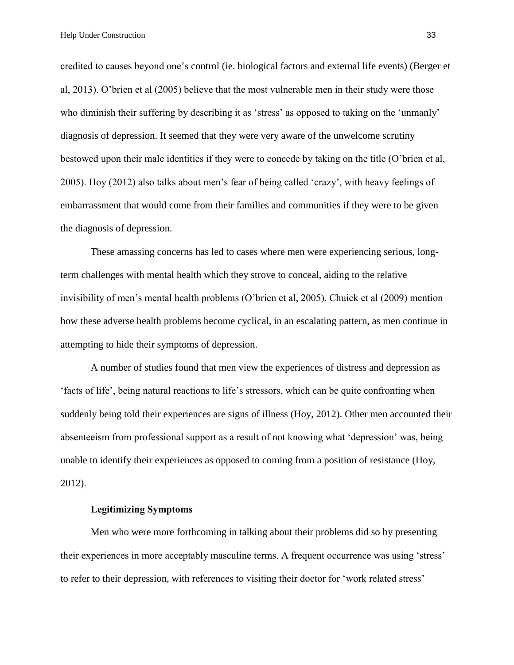credited to causes beyond one's control (ie. biological factors and external life events) (Berger et al, 2013). O'brien et al (2005) believe that the most vulnerable men in their study were those who diminish their suffering by describing it as 'stress' as opposed to taking on the 'unmanly' diagnosis of depression. It seemed that they were very aware of the unwelcome scrutiny bestowed upon their male identities if they were to concede by taking on the title (O'brien et al, 2005). Hoy (2012) also talks about men's fear of being called 'crazy', with heavy feelings of embarrassment that would come from their families and communities if they were to be given the diagnosis of depression.

These amassing concerns has led to cases where men were experiencing serious, longterm challenges with mental health which they strove to conceal, aiding to the relative invisibility of men's mental health problems (O'brien et al, 2005). Chuick et al (2009) mention how these adverse health problems become cyclical, in an escalating pattern, as men continue in attempting to hide their symptoms of depression.

A number of studies found that men view the experiences of distress and depression as 'facts of life', being natural reactions to life's stressors, which can be quite confronting when suddenly being told their experiences are signs of illness (Hoy, 2012). Other men accounted their absenteeism from professional support as a result of not knowing what 'depression' was, being unable to identify their experiences as opposed to coming from a position of resistance (Hoy, 2012).

## **Legitimizing Symptoms**

Men who were more forthcoming in talking about their problems did so by presenting their experiences in more acceptably masculine terms. A frequent occurrence was using 'stress' to refer to their depression, with references to visiting their doctor for 'work related stress'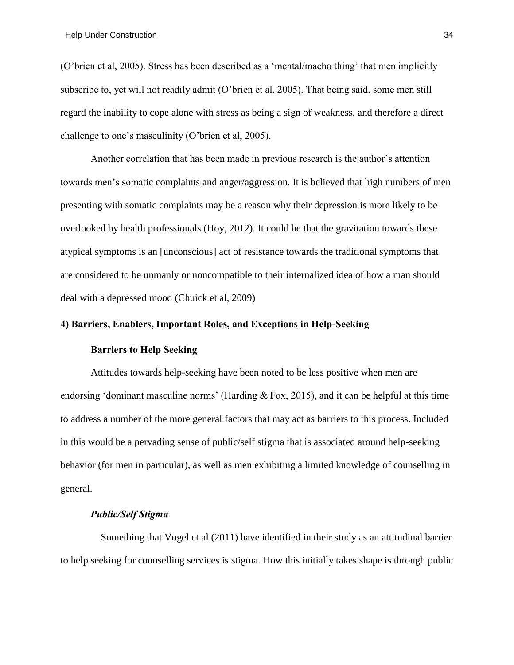(O'brien et al, 2005). Stress has been described as a 'mental/macho thing' that men implicitly subscribe to, yet will not readily admit (O'brien et al, 2005). That being said, some men still regard the inability to cope alone with stress as being a sign of weakness, and therefore a direct challenge to one's masculinity (O'brien et al, 2005).

Another correlation that has been made in previous research is the author's attention towards men's somatic complaints and anger/aggression. It is believed that high numbers of men presenting with somatic complaints may be a reason why their depression is more likely to be overlooked by health professionals (Hoy, 2012). It could be that the gravitation towards these atypical symptoms is an [unconscious] act of resistance towards the traditional symptoms that are considered to be unmanly or noncompatible to their internalized idea of how a man should deal with a depressed mood (Chuick et al, 2009)

#### **4) Barriers, Enablers, Important Roles, and Exceptions in Help-Seeking**

#### **Barriers to Help Seeking**

Attitudes towards help-seeking have been noted to be less positive when men are endorsing 'dominant masculine norms' (Harding & Fox, 2015), and it can be helpful at this time to address a number of the more general factors that may act as barriers to this process. Included in this would be a pervading sense of public/self stigma that is associated around help-seeking behavior (for men in particular), as well as men exhibiting a limited knowledge of counselling in general.

## *Public/Self Stigma*

Something that Vogel et al (2011) have identified in their study as an attitudinal barrier to help seeking for counselling services is stigma. How this initially takes shape is through public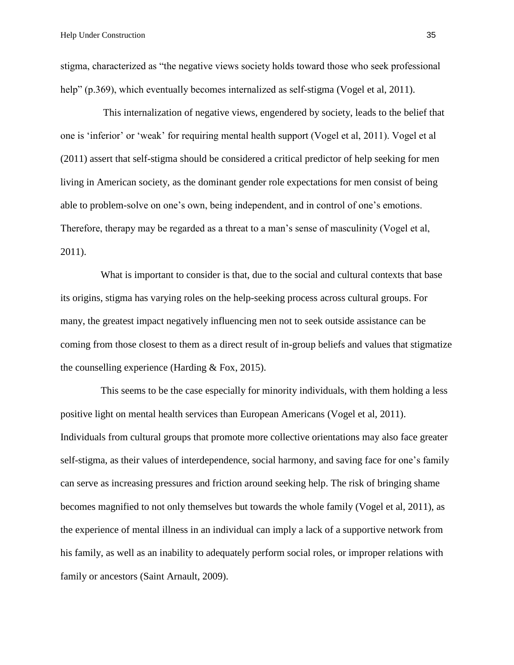stigma, characterized as "the negative views society holds toward those who seek professional help" (p.369), which eventually becomes internalized as self-stigma (Vogel et al, 2011).

This internalization of negative views, engendered by society, leads to the belief that one is 'inferior' or 'weak' for requiring mental health support (Vogel et al, 2011). Vogel et al (2011) assert that self-stigma should be considered a critical predictor of help seeking for men living in American society, as the dominant gender role expectations for men consist of being able to problem-solve on one's own, being independent, and in control of one's emotions. Therefore, therapy may be regarded as a threat to a man's sense of masculinity (Vogel et al, 2011).

What is important to consider is that, due to the social and cultural contexts that base its origins, stigma has varying roles on the help-seeking process across cultural groups. For many, the greatest impact negatively influencing men not to seek outside assistance can be coming from those closest to them as a direct result of in-group beliefs and values that stigmatize the counselling experience (Harding & Fox, 2015).

This seems to be the case especially for minority individuals, with them holding a less positive light on mental health services than European Americans (Vogel et al, 2011). Individuals from cultural groups that promote more collective orientations may also face greater self-stigma, as their values of interdependence, social harmony, and saving face for one's family can serve as increasing pressures and friction around seeking help. The risk of bringing shame becomes magnified to not only themselves but towards the whole family (Vogel et al, 2011), as the experience of mental illness in an individual can imply a lack of a supportive network from his family, as well as an inability to adequately perform social roles, or improper relations with family or ancestors (Saint Arnault, 2009).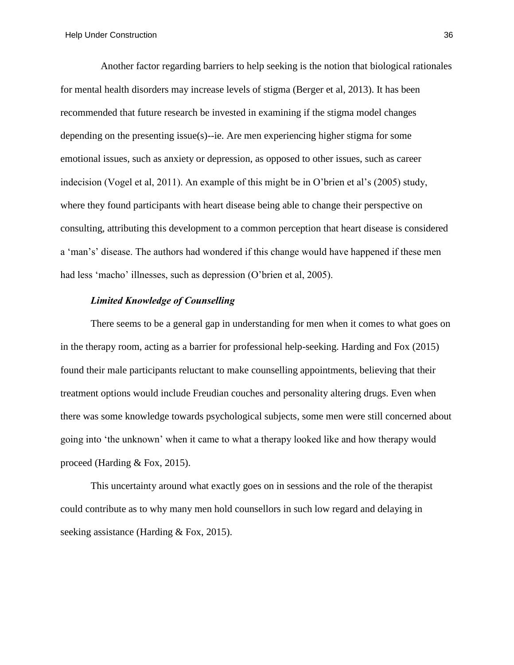Another factor regarding barriers to help seeking is the notion that biological rationales for mental health disorders may increase levels of stigma (Berger et al, 2013). It has been recommended that future research be invested in examining if the stigma model changes depending on the presenting issue(s)--ie. Are men experiencing higher stigma for some emotional issues, such as anxiety or depression, as opposed to other issues, such as career indecision (Vogel et al, 2011). An example of this might be in O'brien et al's (2005) study, where they found participants with heart disease being able to change their perspective on consulting, attributing this development to a common perception that heart disease is considered a 'man's' disease. The authors had wondered if this change would have happened if these men had less 'macho' illnesses, such as depression (O'brien et al, 2005).

## *Limited Knowledge of Counselling*

There seems to be a general gap in understanding for men when it comes to what goes on in the therapy room, acting as a barrier for professional help-seeking. Harding and Fox (2015) found their male participants reluctant to make counselling appointments, believing that their treatment options would include Freudian couches and personality altering drugs. Even when there was some knowledge towards psychological subjects, some men were still concerned about going into 'the unknown' when it came to what a therapy looked like and how therapy would proceed (Harding & Fox, 2015).

This uncertainty around what exactly goes on in sessions and the role of the therapist could contribute as to why many men hold counsellors in such low regard and delaying in seeking assistance (Harding & Fox, 2015).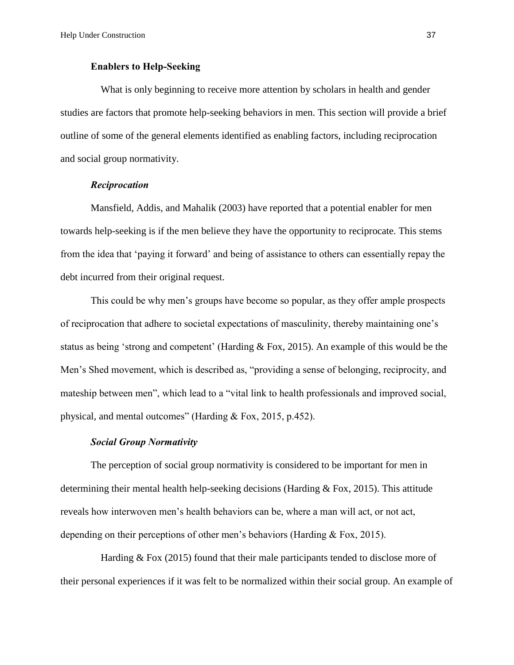#### **Enablers to Help-Seeking**

What is only beginning to receive more attention by scholars in health and gender studies are factors that promote help-seeking behaviors in men. This section will provide a brief outline of some of the general elements identified as enabling factors, including reciprocation and social group normativity.

## *Reciprocation*

Mansfield, Addis, and Mahalik (2003) have reported that a potential enabler for men towards help-seeking is if the men believe they have the opportunity to reciprocate. This stems from the idea that 'paying it forward' and being of assistance to others can essentially repay the debt incurred from their original request.

This could be why men's groups have become so popular, as they offer ample prospects of reciprocation that adhere to societal expectations of masculinity, thereby maintaining one's status as being 'strong and competent' (Harding & Fox, 2015). An example of this would be the Men's Shed movement, which is described as, "providing a sense of belonging, reciprocity, and mateship between men", which lead to a "vital link to health professionals and improved social, physical, and mental outcomes" (Harding & Fox, 2015, p.452).

#### *Social Group Normativity*

The perception of social group normativity is considered to be important for men in determining their mental health help-seeking decisions (Harding  $&$  Fox, 2015). This attitude reveals how interwoven men's health behaviors can be, where a man will act, or not act, depending on their perceptions of other men's behaviors (Harding & Fox, 2015).

Harding & Fox (2015) found that their male participants tended to disclose more of their personal experiences if it was felt to be normalized within their social group. An example of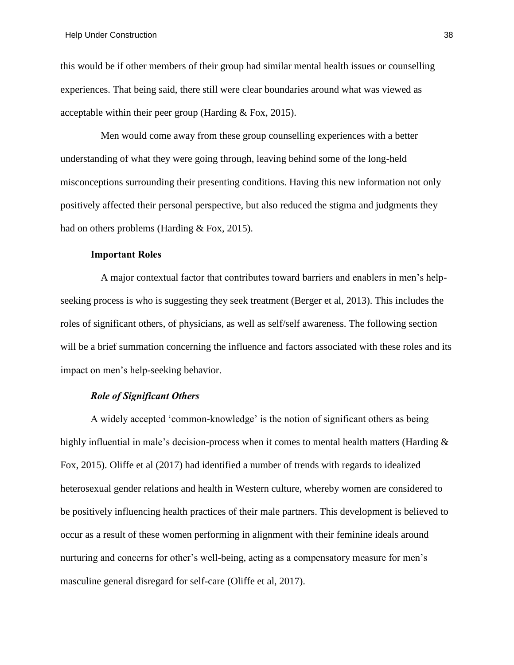this would be if other members of their group had similar mental health issues or counselling experiences. That being said, there still were clear boundaries around what was viewed as acceptable within their peer group (Harding & Fox, 2015).

Men would come away from these group counselling experiences with a better understanding of what they were going through, leaving behind some of the long-held misconceptions surrounding their presenting conditions. Having this new information not only positively affected their personal perspective, but also reduced the stigma and judgments they had on others problems (Harding & Fox, 2015).

## **Important Roles**

A major contextual factor that contributes toward barriers and enablers in men's helpseeking process is who is suggesting they seek treatment (Berger et al, 2013). This includes the roles of significant others, of physicians, as well as self/self awareness. The following section will be a brief summation concerning the influence and factors associated with these roles and its impact on men's help-seeking behavior.

#### *Role of Significant Others*

A widely accepted 'common-knowledge' is the notion of significant others as being highly influential in male's decision-process when it comes to mental health matters (Harding  $\&$ Fox, 2015). Oliffe et al (2017) had identified a number of trends with regards to idealized heterosexual gender relations and health in Western culture, whereby women are considered to be positively influencing health practices of their male partners. This development is believed to occur as a result of these women performing in alignment with their feminine ideals around nurturing and concerns for other's well-being, acting as a compensatory measure for men's masculine general disregard for self-care (Oliffe et al, 2017).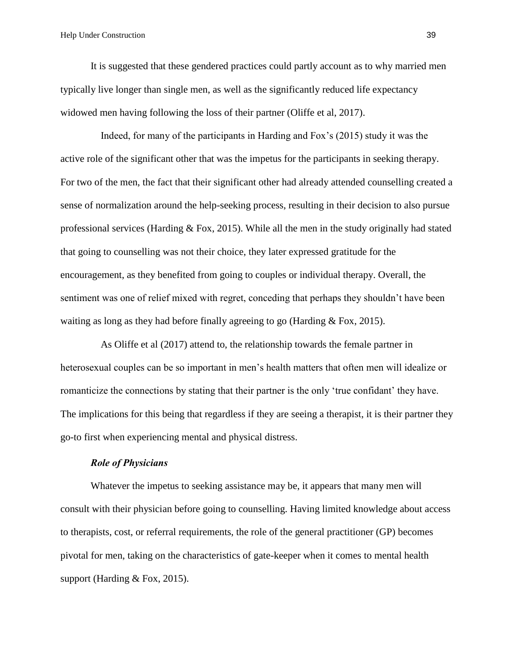It is suggested that these gendered practices could partly account as to why married men typically live longer than single men, as well as the significantly reduced life expectancy widowed men having following the loss of their partner (Oliffe et al, 2017).

Indeed, for many of the participants in Harding and Fox's (2015) study it was the active role of the significant other that was the impetus for the participants in seeking therapy. For two of the men, the fact that their significant other had already attended counselling created a sense of normalization around the help-seeking process, resulting in their decision to also pursue professional services (Harding & Fox, 2015). While all the men in the study originally had stated that going to counselling was not their choice, they later expressed gratitude for the encouragement, as they benefited from going to couples or individual therapy. Overall, the sentiment was one of relief mixed with regret, conceding that perhaps they shouldn't have been waiting as long as they had before finally agreeing to go (Harding  $\&$  Fox, 2015).

As Oliffe et al (2017) attend to, the relationship towards the female partner in heterosexual couples can be so important in men's health matters that often men will idealize or romanticize the connections by stating that their partner is the only 'true confidant' they have. The implications for this being that regardless if they are seeing a therapist, it is their partner they go-to first when experiencing mental and physical distress.

#### *Role of Physicians*

Whatever the impetus to seeking assistance may be, it appears that many men will consult with their physician before going to counselling. Having limited knowledge about access to therapists, cost, or referral requirements, the role of the general practitioner (GP) becomes pivotal for men, taking on the characteristics of gate-keeper when it comes to mental health support (Harding & Fox, 2015).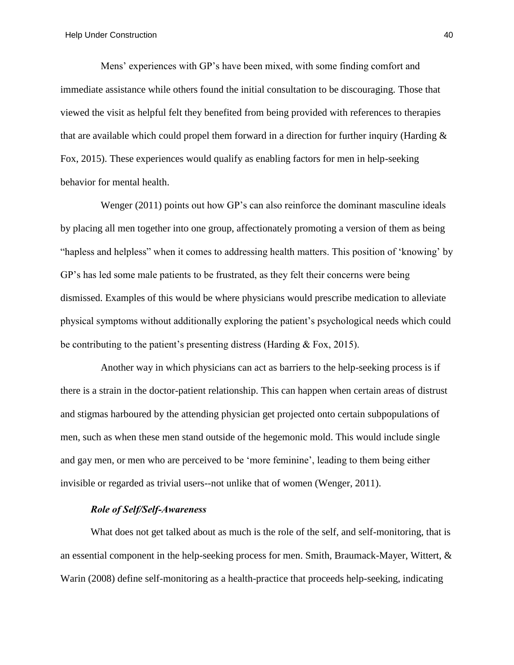Mens' experiences with GP's have been mixed, with some finding comfort and immediate assistance while others found the initial consultation to be discouraging. Those that viewed the visit as helpful felt they benefited from being provided with references to therapies that are available which could propel them forward in a direction for further inquiry (Harding & Fox, 2015). These experiences would qualify as enabling factors for men in help-seeking behavior for mental health.

Wenger (2011) points out how GP's can also reinforce the dominant masculine ideals by placing all men together into one group, affectionately promoting a version of them as being "hapless and helpless" when it comes to addressing health matters. This position of 'knowing' by GP's has led some male patients to be frustrated, as they felt their concerns were being dismissed. Examples of this would be where physicians would prescribe medication to alleviate physical symptoms without additionally exploring the patient's psychological needs which could be contributing to the patient's presenting distress (Harding & Fox, 2015).

Another way in which physicians can act as barriers to the help-seeking process is if there is a strain in the doctor-patient relationship. This can happen when certain areas of distrust and stigmas harboured by the attending physician get projected onto certain subpopulations of men, such as when these men stand outside of the hegemonic mold. This would include single and gay men, or men who are perceived to be 'more feminine', leading to them being either invisible or regarded as trivial users--not unlike that of women (Wenger, 2011).

# *Role of Self/Self-Awareness*

What does not get talked about as much is the role of the self, and self-monitoring, that is an essential component in the help-seeking process for men. Smith, Braumack-Mayer, Wittert, & Warin (2008) define self-monitoring as a health-practice that proceeds help-seeking, indicating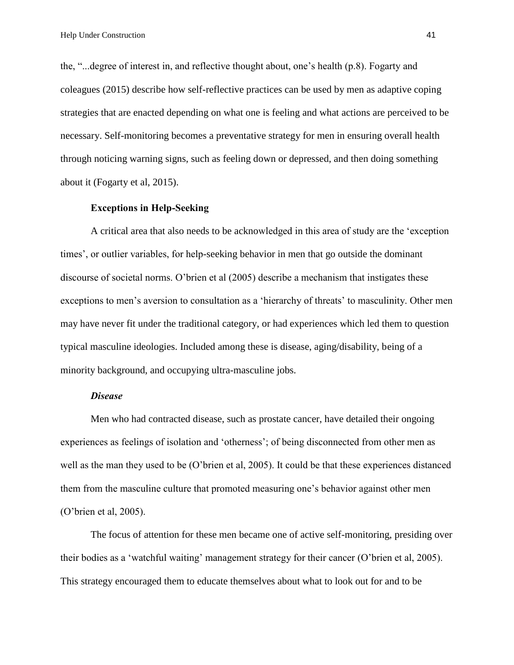the, "...degree of interest in, and reflective thought about, one's health (p.8). Fogarty and coleagues (2015) describe how self-reflective practices can be used by men as adaptive coping strategies that are enacted depending on what one is feeling and what actions are perceived to be necessary. Self-monitoring becomes a preventative strategy for men in ensuring overall health through noticing warning signs, such as feeling down or depressed, and then doing something about it (Fogarty et al, 2015).

#### **Exceptions in Help-Seeking**

A critical area that also needs to be acknowledged in this area of study are the 'exception times', or outlier variables, for help-seeking behavior in men that go outside the dominant discourse of societal norms. O'brien et al (2005) describe a mechanism that instigates these exceptions to men's aversion to consultation as a 'hierarchy of threats' to masculinity. Other men may have never fit under the traditional category, or had experiences which led them to question typical masculine ideologies. Included among these is disease, aging/disability, being of a minority background, and occupying ultra-masculine jobs.

#### *Disease*

Men who had contracted disease, such as prostate cancer, have detailed their ongoing experiences as feelings of isolation and 'otherness'; of being disconnected from other men as well as the man they used to be (O'brien et al, 2005). It could be that these experiences distanced them from the masculine culture that promoted measuring one's behavior against other men (O'brien et al, 2005).

The focus of attention for these men became one of active self-monitoring, presiding over their bodies as a 'watchful waiting' management strategy for their cancer (O'brien et al, 2005). This strategy encouraged them to educate themselves about what to look out for and to be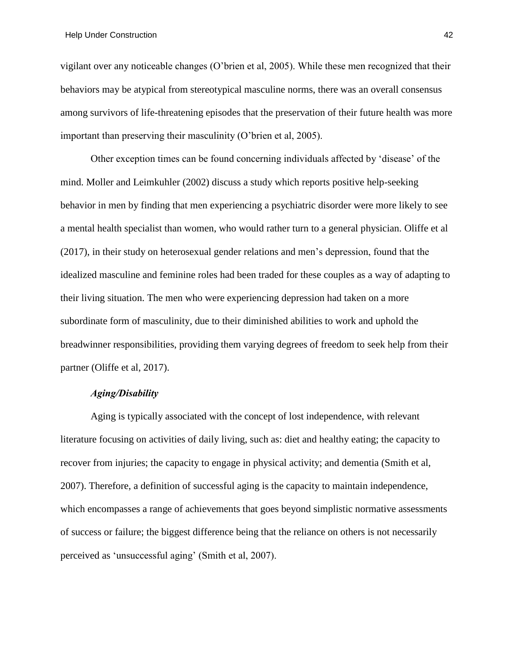vigilant over any noticeable changes (O'brien et al, 2005). While these men recognized that their behaviors may be atypical from stereotypical masculine norms, there was an overall consensus among survivors of life-threatening episodes that the preservation of their future health was more important than preserving their masculinity (O'brien et al, 2005).

Other exception times can be found concerning individuals affected by 'disease' of the mind. Moller and Leimkuhler (2002) discuss a study which reports positive help-seeking behavior in men by finding that men experiencing a psychiatric disorder were more likely to see a mental health specialist than women, who would rather turn to a general physician. Oliffe et al (2017), in their study on heterosexual gender relations and men's depression, found that the idealized masculine and feminine roles had been traded for these couples as a way of adapting to their living situation. The men who were experiencing depression had taken on a more subordinate form of masculinity, due to their diminished abilities to work and uphold the breadwinner responsibilities, providing them varying degrees of freedom to seek help from their partner (Oliffe et al, 2017).

# *Aging/Disability*

Aging is typically associated with the concept of lost independence, with relevant literature focusing on activities of daily living, such as: diet and healthy eating; the capacity to recover from injuries; the capacity to engage in physical activity; and dementia (Smith et al, 2007). Therefore, a definition of successful aging is the capacity to maintain independence, which encompasses a range of achievements that goes beyond simplistic normative assessments of success or failure; the biggest difference being that the reliance on others is not necessarily perceived as 'unsuccessful aging' (Smith et al, 2007).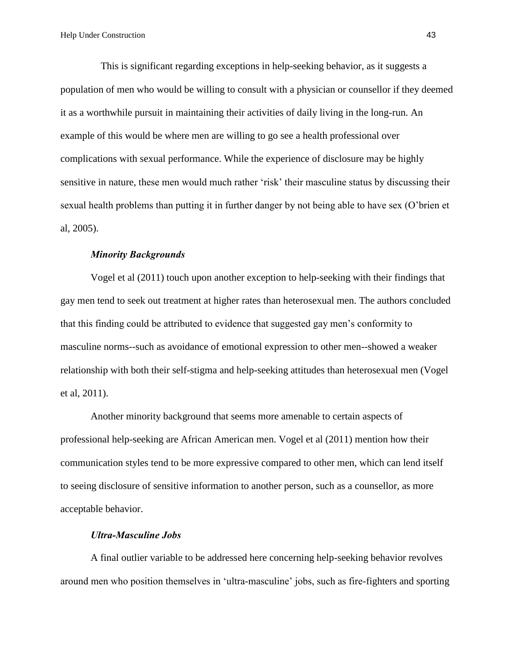This is significant regarding exceptions in help-seeking behavior, as it suggests a population of men who would be willing to consult with a physician or counsellor if they deemed it as a worthwhile pursuit in maintaining their activities of daily living in the long-run. An example of this would be where men are willing to go see a health professional over complications with sexual performance. While the experience of disclosure may be highly sensitive in nature, these men would much rather 'risk' their masculine status by discussing their sexual health problems than putting it in further danger by not being able to have sex (O'brien et al, 2005).

#### *Minority Backgrounds*

Vogel et al (2011) touch upon another exception to help-seeking with their findings that gay men tend to seek out treatment at higher rates than heterosexual men. The authors concluded that this finding could be attributed to evidence that suggested gay men's conformity to masculine norms--such as avoidance of emotional expression to other men--showed a weaker relationship with both their self-stigma and help-seeking attitudes than heterosexual men (Vogel et al, 2011).

Another minority background that seems more amenable to certain aspects of professional help-seeking are African American men. Vogel et al (2011) mention how their communication styles tend to be more expressive compared to other men, which can lend itself to seeing disclosure of sensitive information to another person, such as a counsellor, as more acceptable behavior.

## *Ultra-Masculine Jobs*

A final outlier variable to be addressed here concerning help-seeking behavior revolves around men who position themselves in 'ultra-masculine' jobs, such as fire-fighters and sporting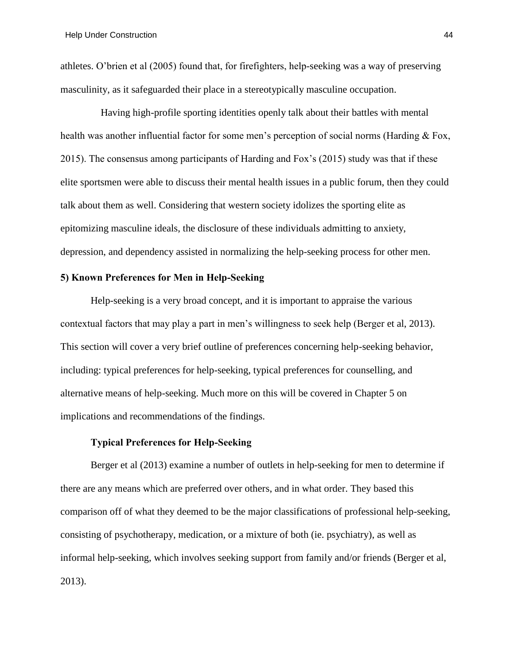athletes. O'brien et al (2005) found that, for firefighters, help-seeking was a way of preserving masculinity, as it safeguarded their place in a stereotypically masculine occupation.

Having high-profile sporting identities openly talk about their battles with mental health was another influential factor for some men's perception of social norms (Harding & Fox, 2015). The consensus among participants of Harding and Fox's (2015) study was that if these elite sportsmen were able to discuss their mental health issues in a public forum, then they could talk about them as well. Considering that western society idolizes the sporting elite as epitomizing masculine ideals, the disclosure of these individuals admitting to anxiety, depression, and dependency assisted in normalizing the help-seeking process for other men.

# **5) Known Preferences for Men in Help-Seeking**

Help-seeking is a very broad concept, and it is important to appraise the various contextual factors that may play a part in men's willingness to seek help (Berger et al, 2013). This section will cover a very brief outline of preferences concerning help-seeking behavior, including: typical preferences for help-seeking, typical preferences for counselling, and alternative means of help-seeking. Much more on this will be covered in Chapter 5 on implications and recommendations of the findings.

## **Typical Preferences for Help-Seeking**

Berger et al (2013) examine a number of outlets in help-seeking for men to determine if there are any means which are preferred over others, and in what order. They based this comparison off of what they deemed to be the major classifications of professional help-seeking, consisting of psychotherapy, medication, or a mixture of both (ie. psychiatry), as well as informal help-seeking, which involves seeking support from family and/or friends (Berger et al, 2013).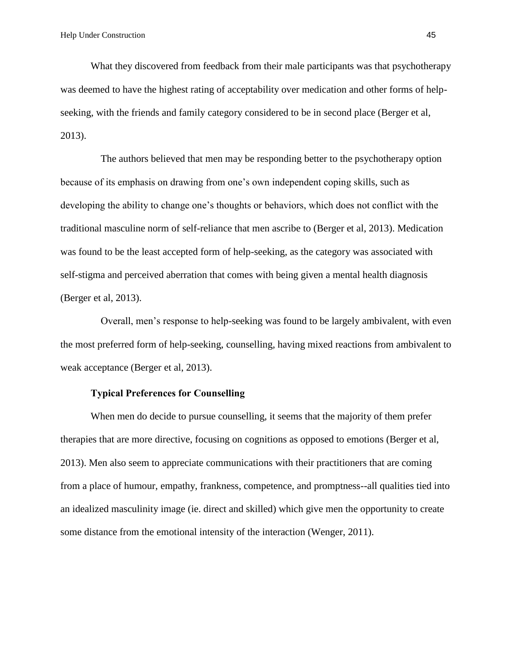What they discovered from feedback from their male participants was that psychotherapy was deemed to have the highest rating of acceptability over medication and other forms of helpseeking, with the friends and family category considered to be in second place (Berger et al, 2013).

The authors believed that men may be responding better to the psychotherapy option because of its emphasis on drawing from one's own independent coping skills, such as developing the ability to change one's thoughts or behaviors, which does not conflict with the traditional masculine norm of self-reliance that men ascribe to (Berger et al, 2013). Medication was found to be the least accepted form of help-seeking, as the category was associated with self-stigma and perceived aberration that comes with being given a mental health diagnosis (Berger et al, 2013).

Overall, men's response to help-seeking was found to be largely ambivalent, with even the most preferred form of help-seeking, counselling, having mixed reactions from ambivalent to weak acceptance (Berger et al, 2013).

## **Typical Preferences for Counselling**

When men do decide to pursue counselling, it seems that the majority of them prefer therapies that are more directive, focusing on cognitions as opposed to emotions (Berger et al, 2013). Men also seem to appreciate communications with their practitioners that are coming from a place of humour, empathy, frankness, competence, and promptness--all qualities tied into an idealized masculinity image (ie. direct and skilled) which give men the opportunity to create some distance from the emotional intensity of the interaction (Wenger, 2011).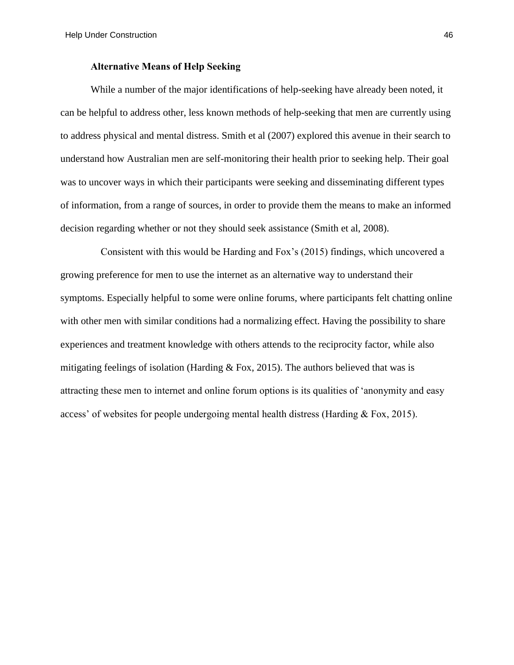#### **Alternative Means of Help Seeking**

While a number of the major identifications of help-seeking have already been noted, it can be helpful to address other, less known methods of help-seeking that men are currently using to address physical and mental distress. Smith et al (2007) explored this avenue in their search to understand how Australian men are self-monitoring their health prior to seeking help. Their goal was to uncover ways in which their participants were seeking and disseminating different types of information, from a range of sources, in order to provide them the means to make an informed decision regarding whether or not they should seek assistance (Smith et al, 2008).

Consistent with this would be Harding and Fox's (2015) findings, which uncovered a growing preference for men to use the internet as an alternative way to understand their symptoms. Especially helpful to some were online forums, where participants felt chatting online with other men with similar conditions had a normalizing effect. Having the possibility to share experiences and treatment knowledge with others attends to the reciprocity factor, while also mitigating feelings of isolation (Harding  $& Fox, 2015$ ). The authors believed that was is attracting these men to internet and online forum options is its qualities of 'anonymity and easy access' of websites for people undergoing mental health distress (Harding & Fox, 2015).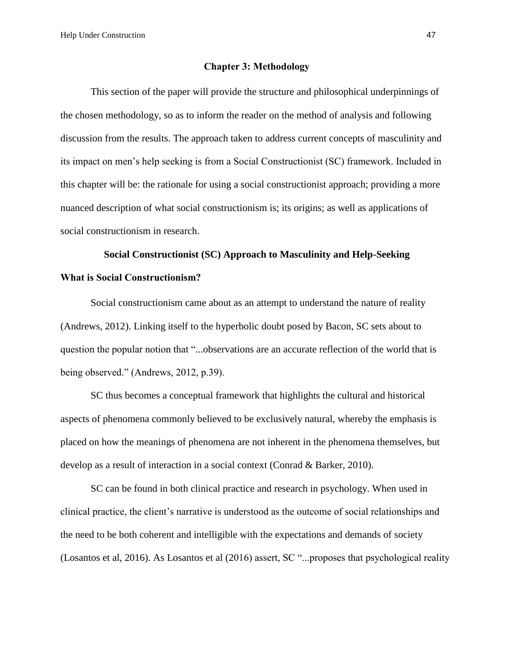Help Under Construction 47

#### **Chapter 3: Methodology**

This section of the paper will provide the structure and philosophical underpinnings of the chosen methodology, so as to inform the reader on the method of analysis and following discussion from the results. The approach taken to address current concepts of masculinity and its impact on men's help seeking is from a Social Constructionist (SC) framework. Included in this chapter will be: the rationale for using a social constructionist approach; providing a more nuanced description of what social constructionism is; its origins; as well as applications of social constructionism in research.

# **Social Constructionist (SC) Approach to Masculinity and Help-Seeking What is Social Constructionism?**

Social constructionism came about as an attempt to understand the nature of reality (Andrews, 2012). Linking itself to the hyperbolic doubt posed by Bacon, SC sets about to question the popular notion that "...observations are an accurate reflection of the world that is being observed." (Andrews, 2012, p.39).

SC thus becomes a conceptual framework that highlights the cultural and historical aspects of phenomena commonly believed to be exclusively natural, whereby the emphasis is placed on how the meanings of phenomena are not inherent in the phenomena themselves, but develop as a result of interaction in a social context (Conrad & Barker, 2010).

SC can be found in both clinical practice and research in psychology. When used in clinical practice, the client's narrative is understood as the outcome of social relationships and the need to be both coherent and intelligible with the expectations and demands of society (Losantos et al, 2016). As Losantos et al (2016) assert, SC "...proposes that psychological reality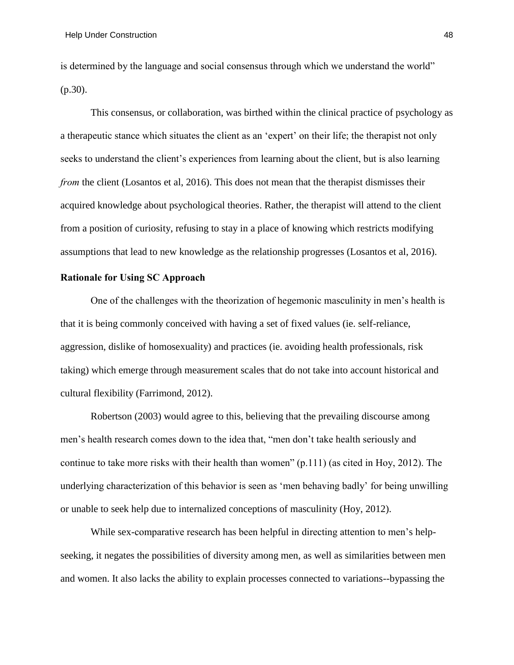is determined by the language and social consensus through which we understand the world" (p.30).

This consensus, or collaboration, was birthed within the clinical practice of psychology as a therapeutic stance which situates the client as an 'expert' on their life; the therapist not only seeks to understand the client's experiences from learning about the client, but is also learning *from* the client (Losantos et al, 2016). This does not mean that the therapist dismisses their acquired knowledge about psychological theories. Rather, the therapist will attend to the client from a position of curiosity, refusing to stay in a place of knowing which restricts modifying assumptions that lead to new knowledge as the relationship progresses (Losantos et al, 2016).

# **Rationale for Using SC Approach**

One of the challenges with the theorization of hegemonic masculinity in men's health is that it is being commonly conceived with having a set of fixed values (ie. self-reliance, aggression, dislike of homosexuality) and practices (ie. avoiding health professionals, risk taking) which emerge through measurement scales that do not take into account historical and cultural flexibility (Farrimond, 2012).

Robertson (2003) would agree to this, believing that the prevailing discourse among men's health research comes down to the idea that, "men don't take health seriously and continue to take more risks with their health than women" (p.111) (as cited in Hoy, 2012). The underlying characterization of this behavior is seen as 'men behaving badly' for being unwilling or unable to seek help due to internalized conceptions of masculinity (Hoy, 2012).

While sex-comparative research has been helpful in directing attention to men's helpseeking, it negates the possibilities of diversity among men, as well as similarities between men and women. It also lacks the ability to explain processes connected to variations--bypassing the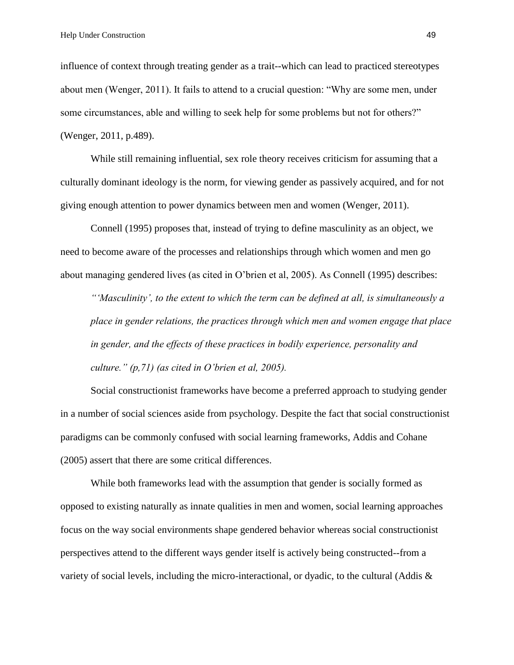influence of context through treating gender as a trait--which can lead to practiced stereotypes about men (Wenger, 2011). It fails to attend to a crucial question: "Why are some men, under some circumstances, able and willing to seek help for some problems but not for others?" (Wenger, 2011, p.489).

While still remaining influential, sex role theory receives criticism for assuming that a culturally dominant ideology is the norm, for viewing gender as passively acquired, and for not giving enough attention to power dynamics between men and women (Wenger, 2011).

Connell (1995) proposes that, instead of trying to define masculinity as an object, we need to become aware of the processes and relationships through which women and men go about managing gendered lives (as cited in O'brien et al, 2005). As Connell (1995) describes:

*"'Masculinity', to the extent to which the term can be defined at all, is simultaneously a place in gender relations, the practices through which men and women engage that place in gender, and the effects of these practices in bodily experience, personality and culture." (p,71) (as cited in O'brien et al, 2005).* 

Social constructionist frameworks have become a preferred approach to studying gender in a number of social sciences aside from psychology. Despite the fact that social constructionist paradigms can be commonly confused with social learning frameworks, Addis and Cohane (2005) assert that there are some critical differences.

While both frameworks lead with the assumption that gender is socially formed as opposed to existing naturally as innate qualities in men and women, social learning approaches focus on the way social environments shape gendered behavior whereas social constructionist perspectives attend to the different ways gender itself is actively being constructed--from a variety of social levels, including the micro-interactional, or dyadic, to the cultural (Addis &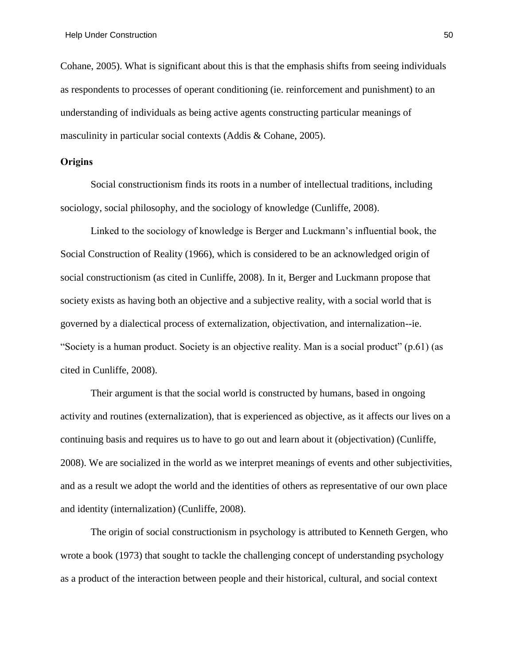Cohane, 2005). What is significant about this is that the emphasis shifts from seeing individuals as respondents to processes of operant conditioning (ie. reinforcement and punishment) to an understanding of individuals as being active agents constructing particular meanings of masculinity in particular social contexts (Addis & Cohane, 2005).

# **Origins**

Social constructionism finds its roots in a number of intellectual traditions, including sociology, social philosophy, and the sociology of knowledge (Cunliffe, 2008).

Linked to the sociology of knowledge is Berger and Luckmann's influential book, the Social Construction of Reality (1966), which is considered to be an acknowledged origin of social constructionism (as cited in Cunliffe, 2008). In it, Berger and Luckmann propose that society exists as having both an objective and a subjective reality, with a social world that is governed by a dialectical process of externalization, objectivation, and internalization--ie. "Society is a human product. Society is an objective reality. Man is a social product" (p.61) (as cited in Cunliffe, 2008).

Their argument is that the social world is constructed by humans, based in ongoing activity and routines (externalization), that is experienced as objective, as it affects our lives on a continuing basis and requires us to have to go out and learn about it (objectivation) (Cunliffe, 2008). We are socialized in the world as we interpret meanings of events and other subjectivities, and as a result we adopt the world and the identities of others as representative of our own place and identity (internalization) (Cunliffe, 2008).

The origin of social constructionism in psychology is attributed to Kenneth Gergen, who wrote a book (1973) that sought to tackle the challenging concept of understanding psychology as a product of the interaction between people and their historical, cultural, and social context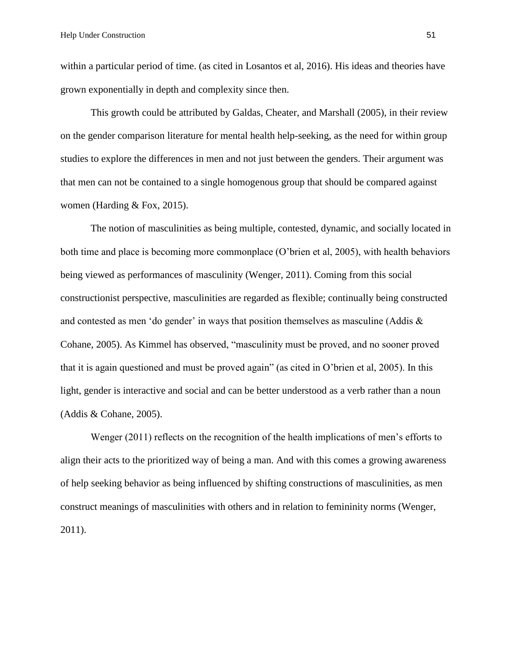within a particular period of time. (as cited in Losantos et al, 2016). His ideas and theories have grown exponentially in depth and complexity since then.

This growth could be attributed by Galdas, Cheater, and Marshall (2005), in their review on the gender comparison literature for mental health help-seeking, as the need for within group studies to explore the differences in men and not just between the genders. Their argument was that men can not be contained to a single homogenous group that should be compared against women (Harding & Fox, 2015).

The notion of masculinities as being multiple, contested, dynamic, and socially located in both time and place is becoming more commonplace (O'brien et al, 2005), with health behaviors being viewed as performances of masculinity (Wenger, 2011). Coming from this social constructionist perspective, masculinities are regarded as flexible; continually being constructed and contested as men 'do gender' in ways that position themselves as masculine (Addis & Cohane, 2005). As Kimmel has observed, "masculinity must be proved, and no sooner proved that it is again questioned and must be proved again" (as cited in O'brien et al, 2005). In this light, gender is interactive and social and can be better understood as a verb rather than a noun (Addis & Cohane, 2005).

Wenger (2011) reflects on the recognition of the health implications of men's efforts to align their acts to the prioritized way of being a man. And with this comes a growing awareness of help seeking behavior as being influenced by shifting constructions of masculinities, as men construct meanings of masculinities with others and in relation to femininity norms (Wenger, 2011).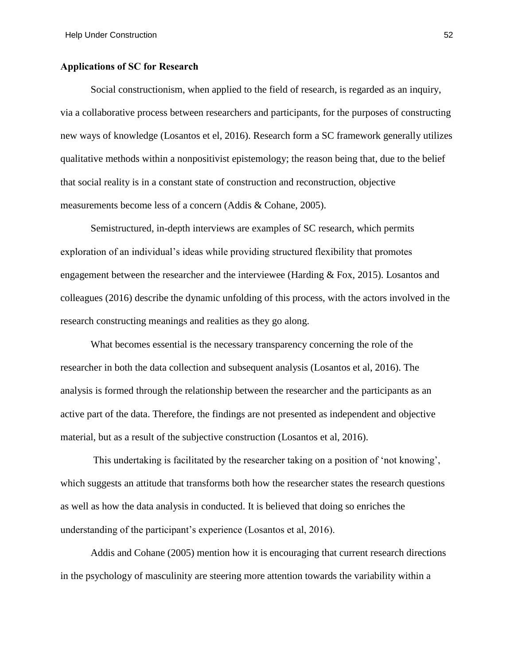## **Applications of SC for Research**

Social constructionism, when applied to the field of research, is regarded as an inquiry, via a collaborative process between researchers and participants, for the purposes of constructing new ways of knowledge (Losantos et el, 2016). Research form a SC framework generally utilizes qualitative methods within a nonpositivist epistemology; the reason being that, due to the belief that social reality is in a constant state of construction and reconstruction, objective measurements become less of a concern (Addis & Cohane, 2005).

Semistructured, in-depth interviews are examples of SC research, which permits exploration of an individual's ideas while providing structured flexibility that promotes engagement between the researcher and the interviewee (Harding & Fox, 2015). Losantos and colleagues (2016) describe the dynamic unfolding of this process, with the actors involved in the research constructing meanings and realities as they go along.

What becomes essential is the necessary transparency concerning the role of the researcher in both the data collection and subsequent analysis (Losantos et al, 2016). The analysis is formed through the relationship between the researcher and the participants as an active part of the data. Therefore, the findings are not presented as independent and objective material, but as a result of the subjective construction (Losantos et al, 2016).

This undertaking is facilitated by the researcher taking on a position of 'not knowing', which suggests an attitude that transforms both how the researcher states the research questions as well as how the data analysis in conducted. It is believed that doing so enriches the understanding of the participant's experience (Losantos et al, 2016).

Addis and Cohane (2005) mention how it is encouraging that current research directions in the psychology of masculinity are steering more attention towards the variability within a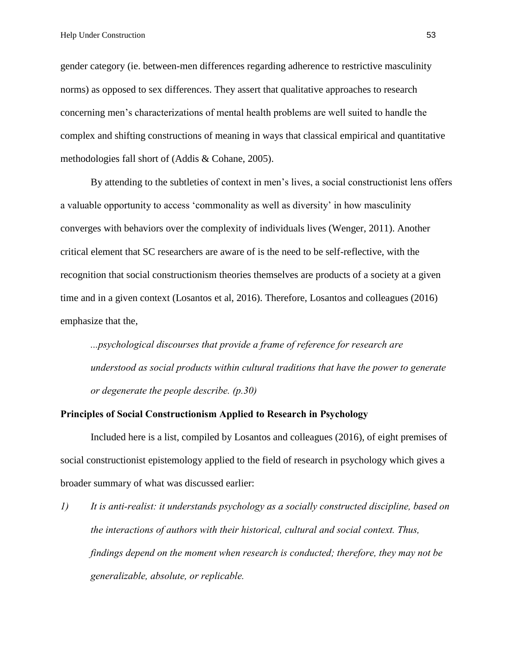gender category (ie. between-men differences regarding adherence to restrictive masculinity norms) as opposed to sex differences. They assert that qualitative approaches to research concerning men's characterizations of mental health problems are well suited to handle the complex and shifting constructions of meaning in ways that classical empirical and quantitative methodologies fall short of (Addis & Cohane, 2005).

By attending to the subtleties of context in men's lives, a social constructionist lens offers a valuable opportunity to access 'commonality as well as diversity' in how masculinity converges with behaviors over the complexity of individuals lives (Wenger, 2011). Another critical element that SC researchers are aware of is the need to be self-reflective, with the recognition that social constructionism theories themselves are products of a society at a given time and in a given context (Losantos et al, 2016). Therefore, Losantos and colleagues (2016) emphasize that the,

*...psychological discourses that provide a frame of reference for research are understood as social products within cultural traditions that have the power to generate or degenerate the people describe. (p.30)*

#### **Principles of Social Constructionism Applied to Research in Psychology**

Included here is a list, compiled by Losantos and colleagues (2016), of eight premises of social constructionist epistemology applied to the field of research in psychology which gives a broader summary of what was discussed earlier:

*1) It is anti-realist: it understands psychology as a socially constructed discipline, based on the interactions of authors with their historical, cultural and social context. Thus, findings depend on the moment when research is conducted; therefore, they may not be generalizable, absolute, or replicable.*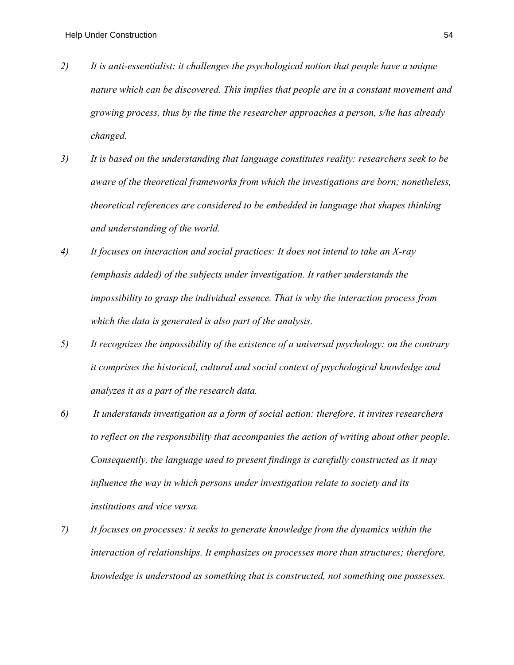- *2) It is anti-essentialist: it challenges the psychological notion that people have a unique nature which can be discovered. This implies that people are in a constant movement and growing process, thus by the time the researcher approaches a person, s/he has already changed.*
- *3) It is based on the understanding that language constitutes reality: researchers seek to be aware of the theoretical frameworks from which the investigations are born; nonetheless, theoretical references are considered to be embedded in language that shapes thinking and understanding of the world.*
- *4) It focuses on interaction and social practices: It does not intend to take an X-ray (emphasis added) of the subjects under investigation. It rather understands the impossibility to grasp the individual essence. That is why the interaction process from which the data is generated is also part of the analysis.*
- *5) It recognizes the impossibility of the existence of a universal psychology: on the contrary it comprises the historical, cultural and social context of psychological knowledge and analyzes it as a part of the research data.*
- *6) It understands investigation as a form of social action: therefore, it invites researchers to reflect on the responsibility that accompanies the action of writing about other people. Consequently, the language used to present findings is carefully constructed as it may influence the way in which persons under investigation relate to society and its institutions and vice versa.*
- *7) It focuses on processes: it seeks to generate knowledge from the dynamics within the interaction of relationships. It emphasizes on processes more than structures; therefore, knowledge is understood as something that is constructed, not something one possesses.*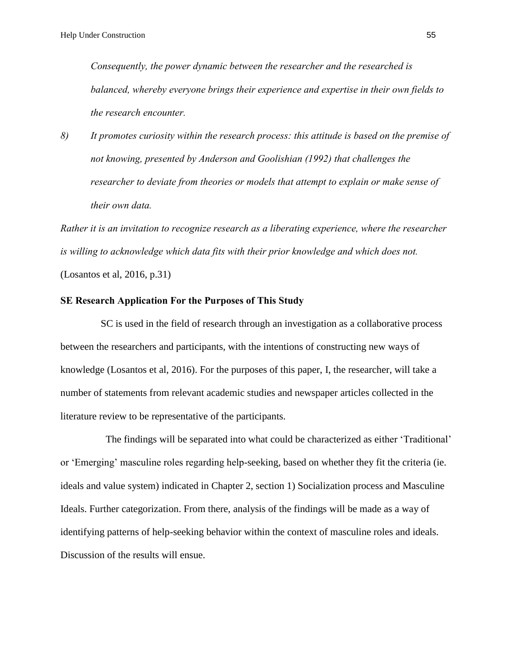*Consequently, the power dynamic between the researcher and the researched is balanced, whereby everyone brings their experience and expertise in their own fields to the research encounter.*

*8) It promotes curiosity within the research process: this attitude is based on the premise of not knowing, presented by Anderson and Goolishian (1992) that challenges the researcher to deviate from theories or models that attempt to explain or make sense of their own data.*

*Rather it is an invitation to recognize research as a liberating experience, where the researcher is willing to acknowledge which data fits with their prior knowledge and which does not.*  (Losantos et al, 2016, p.31)

#### **SE Research Application For the Purposes of This Study**

SC is used in the field of research through an investigation as a collaborative process between the researchers and participants, with the intentions of constructing new ways of knowledge (Losantos et al, 2016). For the purposes of this paper, I, the researcher, will take a number of statements from relevant academic studies and newspaper articles collected in the literature review to be representative of the participants.

 The findings will be separated into what could be characterized as either 'Traditional' or 'Emerging' masculine roles regarding help-seeking, based on whether they fit the criteria (ie. ideals and value system) indicated in Chapter 2, section 1) Socialization process and Masculine Ideals. Further categorization. From there, analysis of the findings will be made as a way of identifying patterns of help-seeking behavior within the context of masculine roles and ideals. Discussion of the results will ensue.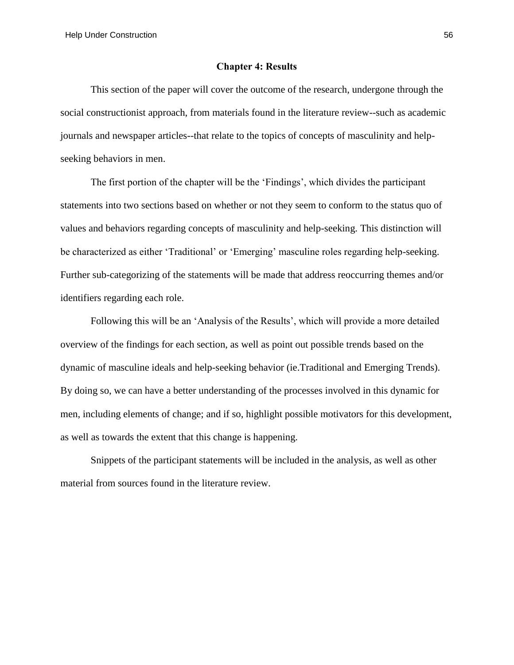#### **Chapter 4: Results**

This section of the paper will cover the outcome of the research, undergone through the social constructionist approach, from materials found in the literature review--such as academic journals and newspaper articles--that relate to the topics of concepts of masculinity and helpseeking behaviors in men.

The first portion of the chapter will be the 'Findings', which divides the participant statements into two sections based on whether or not they seem to conform to the status quo of values and behaviors regarding concepts of masculinity and help-seeking. This distinction will be characterized as either 'Traditional' or 'Emerging' masculine roles regarding help-seeking. Further sub-categorizing of the statements will be made that address reoccurring themes and/or identifiers regarding each role.

Following this will be an 'Analysis of the Results', which will provide a more detailed overview of the findings for each section, as well as point out possible trends based on the dynamic of masculine ideals and help-seeking behavior (ie.Traditional and Emerging Trends). By doing so, we can have a better understanding of the processes involved in this dynamic for men, including elements of change; and if so, highlight possible motivators for this development, as well as towards the extent that this change is happening.

Snippets of the participant statements will be included in the analysis, as well as other material from sources found in the literature review.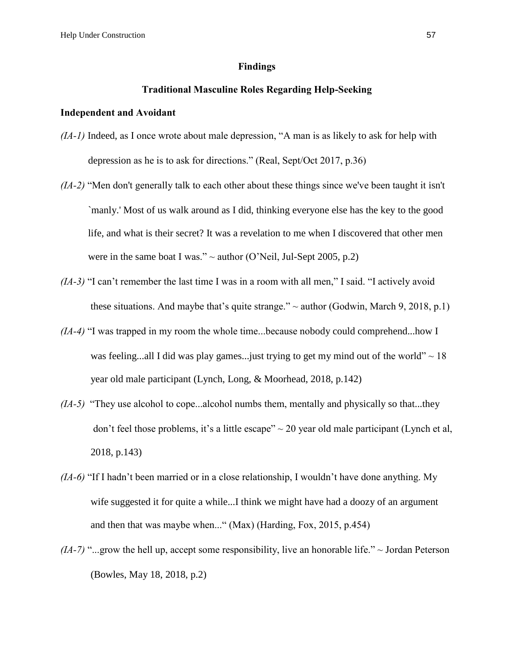#### **Findings**

# **Traditional Masculine Roles Regarding Help-Seeking**

## **Independent and Avoidant**

- *(IA-1)* Indeed, as I once wrote about male depression, "A man is as likely to ask for help with depression as he is to ask for directions." (Real, Sept/Oct 2017, p.36)
- *(IA-2)* "Men don't generally talk to each other about these things since we've been taught it isn't `manly.' Most of us walk around as I did, thinking everyone else has the key to the good life, and what is their secret? It was a revelation to me when I discovered that other men were in the same boat I was."  $\sim$  author (O'Neil, Jul-Sept 2005, p.2)
- *(IA-3)* "I can't remember the last time I was in a room with all men," I said. "I actively avoid these situations. And maybe that's quite strange."  $\sim$  author (Godwin, March 9, 2018, p.1)
- *(IA-4)* "I was trapped in my room the whole time...because nobody could comprehend...how I was feeling...all I did was play games... just trying to get my mind out of the world"  $\sim 18$ year old male participant (Lynch, Long, & Moorhead, 2018, p.142)
- *(IA-5)* "They use alcohol to cope...alcohol numbs them, mentally and physically so that...they don't feel those problems, it's a little escape"  $\sim$  20 year old male participant (Lynch et al, 2018, p.143)
- *(IA-6)* "If I hadn't been married or in a close relationship, I wouldn't have done anything. My wife suggested it for quite a while...I think we might have had a doozy of an argument and then that was maybe when..." (Max) (Harding, Fox, 2015, p.454)
- $(IA-7)$  "...grow the hell up, accept some responsibility, live an honorable life."  $\sim$  Jordan Peterson (Bowles, May 18, 2018, p.2)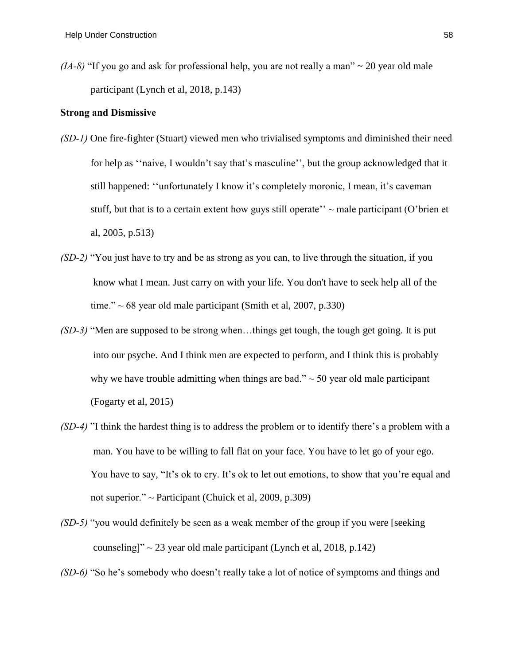$(IA-8)$  "If you go and ask for professional help, you are not really a man"  $\sim$  20 year old male participant (Lynch et al, 2018, p.143)

## **Strong and Dismissive**

- *(SD-1)* One fire-fighter (Stuart) viewed men who trivialised symptoms and diminished their need for help as ''naive, I wouldn't say that's masculine'', but the group acknowledged that it still happened: ''unfortunately I know it's completely moronic, I mean, it's caveman stuff, but that is to a certain extent how guys still operate''  $\sim$  male participant (O'brien et al, 2005, p.513)
- *(SD-2)* "You just have to try and be as strong as you can, to live through the situation, if you know what I mean. Just carry on with your life. You don't have to seek help all of the time."  $\sim 68$  year old male participant (Smith et al, 2007, p.330)
- *(SD-3)* "Men are supposed to be strong when…things get tough, the tough get going. It is put into our psyche. And I think men are expected to perform, and I think this is probably why we have trouble admitting when things are bad."  $\sim$  50 year old male participant (Fogarty et al, 2015)
- *(SD-4)* "I think the hardest thing is to address the problem or to identify there's a problem with a man. You have to be willing to fall flat on your face. You have to let go of your ego. You have to say, "It's ok to cry. It's ok to let out emotions, to show that you're equal and not superior."  $\sim$  Participant (Chuick et al, 2009, p.309)
- *(SD-5)* "you would definitely be seen as a weak member of the group if you were [seeking counseling]"  $\sim$  23 year old male participant (Lynch et al, 2018, p.142)

*(SD-6)* "So he's somebody who doesn't really take a lot of notice of symptoms and things and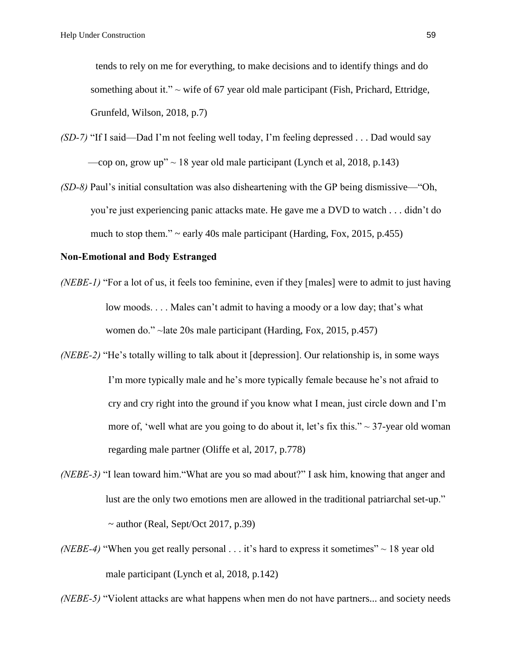tends to rely on me for everything, to make decisions and to identify things and do something about it."  $\sim$  wife of 67 year old male participant (Fish, Prichard, Ettridge, Grunfeld, Wilson, 2018, p.7)

- *(SD-7)* "If I said—Dad I'm not feeling well today, I'm feeling depressed . . . Dad would say —cop on, grow up"  $\sim$  18 year old male participant (Lynch et al, 2018, p.143)
- *(SD-8)* Paul's initial consultation was also disheartening with the GP being dismissive—"Oh, you're just experiencing panic attacks mate. He gave me a DVD to watch . . . didn't do much to stop them."  $\sim$  early 40s male participant (Harding, Fox, 2015, p.455)

#### **Non-Emotional and Body Estranged**

- *(NEBE-1)* "For a lot of us, it feels too feminine, even if they [males] were to admit to just having low moods. . . . Males can't admit to having a moody or a low day; that's what women do." ~late 20s male participant (Harding, Fox, 2015, p.457)
- *(NEBE-2)* "He's totally willing to talk about it [depression]. Our relationship is, in some ways I'm more typically male and he's more typically female because he's not afraid to cry and cry right into the ground if you know what I mean, just circle down and I'm more of, 'well what are you going to do about it, let's fix this."  $\sim$  37-year old woman regarding male partner (Oliffe et al, 2017, p.778)
- *(NEBE-3)* "I lean toward him."What are you so mad about?" I ask him, knowing that anger and lust are the only two emotions men are allowed in the traditional patriarchal set-up."  $\sim$  author (Real, Sept/Oct 2017, p.39)
- *(NEBE-4)* "When you get really personal . . . it's hard to express it sometimes"  $\sim$  18 year old male participant (Lynch et al, 2018, p.142)

*(NEBE-5)* "Violent attacks are what happens when men do not have partners... and society needs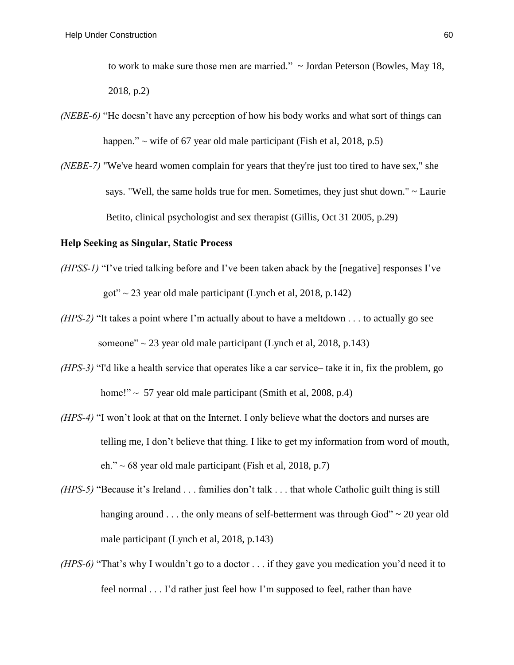to work to make sure those men are married." ~ Jordan Peterson (Bowles, May 18, 2018, p.2)

- *(NEBE-6)* "He doesn't have any perception of how his body works and what sort of things can happen."  $\sim$  wife of 67 year old male participant (Fish et al, 2018, p.5)
- *(NEBE-7)* "We've heard women complain for years that they're just too tired to have sex," she says. "Well, the same holds true for men. Sometimes, they just shut down." ~ Laurie Betito, clinical psychologist and sex therapist (Gillis, Oct 31 2005, p.29)

## **Help Seeking as Singular, Static Process**

- *(HPSS-1)* "I've tried talking before and I've been taken aback by the [negative] responses I've got"  $\sim$  23 year old male participant (Lynch et al, 2018, p.142)
- *(HPS-2)* "It takes a point where I'm actually about to have a meltdown . . . to actually go see someone"  $\sim$  23 year old male participant (Lynch et al. 2018, p.143)
- *(HPS-3)* "I'd like a health service that operates like a car service– take it in, fix the problem, go home!"  $\sim$  57 year old male participant (Smith et al, 2008, p.4)
- *(HPS-4)* "I won't look at that on the Internet. I only believe what the doctors and nurses are telling me, I don't believe that thing. I like to get my information from word of mouth, eh."  $\sim$  68 year old male participant (Fish et al, 2018, p.7)
- *(HPS-5)* "Because it's Ireland . . . families don't talk . . . that whole Catholic guilt thing is still hanging around . . . the only means of self-betterment was through God" ~ 20 year old male participant (Lynch et al, 2018, p.143)
- *(HPS-6)* "That's why I wouldn't go to a doctor . . . if they gave you medication you'd need it to feel normal . . . I'd rather just feel how I'm supposed to feel, rather than have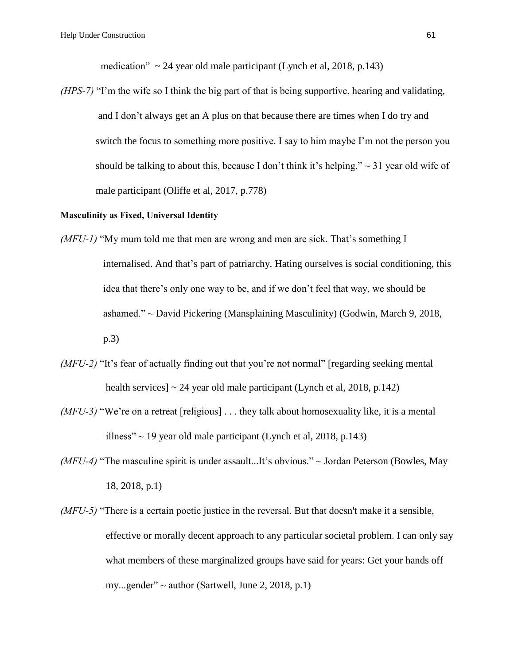medication"  $\sim$  24 year old male participant (Lynch et al, 2018, p.143)

*(HPS-7)* "I'm the wife so I think the big part of that is being supportive, hearing and validating, and I don't always get an A plus on that because there are times when I do try and switch the focus to something more positive. I say to him maybe I'm not the person you should be talking to about this, because I don't think it's helping."  $\sim$  31 year old wife of male participant (Oliffe et al, 2017, p.778)

#### **Masculinity as Fixed, Universal Identity**

- *(MFU-1)* "My mum told me that men are wrong and men are sick. That's something I internalised. And that's part of patriarchy. Hating ourselves is social conditioning, this idea that there's only one way to be, and if we don't feel that way, we should be ashamed." ~ David Pickering (Mansplaining Masculinity) (Godwin, March 9, 2018, p.3)
- *(MFU-2)* "It's fear of actually finding out that you're not normal" [regarding seeking mental] health services]  $\sim$  24 year old male participant (Lynch et al, 2018, p.142)
- *(MFU-3)* "We're on a retreat [religious] . . . they talk about homosexuality like, it is a mental illness"  $\sim$  19 year old male participant (Lynch et al, 2018, p.143)
- *(MFU-4)* "The masculine spirit is under assault...It's obvious." ~ Jordan Peterson (Bowles, May 18, 2018, p.1)
- *(MFU-5)* "There is a certain poetic justice in the reversal. But that doesn't make it a sensible, effective or morally decent approach to any particular societal problem. I can only say what members of these marginalized groups have said for years: Get your hands off my...gender"  $\sim$  author (Sartwell, June 2, 2018, p.1)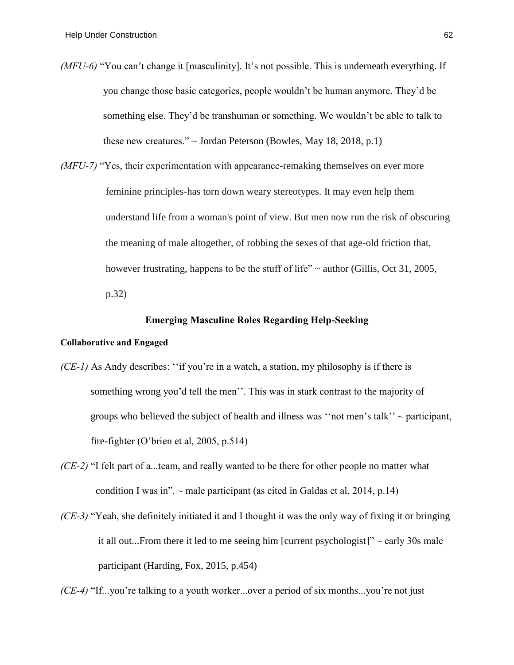*(MFU-6)* "You can't change it [masculinity]. It's not possible. This is underneath everything. If you change those basic categories, people wouldn't be human anymore. They'd be something else. They'd be transhuman or something. We wouldn't be able to talk to these new creatures."  $\sim$  Jordan Peterson (Bowles, May 18, 2018, p.1)

*(MFU-7)* "Yes, their experimentation with appearance-remaking themselves on ever more feminine principles-has torn down weary stereotypes. It may even help them understand life from a woman's point of view. But men now run the risk of obscuring the meaning of male altogether, of robbing the sexes of that age-old friction that, however frustrating, happens to be the stuff of life"  $\sim$  author (Gillis, Oct 31, 2005, p.32)

#### **Emerging Masculine Roles Regarding Help-Seeking**

#### **Collaborative and Engaged**

- *(CE-1)* As Andy describes: "if you're in a watch, a station, my philosophy is if there is something wrong you'd tell the men''. This was in stark contrast to the majority of groups who believed the subject of health and illness was "not men's talk"  $\sim$  participant, fire-fighter (O'brien et al, 2005, p.514)
- *(CE-2)* "I felt part of a...team, and really wanted to be there for other people no matter what condition I was in".  $\sim$  male participant (as cited in Galdas et al, 2014, p.14)
- *(CE-3)* "Yeah, she definitely initiated it and I thought it was the only way of fixing it or bringing it all out...From there it led to me seeing him [current psychologist]"  $\sim$  early 30s male participant (Harding, Fox, 2015, p.454)

*(CE-4)* "If...you're talking to a youth worker...over a period of six months...you're not just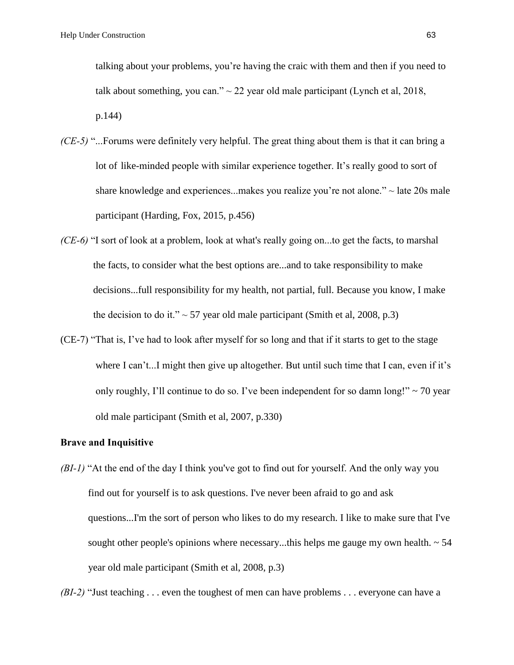talking about your problems, you're having the craic with them and then if you need to talk about something, you can."  $\sim$  22 year old male participant (Lynch et al, 2018, p.144)

- *(CE-5)* "...Forums were definitely very helpful. The great thing about them is that it can bring a lot of like-minded people with similar experience together. It's really good to sort of share knowledge and experiences...makes you realize you're not alone." $\sim$  late 20s male participant (Harding, Fox, 2015, p.456)
- *(CE-6)* "I sort of look at a problem, look at what's really going on...to get the facts, to marshal the facts, to consider what the best options are...and to take responsibility to make decisions...full responsibility for my health, not partial, full. Because you know, I make the decision to do it."  $\sim$  57 year old male participant (Smith et al, 2008, p.3)
- (CE-7) "That is, I've had to look after myself for so long and that if it starts to get to the stage where I can't...I might then give up altogether. But until such time that I can, even if it's only roughly, I'll continue to do so. I've been independent for so damn long!"  $\sim$  70 year old male participant (Smith et al, 2007, p.330)

## **Brave and Inquisitive**

*(BI-1)* "At the end of the day I think you've got to find out for yourself. And the only way you find out for yourself is to ask questions. I've never been afraid to go and ask questions...I'm the sort of person who likes to do my research. I like to make sure that I've sought other people's opinions where necessary...this helps me gauge my own health.  $\sim$  54 year old male participant (Smith et al, 2008, p.3)

*(BI-2)* "Just teaching . . . even the toughest of men can have problems . . . everyone can have a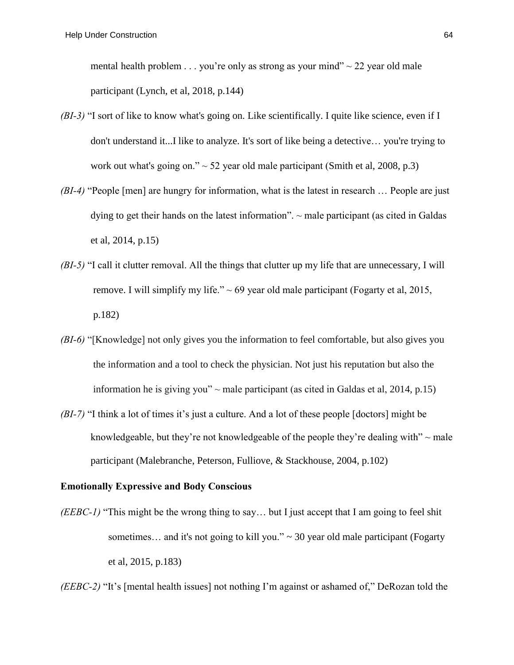mental health problem  $\ldots$  you're only as strong as your mind"  $\sim$  22 year old male participant (Lynch, et al, 2018, p.144)

- *(BI-3)* "I sort of like to know what's going on. Like scientifically. I quite like science, even if I don't understand it...I like to analyze. It's sort of like being a detective… you're trying to work out what's going on."  $\sim$  52 year old male participant (Smith et al, 2008, p.3)
- *(BI-4)* "People [men] are hungry for information, what is the latest in research ... People are just dying to get their hands on the latest information".  $\sim$  male participant (as cited in Galdas et al, 2014, p.15)
- *(BI-5)* "I call it clutter removal. All the things that clutter up my life that are unnecessary, I will remove. I will simplify my life."  $\sim 69$  year old male participant (Fogarty et al, 2015, p.182)
- *(BI-6)* "[Knowledge] not only gives you the information to feel comfortable, but also gives you the information and a tool to check the physician. Not just his reputation but also the information he is giving you"  $\sim$  male participant (as cited in Galdas et al, 2014, p.15)
- *(BI-7)* "I think a lot of times it's just a culture. And a lot of these people [doctors] might be knowledgeable, but they're not knowledgeable of the people they're dealing with"  $\sim$  male participant (Malebranche, Peterson, Fulliove, & Stackhouse, 2004, p.102)

## **Emotionally Expressive and Body Conscious**

*(EEBC-1)* "This might be the wrong thing to say… but I just accept that I am going to feel shit sometimes... and it's not going to kill you."  $\sim$  30 year old male participant (Fogarty et al, 2015, p.183)

*(EEBC-2)* "It's [mental health issues] not nothing I'm against or ashamed of," DeRozan told the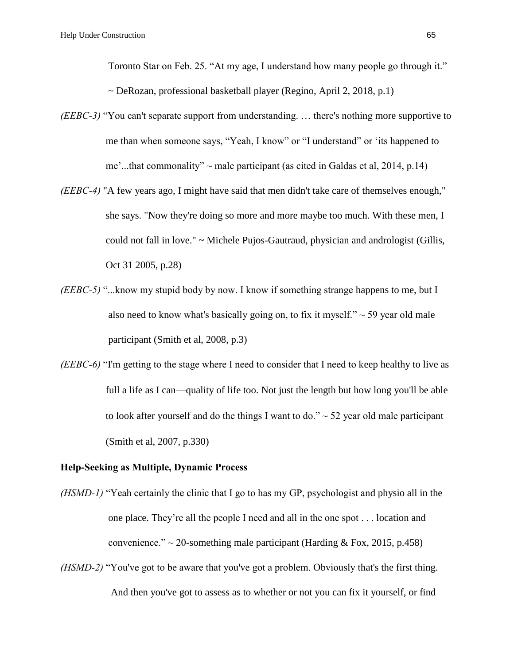Toronto Star on Feb. 25. "At my age, I understand how many people go through it."

 $\sim$  DeRozan, professional basketball player (Regino, April 2, 2018, p.1)

- *(EEBC-3)* "You can't separate support from understanding. … there's nothing more supportive to me than when someone says, "Yeah, I know" or "I understand" or 'its happened to me'...that commonality"  $\sim$  male participant (as cited in Galdas et al, 2014, p.14)
- *(EEBC-4)* "A few years ago, I might have said that men didn't take care of themselves enough," she says. "Now they're doing so more and more maybe too much. With these men, I could not fall in love." ~ Michele Pujos-Gautraud, physician and andrologist (Gillis, Oct 31 2005, p.28)
- *(EEBC-5)* "...know my stupid body by now. I know if something strange happens to me, but I also need to know what's basically going on, to fix it myself." $\sim$  59 year old male participant (Smith et al, 2008, p.3)
- *(EEBC-6)* "I'm getting to the stage where I need to consider that I need to keep healthy to live as full a life as I can—quality of life too. Not just the length but how long you'll be able to look after yourself and do the things I want to do."  $\sim$  52 year old male participant (Smith et al, 2007, p.330)

## **Help-Seeking as Multiple, Dynamic Process**

- *(HSMD-1)* "Yeah certainly the clinic that I go to has my GP, psychologist and physio all in the one place. They're all the people I need and all in the one spot . . . location and convenience."  $\sim$  20-something male participant (Harding & Fox, 2015, p.458)
- *(HSMD-2)* "You've got to be aware that you've got a problem. Obviously that's the first thing. And then you've got to assess as to whether or not you can fix it yourself, or find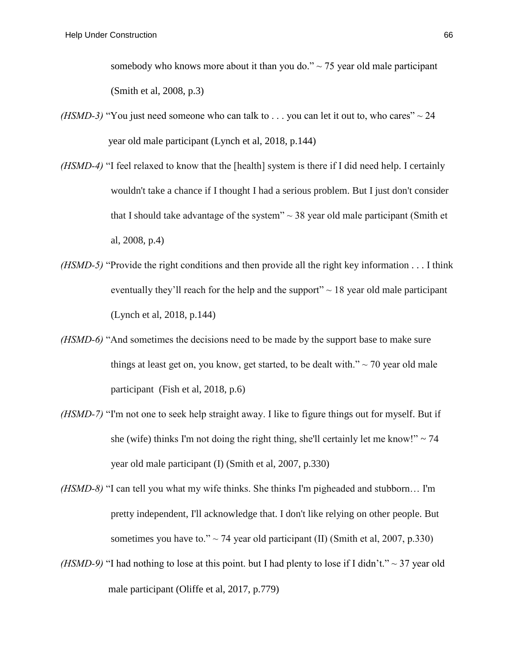somebody who knows more about it than you do." $\sim$  75 year old male participant (Smith et al, 2008, p.3)

- *(HSMD-3)* "You just need someone who can talk to  $\ldots$  you can let it out to, who cares"  $\sim$  24 year old male participant (Lynch et al, 2018, p.144)
- *(HSMD-4)* "I feel relaxed to know that the [health] system is there if I did need help. I certainly wouldn't take a chance if I thought I had a serious problem. But I just don't consider that I should take advantage of the system"  $\sim$  38 year old male participant (Smith et al, 2008, p.4)
- *(HSMD-5)* "Provide the right conditions and then provide all the right key information . . . I think eventually they'll reach for the help and the support"  $\sim$  18 year old male participant (Lynch et al, 2018, p.144)
- *(HSMD-6)* "And sometimes the decisions need to be made by the support base to make sure things at least get on, you know, get started, to be dealt with." $\sim$  70 year old male participant (Fish et al, 2018, p.6)
- *(HSMD-7)* "I'm not one to seek help straight away. I like to figure things out for myself. But if she (wife) thinks I'm not doing the right thing, she'll certainly let me know!"  $\sim$  74 year old male participant (I) (Smith et al, 2007, p.330)
- *(HSMD-8)* "I can tell you what my wife thinks. She thinks I'm pigheaded and stubborn… I'm pretty independent, I'll acknowledge that. I don't like relying on other people. But sometimes you have to."  $\sim$  74 year old participant (II) (Smith et al, 2007, p.330)
- *(HSMD-9)* "I had nothing to lose at this point. but I had plenty to lose if I didn't."  $\sim$  37 year old male participant (Oliffe et al, 2017, p.779)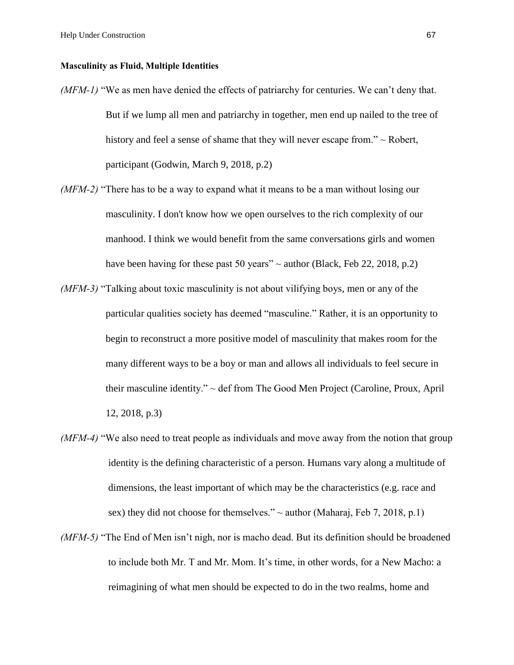#### **Masculinity as Fluid, Multiple Identities**

- *(MFM-1)* "We as men have denied the effects of patriarchy for centuries. We can't deny that. But if we lump all men and patriarchy in together, men end up nailed to the tree of history and feel a sense of shame that they will never escape from." ~ Robert, participant (Godwin, March 9, 2018, p.2)
- *(MFM-2)* "There has to be a way to expand what it means to be a man without losing our masculinity. I don't know how we open ourselves to the rich complexity of our manhood. I think we would benefit from the same conversations girls and women have been having for these past 50 years"  $\sim$  author (Black, Feb 22, 2018, p.2)
- *(MFM-3)* "Talking about toxic masculinity is not about vilifying boys, men or any of the particular qualities society has deemed "masculine." Rather, it is an opportunity to begin to reconstruct a more positive model of masculinity that makes room for the many different ways to be a boy or man and allows all individuals to feel secure in their masculine identity." ~ def from The Good Men Project (Caroline, Proux, April 12, 2018, p.3)
- *(MFM-4)* "We also need to treat people as individuals and move away from the notion that group identity is the defining characteristic of a person. Humans vary along a multitude of dimensions, the least important of which may be the characteristics (e.g. race and sex) they did not choose for themselves."  $\sim$  author (Maharaj, Feb 7, 2018, p.1)
- *(MFM-5)* "The End of Men isn't nigh, nor is macho dead. But its definition should be broadened to include both Mr. T and Mr. Mom. It's time, in other words, for a New Macho: a reimagining of what men should be expected to do in the two realms, home and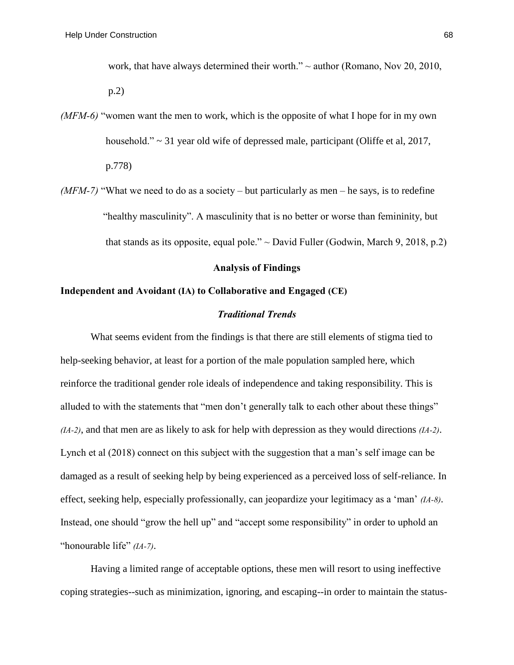work, that have always determined their worth."  $\sim$  author (Romano, Nov 20, 2010,

p.2)

*(MFM-6)* "women want the men to work, which is the opposite of what I hope for in my own household." ~ 31 year old wife of depressed male, participant (Oliffe et al, 2017, p.778)

*(MFM-7)* "What we need to do as a society – but particularly as men – he says, is to redefine "healthy masculinity". A masculinity that is no better or worse than femininity, but that stands as its opposite, equal pole."  $\sim$  David Fuller (Godwin, March 9, 2018, p.2)

## **Analysis of Findings**

## **Independent and Avoidant (IA) to Collaborative and Engaged (CE)**

## *Traditional Trends*

What seems evident from the findings is that there are still elements of stigma tied to help-seeking behavior, at least for a portion of the male population sampled here, which reinforce the traditional gender role ideals of independence and taking responsibility. This is alluded to with the statements that "men don't generally talk to each other about these things" *(IA-2)*, and that men are as likely to ask for help with depression as they would directions *(IA-2)*. Lynch et al (2018) connect on this subject with the suggestion that a man's self image can be damaged as a result of seeking help by being experienced as a perceived loss of self-reliance. In effect, seeking help, especially professionally, can jeopardize your legitimacy as a 'man' *(IA-8)*. Instead, one should "grow the hell up" and "accept some responsibility" in order to uphold an "honourable life" *(IA-7)*.

Having a limited range of acceptable options, these men will resort to using ineffective coping strategies--such as minimization, ignoring, and escaping--in order to maintain the status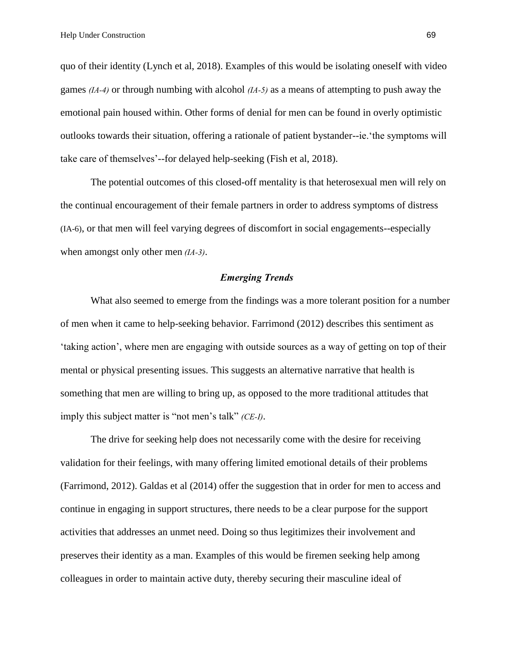quo of their identity (Lynch et al, 2018). Examples of this would be isolating oneself with video games *(IA-4)* or through numbing with alcohol *(IA-5)* as a means of attempting to push away the emotional pain housed within. Other forms of denial for men can be found in overly optimistic outlooks towards their situation, offering a rationale of patient bystander--ie.'the symptoms will take care of themselves'--for delayed help-seeking (Fish et al, 2018).

The potential outcomes of this closed-off mentality is that heterosexual men will rely on the continual encouragement of their female partners in order to address symptoms of distress (IA-6), or that men will feel varying degrees of discomfort in social engagements--especially when amongst only other men *(IA-3)*.

## *Emerging Trends*

What also seemed to emerge from the findings was a more tolerant position for a number of men when it came to help-seeking behavior. Farrimond (2012) describes this sentiment as 'taking action', where men are engaging with outside sources as a way of getting on top of their mental or physical presenting issues. This suggests an alternative narrative that health is something that men are willing to bring up, as opposed to the more traditional attitudes that imply this subject matter is "not men's talk" *(CE-I)*.

The drive for seeking help does not necessarily come with the desire for receiving validation for their feelings, with many offering limited emotional details of their problems (Farrimond, 2012). Galdas et al (2014) offer the suggestion that in order for men to access and continue in engaging in support structures, there needs to be a clear purpose for the support activities that addresses an unmet need. Doing so thus legitimizes their involvement and preserves their identity as a man. Examples of this would be firemen seeking help among colleagues in order to maintain active duty, thereby securing their masculine ideal of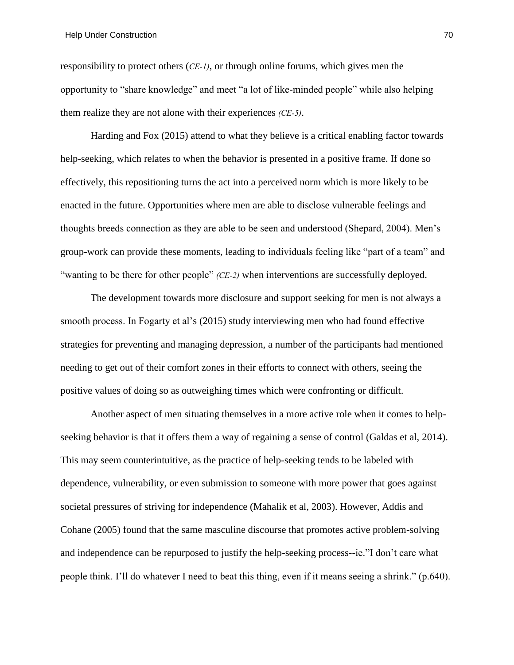responsibility to protect others (*CE-1)*, or through online forums, which gives men the opportunity to "share knowledge" and meet "a lot of like-minded people" while also helping them realize they are not alone with their experiences *(CE-5)*.

Harding and Fox (2015) attend to what they believe is a critical enabling factor towards help-seeking, which relates to when the behavior is presented in a positive frame. If done so effectively, this repositioning turns the act into a perceived norm which is more likely to be enacted in the future. Opportunities where men are able to disclose vulnerable feelings and thoughts breeds connection as they are able to be seen and understood (Shepard, 2004). Men's group-work can provide these moments, leading to individuals feeling like "part of a team" and "wanting to be there for other people" *(CE-2)* when interventions are successfully deployed.

The development towards more disclosure and support seeking for men is not always a smooth process. In Fogarty et al's (2015) study interviewing men who had found effective strategies for preventing and managing depression, a number of the participants had mentioned needing to get out of their comfort zones in their efforts to connect with others, seeing the positive values of doing so as outweighing times which were confronting or difficult.

Another aspect of men situating themselves in a more active role when it comes to helpseeking behavior is that it offers them a way of regaining a sense of control (Galdas et al, 2014). This may seem counterintuitive, as the practice of help-seeking tends to be labeled with dependence, vulnerability, or even submission to someone with more power that goes against societal pressures of striving for independence (Mahalik et al, 2003). However, Addis and Cohane (2005) found that the same masculine discourse that promotes active problem-solving and independence can be repurposed to justify the help-seeking process--ie."I don't care what people think. I'll do whatever I need to beat this thing, even if it means seeing a shrink." (p.640).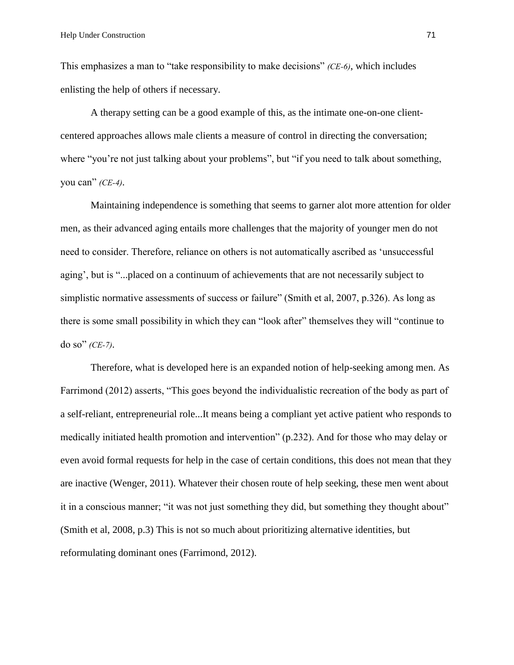This emphasizes a man to "take responsibility to make decisions" *(CE-6)*, which includes enlisting the help of others if necessary.

A therapy setting can be a good example of this, as the intimate one-on-one clientcentered approaches allows male clients a measure of control in directing the conversation; where "you're not just talking about your problems", but "if you need to talk about something, you can" *(CE-4)*.

Maintaining independence is something that seems to garner alot more attention for older men, as their advanced aging entails more challenges that the majority of younger men do not need to consider. Therefore, reliance on others is not automatically ascribed as 'unsuccessful aging', but is "...placed on a continuum of achievements that are not necessarily subject to simplistic normative assessments of success or failure" (Smith et al, 2007, p.326). As long as there is some small possibility in which they can "look after" themselves they will "continue to do so" *(CE-7)*.

Therefore, what is developed here is an expanded notion of help-seeking among men. As Farrimond (2012) asserts, "This goes beyond the individualistic recreation of the body as part of a self-reliant, entrepreneurial role...It means being a compliant yet active patient who responds to medically initiated health promotion and intervention" (p.232). And for those who may delay or even avoid formal requests for help in the case of certain conditions, this does not mean that they are inactive (Wenger, 2011). Whatever their chosen route of help seeking, these men went about it in a conscious manner; "it was not just something they did, but something they thought about" (Smith et al, 2008, p.3) This is not so much about prioritizing alternative identities, but reformulating dominant ones (Farrimond, 2012).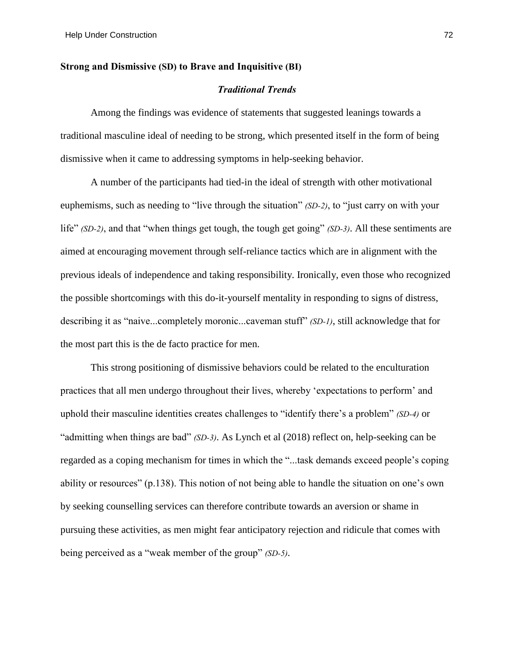## **Strong and Dismissive (SD) to Brave and Inquisitive (BI)**

## *Traditional Trends*

Among the findings was evidence of statements that suggested leanings towards a traditional masculine ideal of needing to be strong, which presented itself in the form of being dismissive when it came to addressing symptoms in help-seeking behavior.

A number of the participants had tied-in the ideal of strength with other motivational euphemisms, such as needing to "live through the situation" *(SD-2)*, to "just carry on with your life" *(SD-2)*, and that "when things get tough, the tough get going" *(SD-3)*. All these sentiments are aimed at encouraging movement through self-reliance tactics which are in alignment with the previous ideals of independence and taking responsibility. Ironically, even those who recognized the possible shortcomings with this do-it-yourself mentality in responding to signs of distress, describing it as "naive...completely moronic...caveman stuff" *(SD-1)*, still acknowledge that for the most part this is the de facto practice for men.

This strong positioning of dismissive behaviors could be related to the enculturation practices that all men undergo throughout their lives, whereby 'expectations to perform' and uphold their masculine identities creates challenges to "identify there's a problem" *(SD-4)* or "admitting when things are bad" *(SD-3)*. As Lynch et al (2018) reflect on, help-seeking can be regarded as a coping mechanism for times in which the "...task demands exceed people's coping ability or resources" (p.138). This notion of not being able to handle the situation on one's own by seeking counselling services can therefore contribute towards an aversion or shame in pursuing these activities, as men might fear anticipatory rejection and ridicule that comes with being perceived as a "weak member of the group" *(SD-5)*.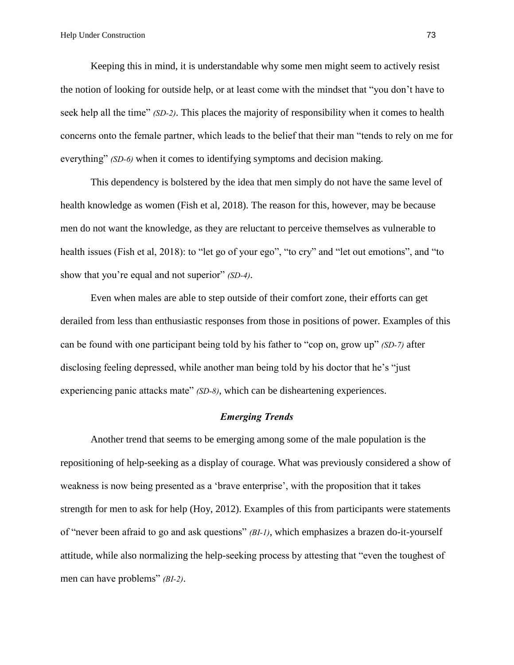Keeping this in mind, it is understandable why some men might seem to actively resist the notion of looking for outside help, or at least come with the mindset that "you don't have to seek help all the time" *(SD-2)*. This places the majority of responsibility when it comes to health concerns onto the female partner, which leads to the belief that their man "tends to rely on me for everything" *(SD-6)* when it comes to identifying symptoms and decision making.

This dependency is bolstered by the idea that men simply do not have the same level of health knowledge as women (Fish et al, 2018). The reason for this, however, may be because men do not want the knowledge, as they are reluctant to perceive themselves as vulnerable to health issues (Fish et al, 2018): to "let go of your ego", "to cry" and "let out emotions", and "to show that you're equal and not superior" *(SD-4)*.

Even when males are able to step outside of their comfort zone, their efforts can get derailed from less than enthusiastic responses from those in positions of power. Examples of this can be found with one participant being told by his father to "cop on, grow up" *(SD-7)* after disclosing feeling depressed, while another man being told by his doctor that he's "just experiencing panic attacks mate" *(SD-8)*, which can be disheartening experiences.

## *Emerging Trends*

Another trend that seems to be emerging among some of the male population is the repositioning of help-seeking as a display of courage. What was previously considered a show of weakness is now being presented as a 'brave enterprise', with the proposition that it takes strength for men to ask for help (Hoy, 2012). Examples of this from participants were statements of "never been afraid to go and ask questions" *(BI-1)*, which emphasizes a brazen do-it-yourself attitude, while also normalizing the help-seeking process by attesting that "even the toughest of men can have problems" *(BI-2)*.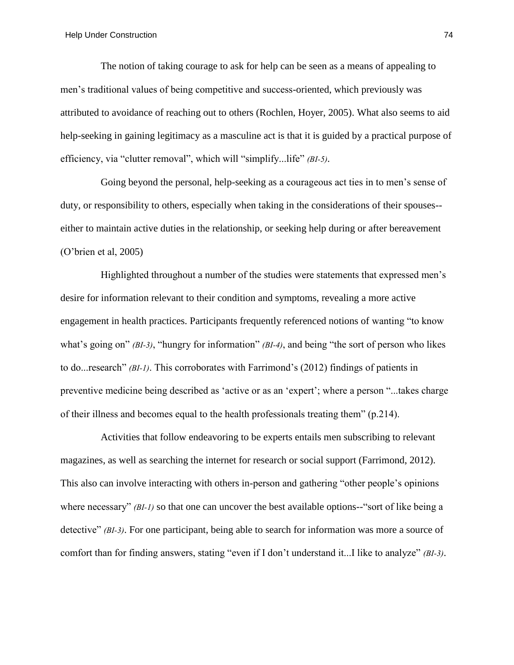The notion of taking courage to ask for help can be seen as a means of appealing to men's traditional values of being competitive and success-oriented, which previously was attributed to avoidance of reaching out to others (Rochlen, Hoyer, 2005). What also seems to aid help-seeking in gaining legitimacy as a masculine act is that it is guided by a practical purpose of efficiency, via "clutter removal", which will "simplify...life" *(BI-5)*.

Going beyond the personal, help-seeking as a courageous act ties in to men's sense of duty, or responsibility to others, especially when taking in the considerations of their spouses- either to maintain active duties in the relationship, or seeking help during or after bereavement (O'brien et al, 2005)

Highlighted throughout a number of the studies were statements that expressed men's desire for information relevant to their condition and symptoms, revealing a more active engagement in health practices. Participants frequently referenced notions of wanting "to know what's going on" *(BI-3)*, "hungry for information" *(BI-4)*, and being "the sort of person who likes to do...research" *(BI-1)*. This corroborates with Farrimond's (2012) findings of patients in preventive medicine being described as 'active or as an 'expert'; where a person "...takes charge of their illness and becomes equal to the health professionals treating them" (p.214).

Activities that follow endeavoring to be experts entails men subscribing to relevant magazines, as well as searching the internet for research or social support (Farrimond, 2012). This also can involve interacting with others in-person and gathering "other people's opinions where necessary" *(BI-1)* so that one can uncover the best available options--"sort of like being a detective" *(BI-3)*. For one participant, being able to search for information was more a source of comfort than for finding answers, stating "even if I don't understand it...I like to analyze" *(BI-3)*.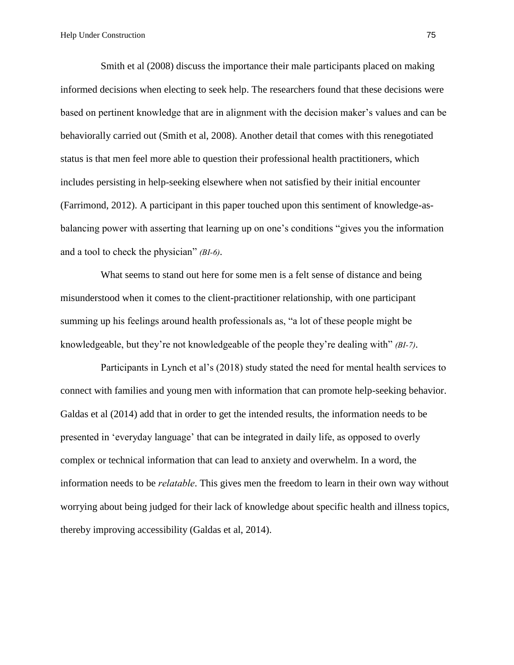Smith et al (2008) discuss the importance their male participants placed on making informed decisions when electing to seek help. The researchers found that these decisions were based on pertinent knowledge that are in alignment with the decision maker's values and can be behaviorally carried out (Smith et al, 2008). Another detail that comes with this renegotiated status is that men feel more able to question their professional health practitioners, which includes persisting in help-seeking elsewhere when not satisfied by their initial encounter (Farrimond, 2012). A participant in this paper touched upon this sentiment of knowledge-asbalancing power with asserting that learning up on one's conditions "gives you the information and a tool to check the physician" *(BI-6)*.

What seems to stand out here for some men is a felt sense of distance and being misunderstood when it comes to the client-practitioner relationship, with one participant summing up his feelings around health professionals as, "a lot of these people might be knowledgeable, but they're not knowledgeable of the people they're dealing with" *(BI-7)*.

Participants in Lynch et al's (2018) study stated the need for mental health services to connect with families and young men with information that can promote help-seeking behavior. Galdas et al (2014) add that in order to get the intended results, the information needs to be presented in 'everyday language' that can be integrated in daily life, as opposed to overly complex or technical information that can lead to anxiety and overwhelm. In a word, the information needs to be *relatable*. This gives men the freedom to learn in their own way without worrying about being judged for their lack of knowledge about specific health and illness topics, thereby improving accessibility (Galdas et al, 2014).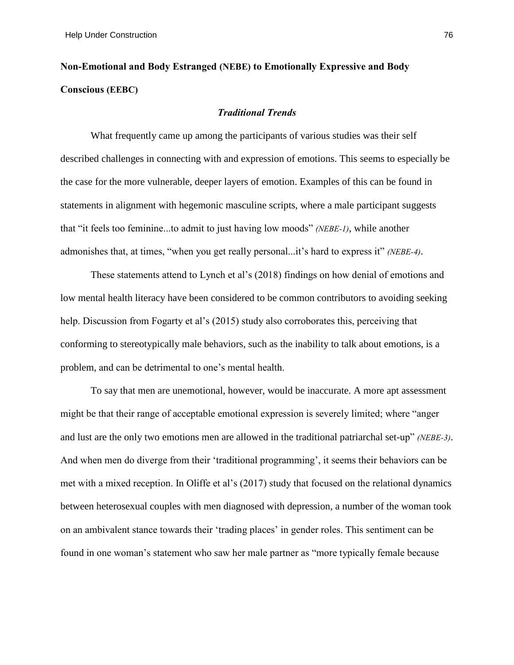# **Non-Emotional and Body Estranged (NEBE) to Emotionally Expressive and Body Conscious (EEBC)**

## *Traditional Trends*

What frequently came up among the participants of various studies was their self described challenges in connecting with and expression of emotions. This seems to especially be the case for the more vulnerable, deeper layers of emotion. Examples of this can be found in statements in alignment with hegemonic masculine scripts, where a male participant suggests that "it feels too feminine...to admit to just having low moods" *(NEBE-1)*, while another admonishes that, at times, "when you get really personal...it's hard to express it" *(NEBE-4)*.

These statements attend to Lynch et al's (2018) findings on how denial of emotions and low mental health literacy have been considered to be common contributors to avoiding seeking help. Discussion from Fogarty et al's (2015) study also corroborates this, perceiving that conforming to stereotypically male behaviors, such as the inability to talk about emotions, is a problem, and can be detrimental to one's mental health.

To say that men are unemotional, however, would be inaccurate. A more apt assessment might be that their range of acceptable emotional expression is severely limited; where "anger and lust are the only two emotions men are allowed in the traditional patriarchal set-up" *(NEBE-3)*. And when men do diverge from their 'traditional programming', it seems their behaviors can be met with a mixed reception. In Oliffe et al's (2017) study that focused on the relational dynamics between heterosexual couples with men diagnosed with depression, a number of the woman took on an ambivalent stance towards their 'trading places' in gender roles. This sentiment can be found in one woman's statement who saw her male partner as "more typically female because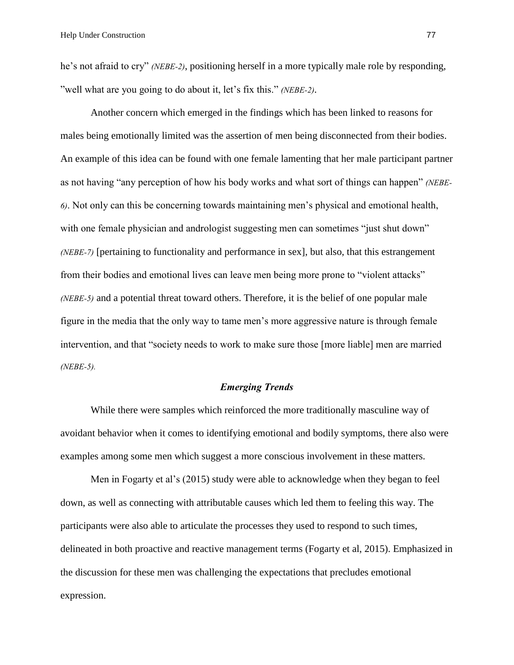he's not afraid to cry" *(NEBE-2)*, positioning herself in a more typically male role by responding, "well what are you going to do about it, let's fix this." *(NEBE-2)*.

Another concern which emerged in the findings which has been linked to reasons for males being emotionally limited was the assertion of men being disconnected from their bodies. An example of this idea can be found with one female lamenting that her male participant partner as not having "any perception of how his body works and what sort of things can happen" *(NEBE-6)*. Not only can this be concerning towards maintaining men's physical and emotional health, with one female physician and andrologist suggesting men can sometimes "just shut down" *(NEBE-7)* [pertaining to functionality and performance in sex], but also, that this estrangement from their bodies and emotional lives can leave men being more prone to "violent attacks" *(NEBE-5)* and a potential threat toward others. Therefore, it is the belief of one popular male figure in the media that the only way to tame men's more aggressive nature is through female intervention, and that "society needs to work to make sure those [more liable] men are married *(NEBE-5).*

#### *Emerging Trends*

While there were samples which reinforced the more traditionally masculine way of avoidant behavior when it comes to identifying emotional and bodily symptoms, there also were examples among some men which suggest a more conscious involvement in these matters.

Men in Fogarty et al's (2015) study were able to acknowledge when they began to feel down, as well as connecting with attributable causes which led them to feeling this way. The participants were also able to articulate the processes they used to respond to such times, delineated in both proactive and reactive management terms (Fogarty et al, 2015). Emphasized in the discussion for these men was challenging the expectations that precludes emotional expression.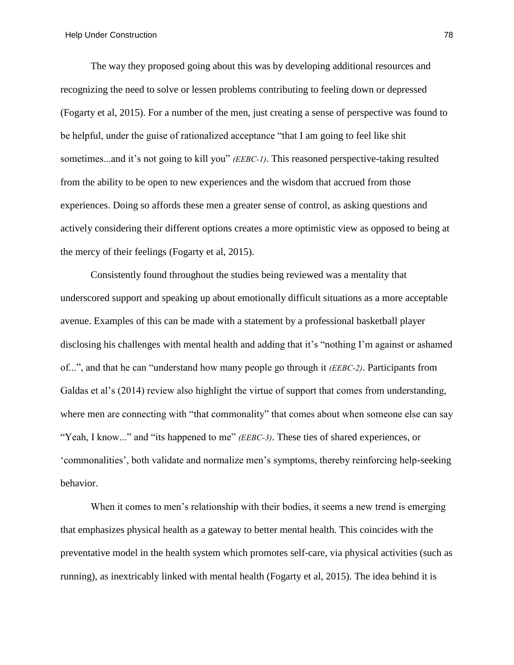The way they proposed going about this was by developing additional resources and recognizing the need to solve or lessen problems contributing to feeling down or depressed (Fogarty et al, 2015). For a number of the men, just creating a sense of perspective was found to be helpful, under the guise of rationalized acceptance "that I am going to feel like shit sometimes...and it's not going to kill you" *(EEBC-1)*. This reasoned perspective-taking resulted from the ability to be open to new experiences and the wisdom that accrued from those experiences. Doing so affords these men a greater sense of control, as asking questions and actively considering their different options creates a more optimistic view as opposed to being at the mercy of their feelings (Fogarty et al, 2015).

Consistently found throughout the studies being reviewed was a mentality that underscored support and speaking up about emotionally difficult situations as a more acceptable avenue. Examples of this can be made with a statement by a professional basketball player disclosing his challenges with mental health and adding that it's "nothing I'm against or ashamed of...", and that he can "understand how many people go through it *(EEBC-2)*. Participants from Galdas et al's (2014) review also highlight the virtue of support that comes from understanding, where men are connecting with "that commonality" that comes about when someone else can say "Yeah, I know..." and "its happened to me" *(EEBC-3)*. These ties of shared experiences, or 'commonalities', both validate and normalize men's symptoms, thereby reinforcing help-seeking behavior.

When it comes to men's relationship with their bodies, it seems a new trend is emerging that emphasizes physical health as a gateway to better mental health. This coincides with the preventative model in the health system which promotes self-care, via physical activities (such as running), as inextricably linked with mental health (Fogarty et al, 2015). The idea behind it is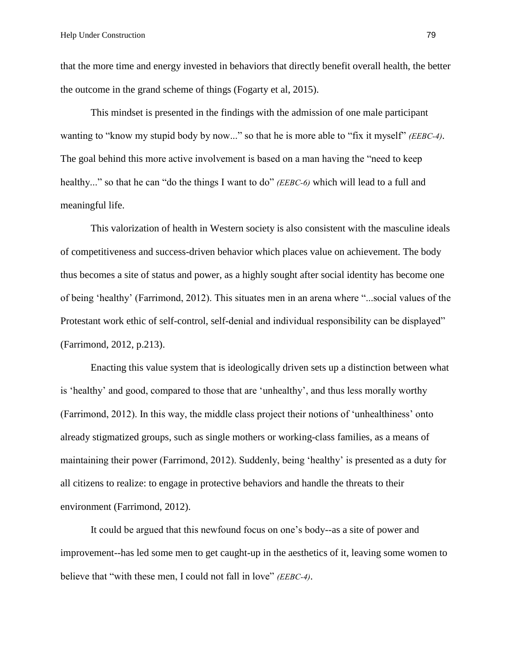that the more time and energy invested in behaviors that directly benefit overall health, the better the outcome in the grand scheme of things (Fogarty et al, 2015).

This mindset is presented in the findings with the admission of one male participant wanting to "know my stupid body by now..." so that he is more able to "fix it myself" *(EEBC-4)*. The goal behind this more active involvement is based on a man having the "need to keep healthy..." so that he can "do the things I want to do" *(EEBC-6)* which will lead to a full and meaningful life.

This valorization of health in Western society is also consistent with the masculine ideals of competitiveness and success-driven behavior which places value on achievement. The body thus becomes a site of status and power, as a highly sought after social identity has become one of being 'healthy' (Farrimond, 2012). This situates men in an arena where "...social values of the Protestant work ethic of self-control, self-denial and individual responsibility can be displayed" (Farrimond, 2012, p.213).

Enacting this value system that is ideologically driven sets up a distinction between what is 'healthy' and good, compared to those that are 'unhealthy', and thus less morally worthy (Farrimond, 2012). In this way, the middle class project their notions of 'unhealthiness' onto already stigmatized groups, such as single mothers or working-class families, as a means of maintaining their power (Farrimond, 2012). Suddenly, being 'healthy' is presented as a duty for all citizens to realize: to engage in protective behaviors and handle the threats to their environment (Farrimond, 2012).

It could be argued that this newfound focus on one's body--as a site of power and improvement--has led some men to get caught-up in the aesthetics of it, leaving some women to believe that "with these men, I could not fall in love" *(EEBC-4)*.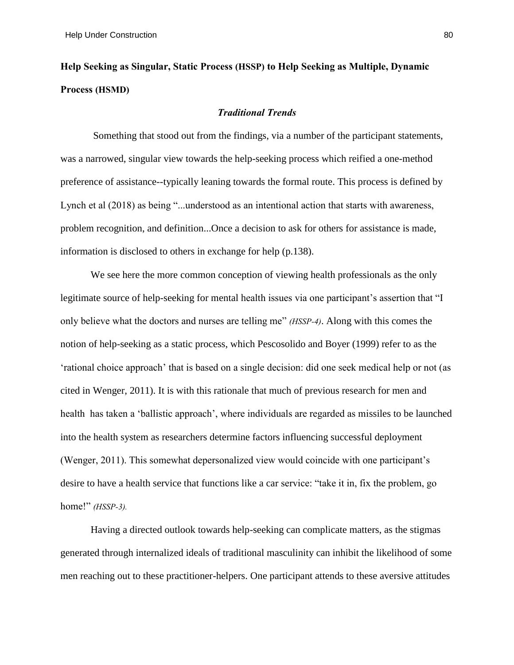## **Help Seeking as Singular, Static Process (HSSP) to Help Seeking as Multiple, Dynamic Process (HSMD)**

## *Traditional Trends*

Something that stood out from the findings, via a number of the participant statements, was a narrowed, singular view towards the help-seeking process which reified a one-method preference of assistance--typically leaning towards the formal route. This process is defined by Lynch et al (2018) as being "...understood as an intentional action that starts with awareness, problem recognition, and definition...Once a decision to ask for others for assistance is made, information is disclosed to others in exchange for help (p.138).

We see here the more common conception of viewing health professionals as the only legitimate source of help-seeking for mental health issues via one participant's assertion that "I only believe what the doctors and nurses are telling me" *(HSSP-4)*. Along with this comes the notion of help-seeking as a static process, which Pescosolido and Boyer (1999) refer to as the 'rational choice approach' that is based on a single decision: did one seek medical help or not (as cited in Wenger, 2011). It is with this rationale that much of previous research for men and health has taken a 'ballistic approach', where individuals are regarded as missiles to be launched into the health system as researchers determine factors influencing successful deployment (Wenger, 2011). This somewhat depersonalized view would coincide with one participant's desire to have a health service that functions like a car service: "take it in, fix the problem, go home!" *(HSSP-3).*

Having a directed outlook towards help-seeking can complicate matters, as the stigmas generated through internalized ideals of traditional masculinity can inhibit the likelihood of some men reaching out to these practitioner-helpers. One participant attends to these aversive attitudes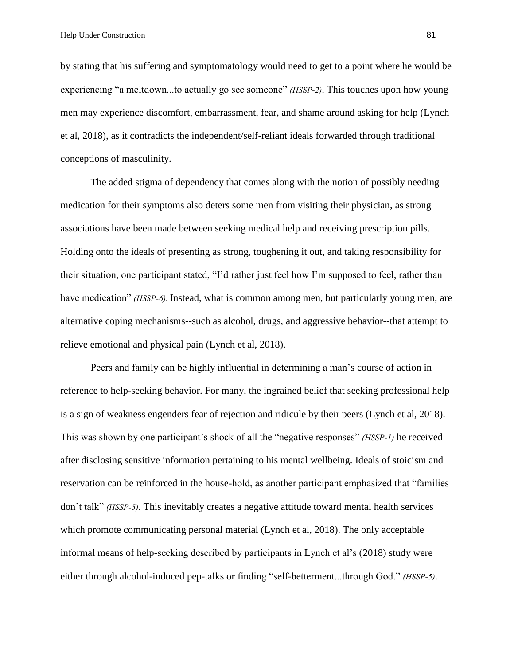by stating that his suffering and symptomatology would need to get to a point where he would be experiencing "a meltdown...to actually go see someone" *(HSSP-2)*. This touches upon how young men may experience discomfort, embarrassment, fear, and shame around asking for help (Lynch et al, 2018), as it contradicts the independent/self-reliant ideals forwarded through traditional conceptions of masculinity.

The added stigma of dependency that comes along with the notion of possibly needing medication for their symptoms also deters some men from visiting their physician, as strong associations have been made between seeking medical help and receiving prescription pills. Holding onto the ideals of presenting as strong, toughening it out, and taking responsibility for their situation, one participant stated, "I'd rather just feel how I'm supposed to feel, rather than have medication" *(HSSP-6)*. Instead, what is common among men, but particularly young men, are alternative coping mechanisms--such as alcohol, drugs, and aggressive behavior--that attempt to relieve emotional and physical pain (Lynch et al, 2018).

Peers and family can be highly influential in determining a man's course of action in reference to help-seeking behavior. For many, the ingrained belief that seeking professional help is a sign of weakness engenders fear of rejection and ridicule by their peers (Lynch et al, 2018). This was shown by one participant's shock of all the "negative responses" *(HSSP-1)* he received after disclosing sensitive information pertaining to his mental wellbeing. Ideals of stoicism and reservation can be reinforced in the house-hold, as another participant emphasized that "families don't talk" *(HSSP-5)*. This inevitably creates a negative attitude toward mental health services which promote communicating personal material (Lynch et al, 2018). The only acceptable informal means of help-seeking described by participants in Lynch et al's (2018) study were either through alcohol-induced pep-talks or finding "self-betterment...through God." *(HSSP-5)*.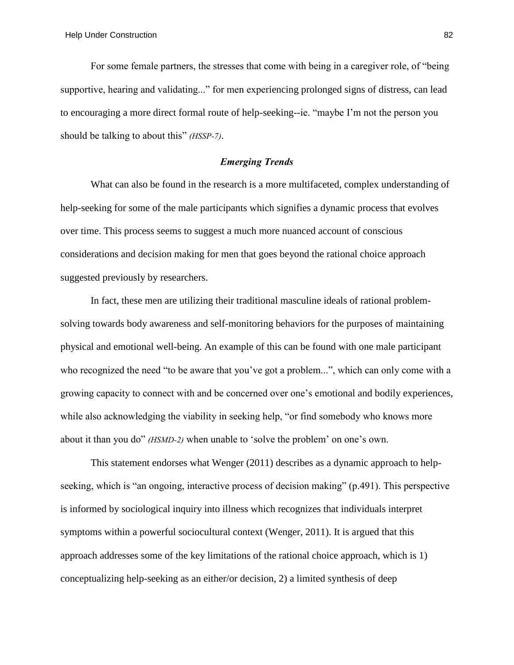For some female partners, the stresses that come with being in a caregiver role, of "being supportive, hearing and validating..." for men experiencing prolonged signs of distress, can lead to encouraging a more direct formal route of help-seeking--ie. "maybe I'm not the person you should be talking to about this" *(HSSP-7)*.

## *Emerging Trends*

What can also be found in the research is a more multifaceted, complex understanding of help-seeking for some of the male participants which signifies a dynamic process that evolves over time. This process seems to suggest a much more nuanced account of conscious considerations and decision making for men that goes beyond the rational choice approach suggested previously by researchers.

In fact, these men are utilizing their traditional masculine ideals of rational problemsolving towards body awareness and self-monitoring behaviors for the purposes of maintaining physical and emotional well-being. An example of this can be found with one male participant who recognized the need "to be aware that you've got a problem...", which can only come with a growing capacity to connect with and be concerned over one's emotional and bodily experiences, while also acknowledging the viability in seeking help, "or find somebody who knows more about it than you do" *(HSMD-2)* when unable to 'solve the problem' on one's own.

This statement endorses what Wenger (2011) describes as a dynamic approach to helpseeking, which is "an ongoing, interactive process of decision making" (p.491). This perspective is informed by sociological inquiry into illness which recognizes that individuals interpret symptoms within a powerful sociocultural context (Wenger, 2011). It is argued that this approach addresses some of the key limitations of the rational choice approach, which is 1) conceptualizing help-seeking as an either/or decision, 2) a limited synthesis of deep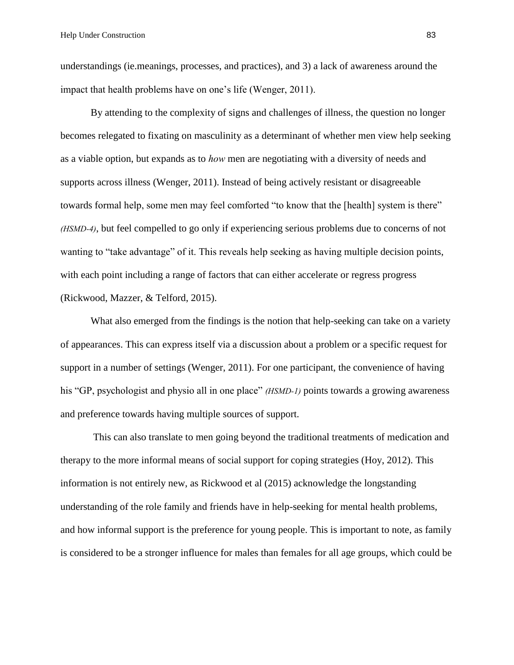understandings (ie.meanings, processes, and practices), and 3) a lack of awareness around the impact that health problems have on one's life (Wenger, 2011).

By attending to the complexity of signs and challenges of illness, the question no longer becomes relegated to fixating on masculinity as a determinant of whether men view help seeking as a viable option, but expands as to *how* men are negotiating with a diversity of needs and supports across illness (Wenger, 2011). Instead of being actively resistant or disagreeable towards formal help, some men may feel comforted "to know that the [health] system is there" *(HSMD-4)*, but feel compelled to go only if experiencing serious problems due to concerns of not wanting to "take advantage" of it. This reveals help seeking as having multiple decision points, with each point including a range of factors that can either accelerate or regress progress (Rickwood, Mazzer, & Telford, 2015).

What also emerged from the findings is the notion that help-seeking can take on a variety of appearances. This can express itself via a discussion about a problem or a specific request for support in a number of settings (Wenger, 2011). For one participant, the convenience of having his "GP, psychologist and physio all in one place" *(HSMD-1)* points towards a growing awareness and preference towards having multiple sources of support.

This can also translate to men going beyond the traditional treatments of medication and therapy to the more informal means of social support for coping strategies (Hoy, 2012). This information is not entirely new, as Rickwood et al (2015) acknowledge the longstanding understanding of the role family and friends have in help-seeking for mental health problems, and how informal support is the preference for young people. This is important to note, as family is considered to be a stronger influence for males than females for all age groups, which could be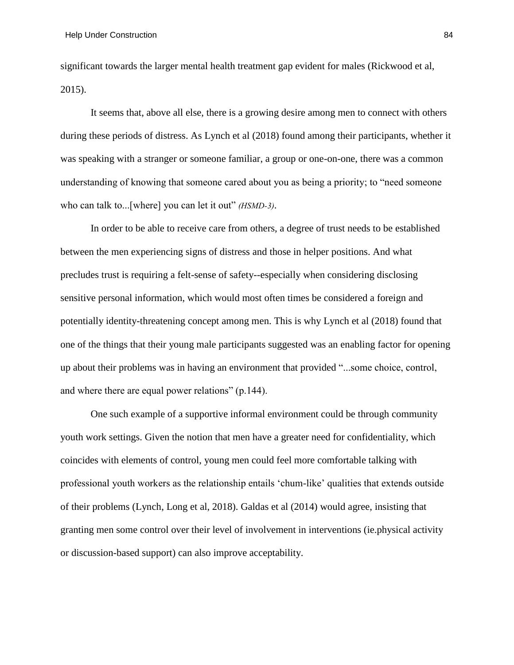significant towards the larger mental health treatment gap evident for males (Rickwood et al, 2015).

It seems that, above all else, there is a growing desire among men to connect with others during these periods of distress. As Lynch et al (2018) found among their participants, whether it was speaking with a stranger or someone familiar, a group or one-on-one, there was a common understanding of knowing that someone cared about you as being a priority; to "need someone who can talk to...[where] you can let it out" *(HSMD-3)*.

In order to be able to receive care from others, a degree of trust needs to be established between the men experiencing signs of distress and those in helper positions. And what precludes trust is requiring a felt-sense of safety--especially when considering disclosing sensitive personal information, which would most often times be considered a foreign and potentially identity-threatening concept among men. This is why Lynch et al (2018) found that one of the things that their young male participants suggested was an enabling factor for opening up about their problems was in having an environment that provided "...some choice, control, and where there are equal power relations" (p.144).

One such example of a supportive informal environment could be through community youth work settings. Given the notion that men have a greater need for confidentiality, which coincides with elements of control, young men could feel more comfortable talking with professional youth workers as the relationship entails 'chum-like' qualities that extends outside of their problems (Lynch, Long et al, 2018). Galdas et al (2014) would agree, insisting that granting men some control over their level of involvement in interventions (ie.physical activity or discussion-based support) can also improve acceptability.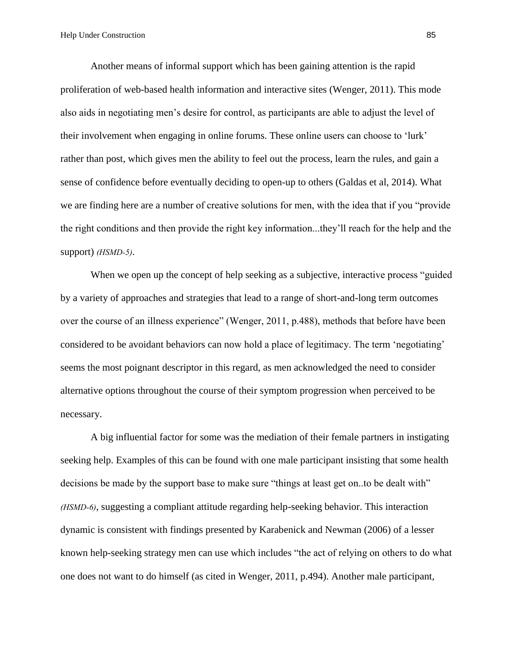Another means of informal support which has been gaining attention is the rapid proliferation of web-based health information and interactive sites (Wenger, 2011). This mode also aids in negotiating men's desire for control, as participants are able to adjust the level of their involvement when engaging in online forums. These online users can choose to 'lurk' rather than post, which gives men the ability to feel out the process, learn the rules, and gain a sense of confidence before eventually deciding to open-up to others (Galdas et al, 2014). What we are finding here are a number of creative solutions for men, with the idea that if you "provide the right conditions and then provide the right key information...they'll reach for the help and the support) *(HSMD-5)*.

When we open up the concept of help seeking as a subjective, interactive process "guided" by a variety of approaches and strategies that lead to a range of short-and-long term outcomes over the course of an illness experience" (Wenger, 2011, p.488), methods that before have been considered to be avoidant behaviors can now hold a place of legitimacy. The term 'negotiating' seems the most poignant descriptor in this regard, as men acknowledged the need to consider alternative options throughout the course of their symptom progression when perceived to be necessary.

A big influential factor for some was the mediation of their female partners in instigating seeking help. Examples of this can be found with one male participant insisting that some health decisions be made by the support base to make sure "things at least get on..to be dealt with" *(HSMD-6)*, suggesting a compliant attitude regarding help-seeking behavior. This interaction dynamic is consistent with findings presented by Karabenick and Newman (2006) of a lesser known help-seeking strategy men can use which includes "the act of relying on others to do what one does not want to do himself (as cited in Wenger, 2011, p.494). Another male participant,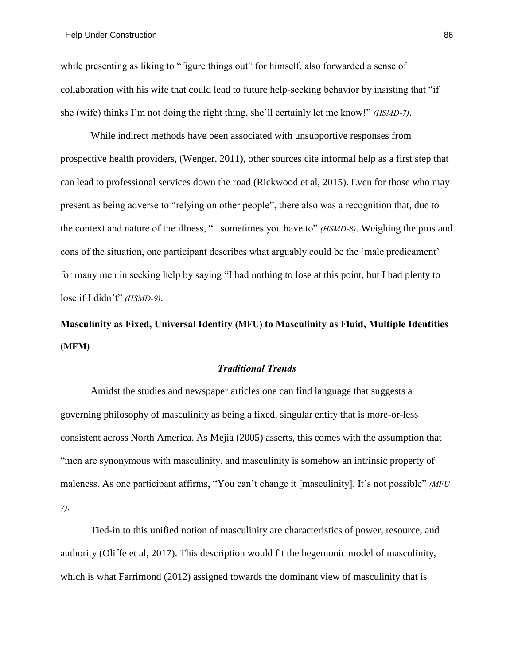while presenting as liking to "figure things out" for himself, also forwarded a sense of collaboration with his wife that could lead to future help-seeking behavior by insisting that "if she (wife) thinks I'm not doing the right thing, she'll certainly let me know!" *(HSMD-7)*.

While indirect methods have been associated with unsupportive responses from prospective health providers, (Wenger, 2011), other sources cite informal help as a first step that can lead to professional services down the road (Rickwood et al, 2015). Even for those who may present as being adverse to "relying on other people", there also was a recognition that, due to the context and nature of the illness, "...sometimes you have to" *(HSMD-8)*. Weighing the pros and cons of the situation, one participant describes what arguably could be the 'male predicament' for many men in seeking help by saying "I had nothing to lose at this point, but I had plenty to lose if I didn't" *(HSMD-9)*.

**Masculinity as Fixed, Universal Identity (MFU) to Masculinity as Fluid, Multiple Identities (MFM)**

#### *Traditional Trends*

Amidst the studies and newspaper articles one can find language that suggests a governing philosophy of masculinity as being a fixed, singular entity that is more-or-less consistent across North America. As Mejia (2005) asserts, this comes with the assumption that "men are synonymous with masculinity, and masculinity is somehow an intrinsic property of maleness. As one participant affirms, "You can't change it [masculinity]. It's not possible" *(MFU-7)*.

Tied-in to this unified notion of masculinity are characteristics of power, resource, and authority (Oliffe et al, 2017). This description would fit the hegemonic model of masculinity, which is what Farrimond (2012) assigned towards the dominant view of masculinity that is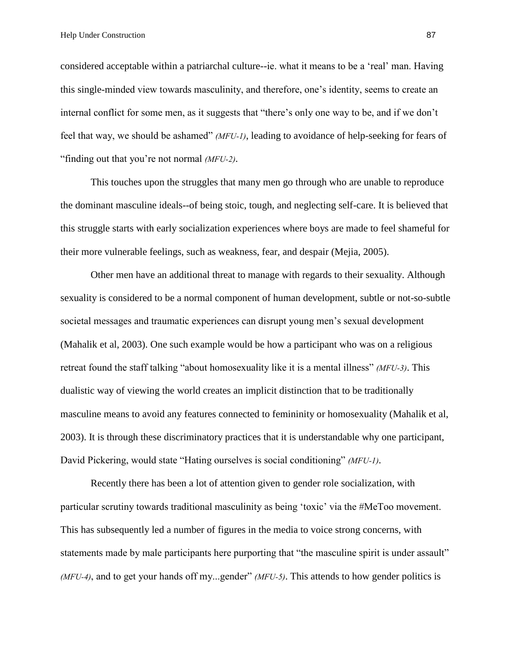Help Under Construction 87

considered acceptable within a patriarchal culture--ie. what it means to be a 'real' man. Having this single-minded view towards masculinity, and therefore, one's identity, seems to create an internal conflict for some men, as it suggests that "there's only one way to be, and if we don't feel that way, we should be ashamed" *(MFU-1)*, leading to avoidance of help-seeking for fears of "finding out that you're not normal *(MFU-2)*.

This touches upon the struggles that many men go through who are unable to reproduce the dominant masculine ideals--of being stoic, tough, and neglecting self-care. It is believed that this struggle starts with early socialization experiences where boys are made to feel shameful for their more vulnerable feelings, such as weakness, fear, and despair (Mejia, 2005).

Other men have an additional threat to manage with regards to their sexuality. Although sexuality is considered to be a normal component of human development, subtle or not-so-subtle societal messages and traumatic experiences can disrupt young men's sexual development (Mahalik et al, 2003). One such example would be how a participant who was on a religious retreat found the staff talking "about homosexuality like it is a mental illness" *(MFU-3)*. This dualistic way of viewing the world creates an implicit distinction that to be traditionally masculine means to avoid any features connected to femininity or homosexuality (Mahalik et al, 2003). It is through these discriminatory practices that it is understandable why one participant, David Pickering, would state "Hating ourselves is social conditioning" *(MFU-1)*.

Recently there has been a lot of attention given to gender role socialization, with particular scrutiny towards traditional masculinity as being 'toxic' via the #MeToo movement. This has subsequently led a number of figures in the media to voice strong concerns, with statements made by male participants here purporting that "the masculine spirit is under assault" *(MFU-4)*, and to get your hands off my...gender" *(MFU-5)*. This attends to how gender politics is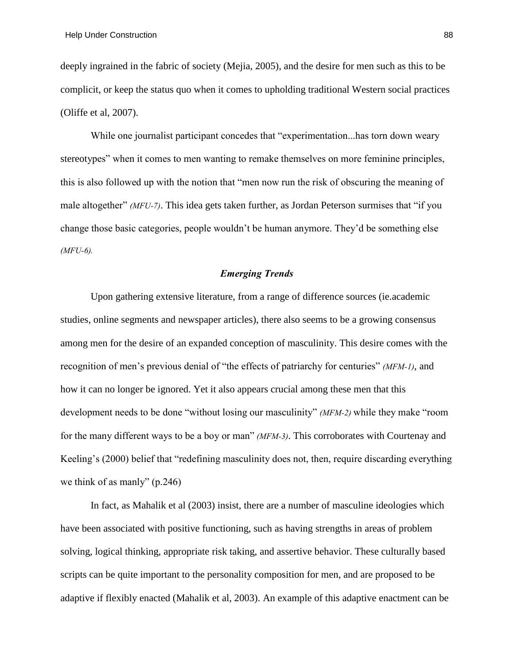deeply ingrained in the fabric of society (Mejia, 2005), and the desire for men such as this to be complicit, or keep the status quo when it comes to upholding traditional Western social practices (Oliffe et al, 2007).

While one journalist participant concedes that "experimentation...has torn down weary stereotypes" when it comes to men wanting to remake themselves on more feminine principles, this is also followed up with the notion that "men now run the risk of obscuring the meaning of male altogether" *(MFU-7)*. This idea gets taken further, as Jordan Peterson surmises that "if you change those basic categories, people wouldn't be human anymore. They'd be something else *(MFU-6).*

### *Emerging Trends*

Upon gathering extensive literature, from a range of difference sources (ie.academic studies, online segments and newspaper articles), there also seems to be a growing consensus among men for the desire of an expanded conception of masculinity. This desire comes with the recognition of men's previous denial of "the effects of patriarchy for centuries" *(MFM-1)*, and how it can no longer be ignored. Yet it also appears crucial among these men that this development needs to be done "without losing our masculinity" *(MFM-2)* while they make "room for the many different ways to be a boy or man" *(MFM-3)*. This corroborates with Courtenay and Keeling's (2000) belief that "redefining masculinity does not, then, require discarding everything we think of as manly" (p.246)

In fact, as Mahalik et al (2003) insist, there are a number of masculine ideologies which have been associated with positive functioning, such as having strengths in areas of problem solving, logical thinking, appropriate risk taking, and assertive behavior. These culturally based scripts can be quite important to the personality composition for men, and are proposed to be adaptive if flexibly enacted (Mahalik et al, 2003). An example of this adaptive enactment can be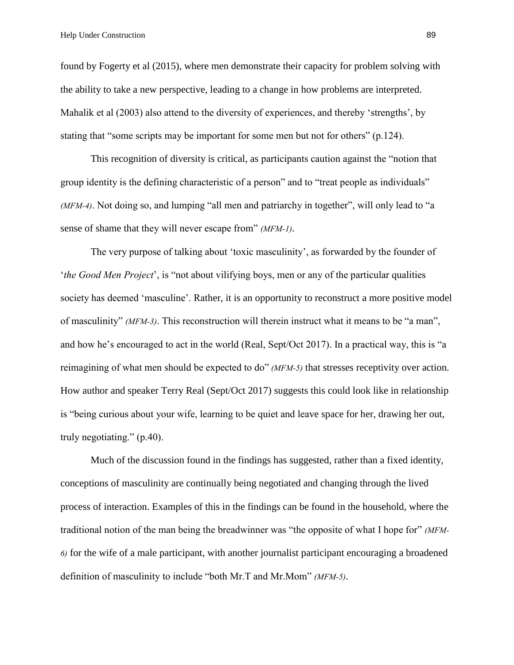found by Fogerty et al (2015), where men demonstrate their capacity for problem solving with the ability to take a new perspective, leading to a change in how problems are interpreted. Mahalik et al (2003) also attend to the diversity of experiences, and thereby 'strengths', by stating that "some scripts may be important for some men but not for others" (p.124).

This recognition of diversity is critical, as participants caution against the "notion that group identity is the defining characteristic of a person" and to "treat people as individuals" *(MFM-4)*. Not doing so, and lumping "all men and patriarchy in together", will only lead to "a sense of shame that they will never escape from" *(MFM-1)*.

The very purpose of talking about 'toxic masculinity', as forwarded by the founder of '*the Good Men Project*', is "not about vilifying boys, men or any of the particular qualities society has deemed 'masculine'. Rather, it is an opportunity to reconstruct a more positive model of masculinity" *(MFM-3)*. This reconstruction will therein instruct what it means to be "a man", and how he's encouraged to act in the world (Real, Sept/Oct 2017). In a practical way, this is "a reimagining of what men should be expected to do" *(MFM-5)* that stresses receptivity over action. How author and speaker Terry Real (Sept/Oct 2017) suggests this could look like in relationship is "being curious about your wife, learning to be quiet and leave space for her, drawing her out, truly negotiating." (p.40).

Much of the discussion found in the findings has suggested, rather than a fixed identity, conceptions of masculinity are continually being negotiated and changing through the lived process of interaction. Examples of this in the findings can be found in the household, where the traditional notion of the man being the breadwinner was "the opposite of what I hope for" *(MFM-6)* for the wife of a male participant, with another journalist participant encouraging a broadened definition of masculinity to include "both Mr.T and Mr.Mom" *(MFM-5)*.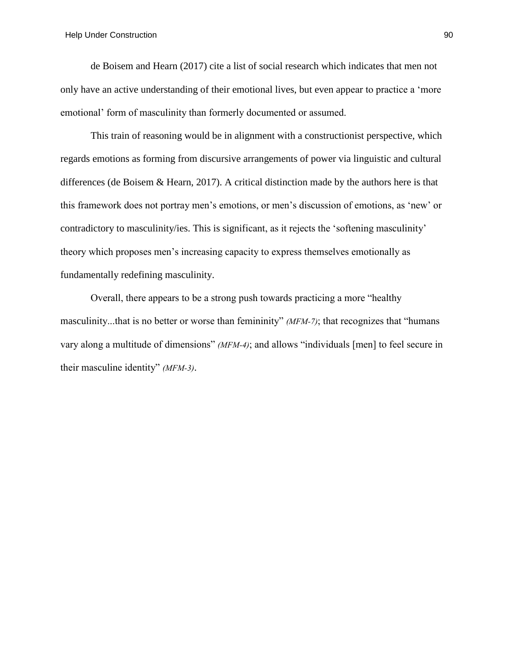de Boisem and Hearn (2017) cite a list of social research which indicates that men not only have an active understanding of their emotional lives, but even appear to practice a 'more emotional' form of masculinity than formerly documented or assumed.

This train of reasoning would be in alignment with a constructionist perspective, which regards emotions as forming from discursive arrangements of power via linguistic and cultural differences (de Boisem & Hearn, 2017). A critical distinction made by the authors here is that this framework does not portray men's emotions, or men's discussion of emotions, as 'new' or contradictory to masculinity/ies. This is significant, as it rejects the 'softening masculinity' theory which proposes men's increasing capacity to express themselves emotionally as fundamentally redefining masculinity.

Overall, there appears to be a strong push towards practicing a more "healthy masculinity...that is no better or worse than femininity" *(MFM-7)*; that recognizes that "humans vary along a multitude of dimensions" *(MFM-4)*; and allows "individuals [men] to feel secure in their masculine identity" *(MFM-3)*.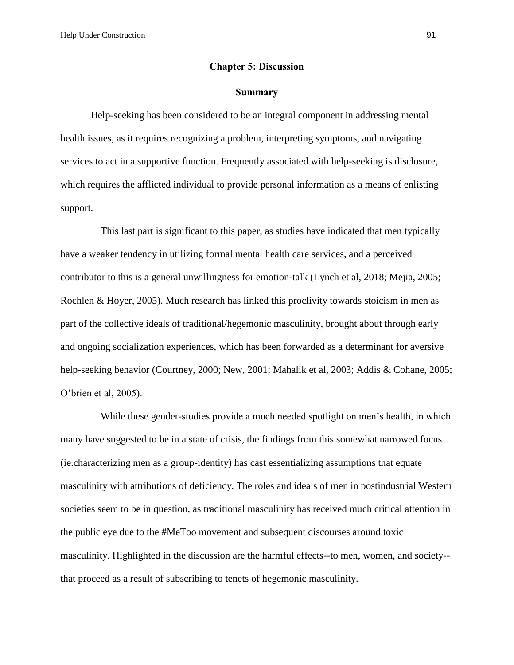## **Chapter 5: Discussion**

#### **Summary**

Help-seeking has been considered to be an integral component in addressing mental health issues, as it requires recognizing a problem, interpreting symptoms, and navigating services to act in a supportive function. Frequently associated with help-seeking is disclosure, which requires the afflicted individual to provide personal information as a means of enlisting support.

This last part is significant to this paper, as studies have indicated that men typically have a weaker tendency in utilizing formal mental health care services, and a perceived contributor to this is a general unwillingness for emotion-talk (Lynch et al, 2018; Mejia, 2005; Rochlen & Hoyer, 2005). Much research has linked this proclivity towards stoicism in men as part of the collective ideals of traditional/hegemonic masculinity, brought about through early and ongoing socialization experiences, which has been forwarded as a determinant for aversive help-seeking behavior (Courtney, 2000; New, 2001; Mahalik et al, 2003; Addis & Cohane, 2005; O'brien et al, 2005).

While these gender-studies provide a much needed spotlight on men's health, in which many have suggested to be in a state of crisis, the findings from this somewhat narrowed focus (ie.characterizing men as a group-identity) has cast essentializing assumptions that equate masculinity with attributions of deficiency. The roles and ideals of men in postindustrial Western societies seem to be in question, as traditional masculinity has received much critical attention in the public eye due to the #MeToo movement and subsequent discourses around toxic masculinity. Highlighted in the discussion are the harmful effects--to men, women, and society- that proceed as a result of subscribing to tenets of hegemonic masculinity.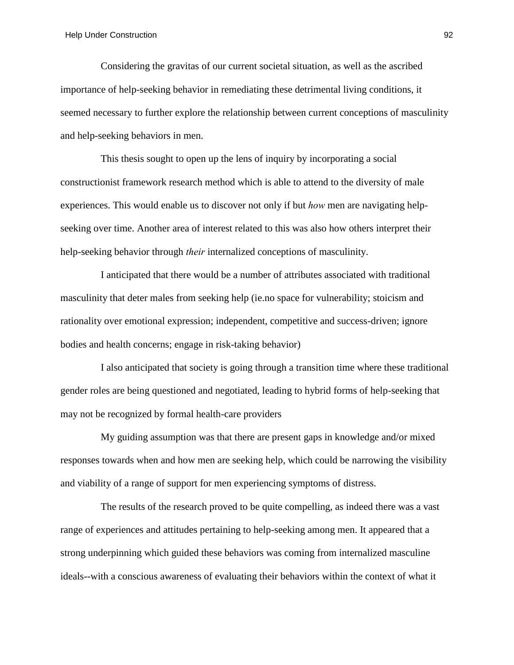Considering the gravitas of our current societal situation, as well as the ascribed importance of help-seeking behavior in remediating these detrimental living conditions, it seemed necessary to further explore the relationship between current conceptions of masculinity and help-seeking behaviors in men.

This thesis sought to open up the lens of inquiry by incorporating a social constructionist framework research method which is able to attend to the diversity of male experiences. This would enable us to discover not only if but *how* men are navigating helpseeking over time. Another area of interest related to this was also how others interpret their help-seeking behavior through *their* internalized conceptions of masculinity.

I anticipated that there would be a number of attributes associated with traditional masculinity that deter males from seeking help (ie.no space for vulnerability; stoicism and rationality over emotional expression; independent, competitive and success-driven; ignore bodies and health concerns; engage in risk-taking behavior)

I also anticipated that society is going through a transition time where these traditional gender roles are being questioned and negotiated, leading to hybrid forms of help-seeking that may not be recognized by formal health-care providers

My guiding assumption was that there are present gaps in knowledge and/or mixed responses towards when and how men are seeking help, which could be narrowing the visibility and viability of a range of support for men experiencing symptoms of distress.

The results of the research proved to be quite compelling, as indeed there was a vast range of experiences and attitudes pertaining to help-seeking among men. It appeared that a strong underpinning which guided these behaviors was coming from internalized masculine ideals--with a conscious awareness of evaluating their behaviors within the context of what it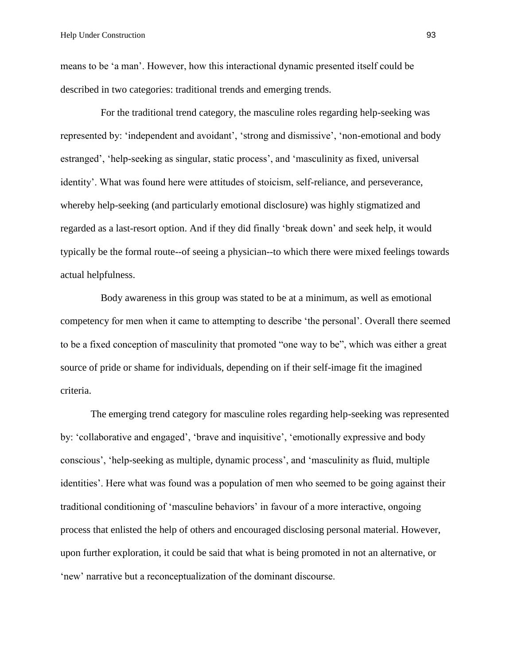means to be 'a man'. However, how this interactional dynamic presented itself could be described in two categories: traditional trends and emerging trends.

For the traditional trend category, the masculine roles regarding help-seeking was represented by: 'independent and avoidant', 'strong and dismissive', 'non-emotional and body estranged', 'help-seeking as singular, static process', and 'masculinity as fixed, universal identity'. What was found here were attitudes of stoicism, self-reliance, and perseverance, whereby help-seeking (and particularly emotional disclosure) was highly stigmatized and regarded as a last-resort option. And if they did finally 'break down' and seek help, it would typically be the formal route--of seeing a physician--to which there were mixed feelings towards actual helpfulness.

Body awareness in this group was stated to be at a minimum, as well as emotional competency for men when it came to attempting to describe 'the personal'. Overall there seemed to be a fixed conception of masculinity that promoted "one way to be", which was either a great source of pride or shame for individuals, depending on if their self-image fit the imagined criteria.

The emerging trend category for masculine roles regarding help-seeking was represented by: 'collaborative and engaged', 'brave and inquisitive', 'emotionally expressive and body conscious', 'help-seeking as multiple, dynamic process', and 'masculinity as fluid, multiple identities'. Here what was found was a population of men who seemed to be going against their traditional conditioning of 'masculine behaviors' in favour of a more interactive, ongoing process that enlisted the help of others and encouraged disclosing personal material. However, upon further exploration, it could be said that what is being promoted in not an alternative, or 'new' narrative but a reconceptualization of the dominant discourse.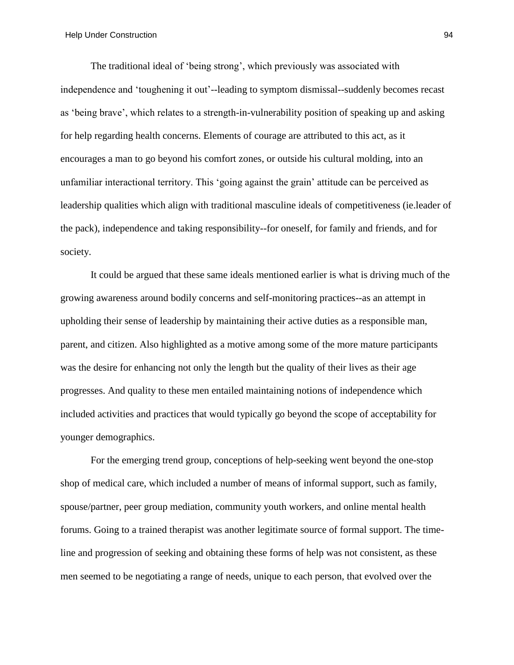The traditional ideal of 'being strong', which previously was associated with independence and 'toughening it out'--leading to symptom dismissal--suddenly becomes recast as 'being brave', which relates to a strength-in-vulnerability position of speaking up and asking for help regarding health concerns. Elements of courage are attributed to this act, as it encourages a man to go beyond his comfort zones, or outside his cultural molding, into an unfamiliar interactional territory. This 'going against the grain' attitude can be perceived as leadership qualities which align with traditional masculine ideals of competitiveness (ie.leader of the pack), independence and taking responsibility--for oneself, for family and friends, and for society.

It could be argued that these same ideals mentioned earlier is what is driving much of the growing awareness around bodily concerns and self-monitoring practices--as an attempt in upholding their sense of leadership by maintaining their active duties as a responsible man, parent, and citizen. Also highlighted as a motive among some of the more mature participants was the desire for enhancing not only the length but the quality of their lives as their age progresses. And quality to these men entailed maintaining notions of independence which included activities and practices that would typically go beyond the scope of acceptability for younger demographics.

For the emerging trend group, conceptions of help-seeking went beyond the one-stop shop of medical care, which included a number of means of informal support, such as family, spouse/partner, peer group mediation, community youth workers, and online mental health forums. Going to a trained therapist was another legitimate source of formal support. The timeline and progression of seeking and obtaining these forms of help was not consistent, as these men seemed to be negotiating a range of needs, unique to each person, that evolved over the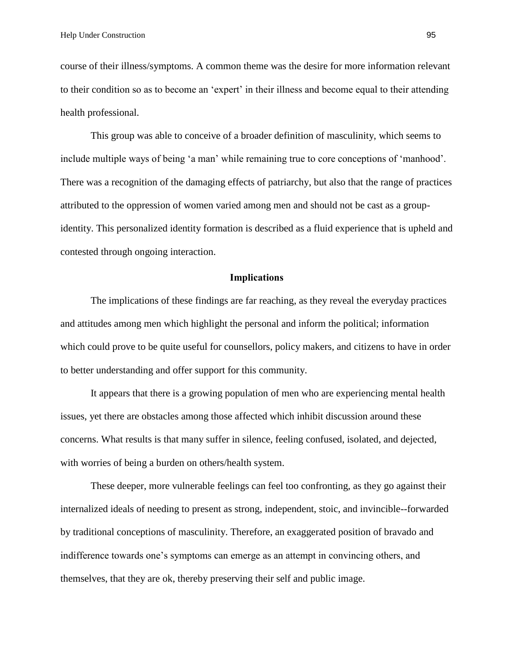course of their illness/symptoms. A common theme was the desire for more information relevant to their condition so as to become an 'expert' in their illness and become equal to their attending health professional.

This group was able to conceive of a broader definition of masculinity, which seems to include multiple ways of being 'a man' while remaining true to core conceptions of 'manhood'. There was a recognition of the damaging effects of patriarchy, but also that the range of practices attributed to the oppression of women varied among men and should not be cast as a groupidentity. This personalized identity formation is described as a fluid experience that is upheld and contested through ongoing interaction.

#### **Implications**

The implications of these findings are far reaching, as they reveal the everyday practices and attitudes among men which highlight the personal and inform the political; information which could prove to be quite useful for counsellors, policy makers, and citizens to have in order to better understanding and offer support for this community.

It appears that there is a growing population of men who are experiencing mental health issues, yet there are obstacles among those affected which inhibit discussion around these concerns. What results is that many suffer in silence, feeling confused, isolated, and dejected, with worries of being a burden on others/health system.

These deeper, more vulnerable feelings can feel too confronting, as they go against their internalized ideals of needing to present as strong, independent, stoic, and invincible--forwarded by traditional conceptions of masculinity. Therefore, an exaggerated position of bravado and indifference towards one's symptoms can emerge as an attempt in convincing others, and themselves, that they are ok, thereby preserving their self and public image.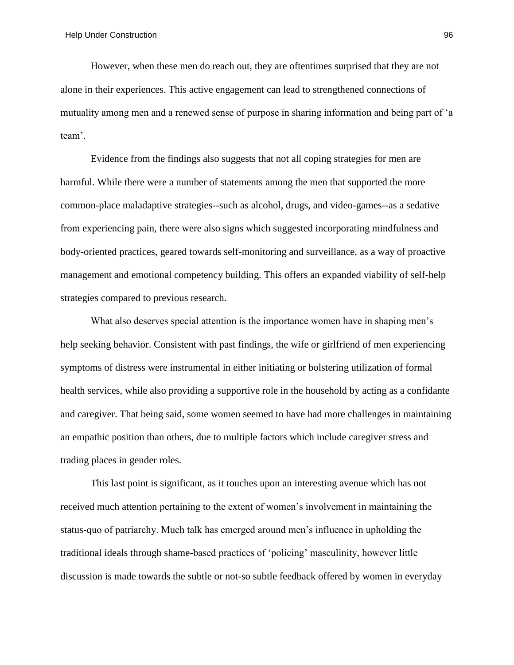However, when these men do reach out, they are oftentimes surprised that they are not alone in their experiences. This active engagement can lead to strengthened connections of mutuality among men and a renewed sense of purpose in sharing information and being part of 'a team'.

Evidence from the findings also suggests that not all coping strategies for men are harmful. While there were a number of statements among the men that supported the more common-place maladaptive strategies--such as alcohol, drugs, and video-games--as a sedative from experiencing pain, there were also signs which suggested incorporating mindfulness and body-oriented practices, geared towards self-monitoring and surveillance, as a way of proactive management and emotional competency building. This offers an expanded viability of self-help strategies compared to previous research.

What also deserves special attention is the importance women have in shaping men's help seeking behavior. Consistent with past findings, the wife or girlfriend of men experiencing symptoms of distress were instrumental in either initiating or bolstering utilization of formal health services, while also providing a supportive role in the household by acting as a confidante and caregiver. That being said, some women seemed to have had more challenges in maintaining an empathic position than others, due to multiple factors which include caregiver stress and trading places in gender roles.

This last point is significant, as it touches upon an interesting avenue which has not received much attention pertaining to the extent of women's involvement in maintaining the status-quo of patriarchy. Much talk has emerged around men's influence in upholding the traditional ideals through shame-based practices of 'policing' masculinity, however little discussion is made towards the subtle or not-so subtle feedback offered by women in everyday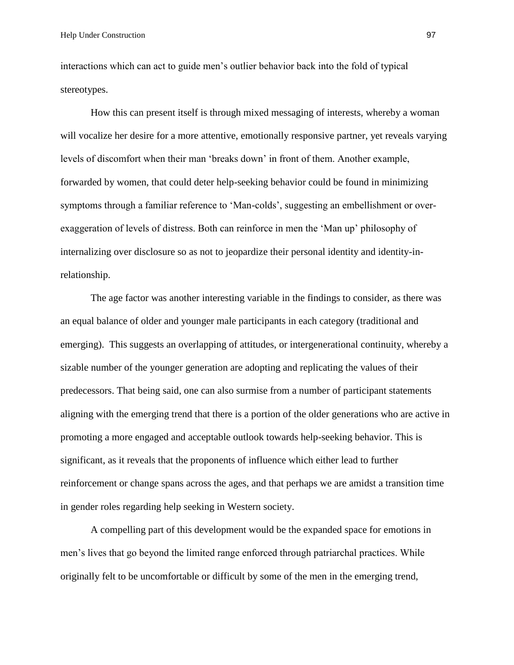interactions which can act to guide men's outlier behavior back into the fold of typical stereotypes.

How this can present itself is through mixed messaging of interests, whereby a woman will vocalize her desire for a more attentive, emotionally responsive partner, yet reveals varying levels of discomfort when their man 'breaks down' in front of them. Another example, forwarded by women, that could deter help-seeking behavior could be found in minimizing symptoms through a familiar reference to 'Man-colds', suggesting an embellishment or overexaggeration of levels of distress. Both can reinforce in men the 'Man up' philosophy of internalizing over disclosure so as not to jeopardize their personal identity and identity-inrelationship.

The age factor was another interesting variable in the findings to consider, as there was an equal balance of older and younger male participants in each category (traditional and emerging). This suggests an overlapping of attitudes, or intergenerational continuity, whereby a sizable number of the younger generation are adopting and replicating the values of their predecessors. That being said, one can also surmise from a number of participant statements aligning with the emerging trend that there is a portion of the older generations who are active in promoting a more engaged and acceptable outlook towards help-seeking behavior. This is significant, as it reveals that the proponents of influence which either lead to further reinforcement or change spans across the ages, and that perhaps we are amidst a transition time in gender roles regarding help seeking in Western society.

A compelling part of this development would be the expanded space for emotions in men's lives that go beyond the limited range enforced through patriarchal practices. While originally felt to be uncomfortable or difficult by some of the men in the emerging trend,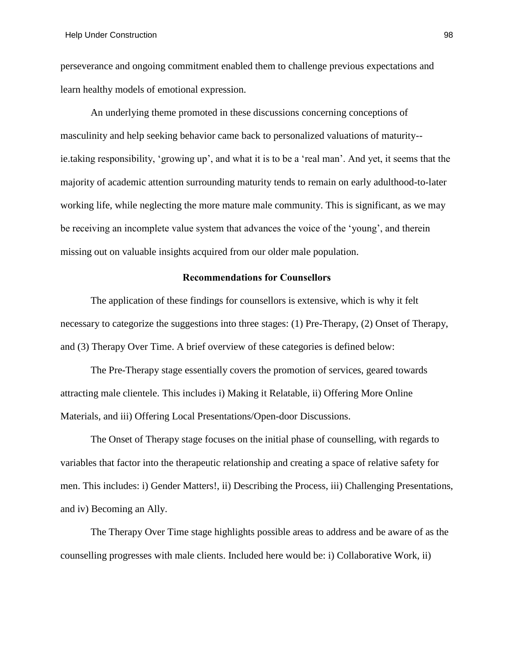perseverance and ongoing commitment enabled them to challenge previous expectations and learn healthy models of emotional expression.

An underlying theme promoted in these discussions concerning conceptions of masculinity and help seeking behavior came back to personalized valuations of maturity- ie.taking responsibility, 'growing up', and what it is to be a 'real man'. And yet, it seems that the majority of academic attention surrounding maturity tends to remain on early adulthood-to-later working life, while neglecting the more mature male community. This is significant, as we may be receiving an incomplete value system that advances the voice of the 'young', and therein missing out on valuable insights acquired from our older male population.

## **Recommendations for Counsellors**

The application of these findings for counsellors is extensive, which is why it felt necessary to categorize the suggestions into three stages: (1) Pre-Therapy, (2) Onset of Therapy, and (3) Therapy Over Time. A brief overview of these categories is defined below:

The Pre-Therapy stage essentially covers the promotion of services, geared towards attracting male clientele. This includes i) Making it Relatable, ii) Offering More Online Materials, and iii) Offering Local Presentations/Open-door Discussions.

The Onset of Therapy stage focuses on the initial phase of counselling, with regards to variables that factor into the therapeutic relationship and creating a space of relative safety for men. This includes: i) Gender Matters!, ii) Describing the Process, iii) Challenging Presentations, and iv) Becoming an Ally.

The Therapy Over Time stage highlights possible areas to address and be aware of as the counselling progresses with male clients. Included here would be: i) Collaborative Work, ii)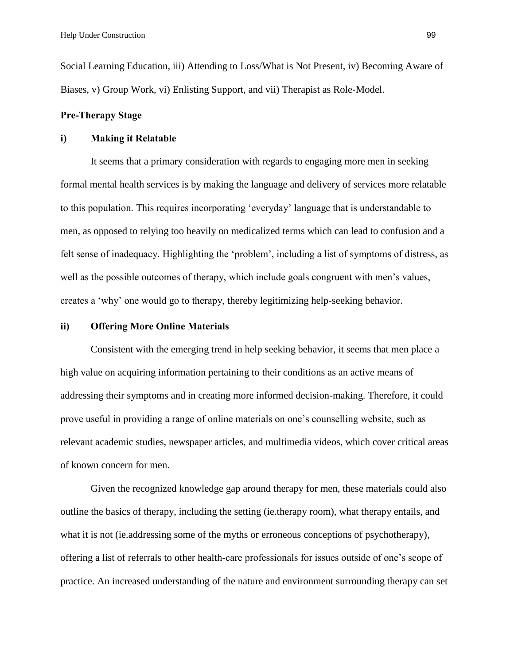Social Learning Education, iii) Attending to Loss/What is Not Present, iv) Becoming Aware of Biases, v) Group Work, vi) Enlisting Support, and vii) Therapist as Role-Model.

## **Pre-Therapy Stage**

#### **i) Making it Relatable**

It seems that a primary consideration with regards to engaging more men in seeking formal mental health services is by making the language and delivery of services more relatable to this population. This requires incorporating 'everyday' language that is understandable to men, as opposed to relying too heavily on medicalized terms which can lead to confusion and a felt sense of inadequacy. Highlighting the 'problem', including a list of symptoms of distress, as well as the possible outcomes of therapy, which include goals congruent with men's values, creates a 'why' one would go to therapy, thereby legitimizing help-seeking behavior.

#### **ii) Offering More Online Materials**

Consistent with the emerging trend in help seeking behavior, it seems that men place a high value on acquiring information pertaining to their conditions as an active means of addressing their symptoms and in creating more informed decision-making. Therefore, it could prove useful in providing a range of online materials on one's counselling website, such as relevant academic studies, newspaper articles, and multimedia videos, which cover critical areas of known concern for men.

Given the recognized knowledge gap around therapy for men, these materials could also outline the basics of therapy, including the setting (ie.therapy room), what therapy entails, and what it is not (ie.addressing some of the myths or erroneous conceptions of psychotherapy), offering a list of referrals to other health-care professionals for issues outside of one's scope of practice. An increased understanding of the nature and environment surrounding therapy can set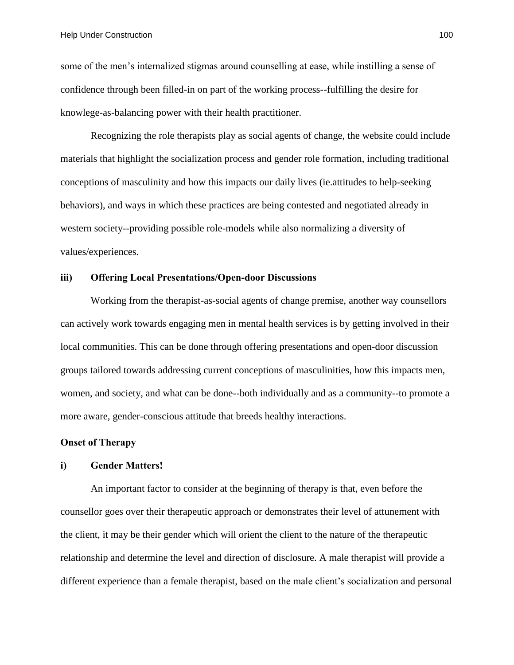some of the men's internalized stigmas around counselling at ease, while instilling a sense of confidence through been filled-in on part of the working process--fulfilling the desire for knowlege-as-balancing power with their health practitioner.

Recognizing the role therapists play as social agents of change, the website could include materials that highlight the socialization process and gender role formation, including traditional conceptions of masculinity and how this impacts our daily lives (ie.attitudes to help-seeking behaviors), and ways in which these practices are being contested and negotiated already in western society--providing possible role-models while also normalizing a diversity of values/experiences.

#### **iii) Offering Local Presentations/Open-door Discussions**

Working from the therapist-as-social agents of change premise, another way counsellors can actively work towards engaging men in mental health services is by getting involved in their local communities. This can be done through offering presentations and open-door discussion groups tailored towards addressing current conceptions of masculinities, how this impacts men, women, and society, and what can be done--both individually and as a community--to promote a more aware, gender-conscious attitude that breeds healthy interactions.

## **Onset of Therapy**

#### **i) Gender Matters!**

An important factor to consider at the beginning of therapy is that, even before the counsellor goes over their therapeutic approach or demonstrates their level of attunement with the client, it may be their gender which will orient the client to the nature of the therapeutic relationship and determine the level and direction of disclosure. A male therapist will provide a different experience than a female therapist, based on the male client's socialization and personal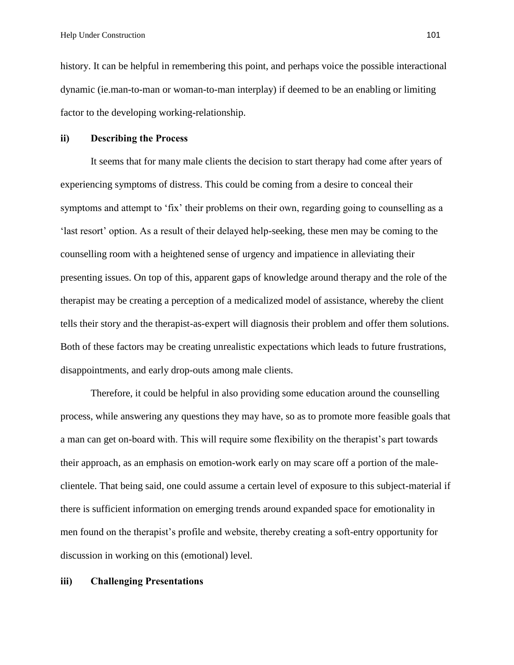history. It can be helpful in remembering this point, and perhaps voice the possible interactional dynamic (ie.man-to-man or woman-to-man interplay) if deemed to be an enabling or limiting factor to the developing working-relationship.

# **ii) Describing the Process**

It seems that for many male clients the decision to start therapy had come after years of experiencing symptoms of distress. This could be coming from a desire to conceal their symptoms and attempt to 'fix' their problems on their own, regarding going to counselling as a 'last resort' option. As a result of their delayed help-seeking, these men may be coming to the counselling room with a heightened sense of urgency and impatience in alleviating their presenting issues. On top of this, apparent gaps of knowledge around therapy and the role of the therapist may be creating a perception of a medicalized model of assistance, whereby the client tells their story and the therapist-as-expert will diagnosis their problem and offer them solutions. Both of these factors may be creating unrealistic expectations which leads to future frustrations, disappointments, and early drop-outs among male clients.

Therefore, it could be helpful in also providing some education around the counselling process, while answering any questions they may have, so as to promote more feasible goals that a man can get on-board with. This will require some flexibility on the therapist's part towards their approach, as an emphasis on emotion-work early on may scare off a portion of the maleclientele. That being said, one could assume a certain level of exposure to this subject-material if there is sufficient information on emerging trends around expanded space for emotionality in men found on the therapist's profile and website, thereby creating a soft-entry opportunity for discussion in working on this (emotional) level.

### **iii) Challenging Presentations**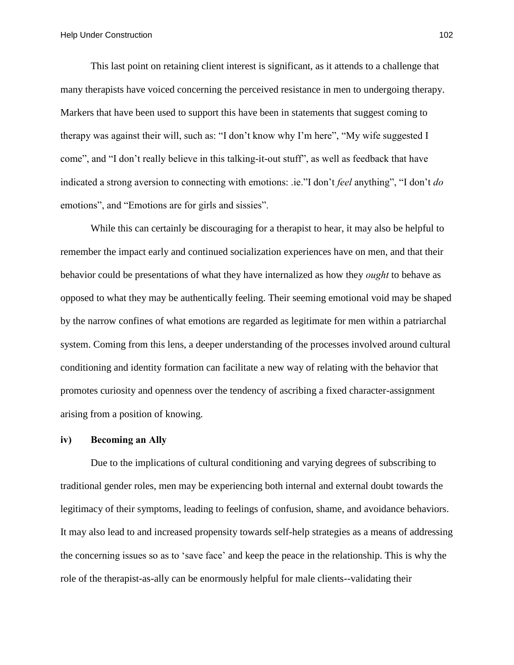This last point on retaining client interest is significant, as it attends to a challenge that many therapists have voiced concerning the perceived resistance in men to undergoing therapy. Markers that have been used to support this have been in statements that suggest coming to therapy was against their will, such as: "I don't know why I'm here", "My wife suggested I come", and "I don't really believe in this talking-it-out stuff", as well as feedback that have indicated a strong aversion to connecting with emotions: .ie."I don't *feel* anything", "I don't *do* emotions", and "Emotions are for girls and sissies".

While this can certainly be discouraging for a therapist to hear, it may also be helpful to remember the impact early and continued socialization experiences have on men, and that their behavior could be presentations of what they have internalized as how they *ought* to behave as opposed to what they may be authentically feeling. Their seeming emotional void may be shaped by the narrow confines of what emotions are regarded as legitimate for men within a patriarchal system. Coming from this lens, a deeper understanding of the processes involved around cultural conditioning and identity formation can facilitate a new way of relating with the behavior that promotes curiosity and openness over the tendency of ascribing a fixed character-assignment arising from a position of knowing.

## **iv) Becoming an Ally**

Due to the implications of cultural conditioning and varying degrees of subscribing to traditional gender roles, men may be experiencing both internal and external doubt towards the legitimacy of their symptoms, leading to feelings of confusion, shame, and avoidance behaviors. It may also lead to and increased propensity towards self-help strategies as a means of addressing the concerning issues so as to 'save face' and keep the peace in the relationship. This is why the role of the therapist-as-ally can be enormously helpful for male clients--validating their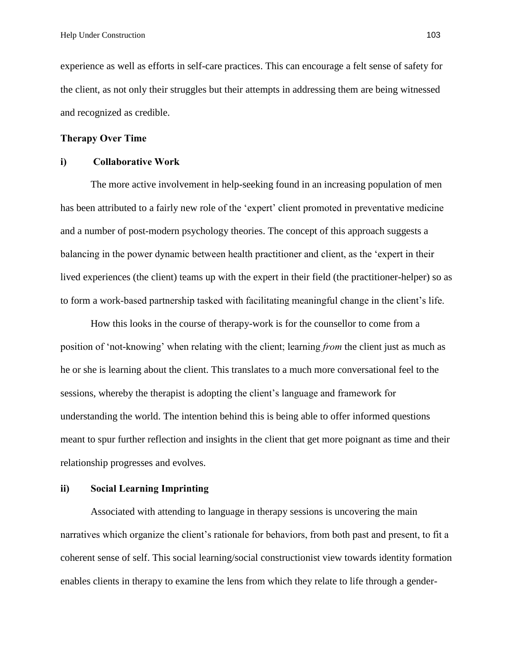experience as well as efforts in self-care practices. This can encourage a felt sense of safety for the client, as not only their struggles but their attempts in addressing them are being witnessed and recognized as credible.

# **Therapy Over Time**

### **i) Collaborative Work**

The more active involvement in help-seeking found in an increasing population of men has been attributed to a fairly new role of the 'expert' client promoted in preventative medicine and a number of post-modern psychology theories. The concept of this approach suggests a balancing in the power dynamic between health practitioner and client, as the 'expert in their lived experiences (the client) teams up with the expert in their field (the practitioner-helper) so as to form a work-based partnership tasked with facilitating meaningful change in the client's life.

How this looks in the course of therapy-work is for the counsellor to come from a position of 'not-knowing' when relating with the client; learning *from* the client just as much as he or she is learning about the client. This translates to a much more conversational feel to the sessions, whereby the therapist is adopting the client's language and framework for understanding the world. The intention behind this is being able to offer informed questions meant to spur further reflection and insights in the client that get more poignant as time and their relationship progresses and evolves.

# **ii) Social Learning Imprinting**

Associated with attending to language in therapy sessions is uncovering the main narratives which organize the client's rationale for behaviors, from both past and present, to fit a coherent sense of self. This social learning/social constructionist view towards identity formation enables clients in therapy to examine the lens from which they relate to life through a gender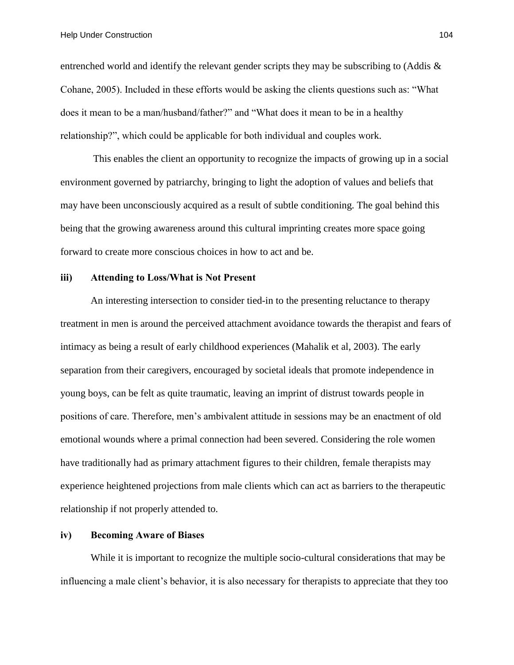entrenched world and identify the relevant gender scripts they may be subscribing to (Addis  $\&$ Cohane, 2005). Included in these efforts would be asking the clients questions such as: "What does it mean to be a man/husband/father?" and "What does it mean to be in a healthy relationship?", which could be applicable for both individual and couples work.

This enables the client an opportunity to recognize the impacts of growing up in a social environment governed by patriarchy, bringing to light the adoption of values and beliefs that may have been unconsciously acquired as a result of subtle conditioning. The goal behind this being that the growing awareness around this cultural imprinting creates more space going forward to create more conscious choices in how to act and be.

# **iii) Attending to Loss/What is Not Present**

An interesting intersection to consider tied-in to the presenting reluctance to therapy treatment in men is around the perceived attachment avoidance towards the therapist and fears of intimacy as being a result of early childhood experiences (Mahalik et al, 2003). The early separation from their caregivers, encouraged by societal ideals that promote independence in young boys, can be felt as quite traumatic, leaving an imprint of distrust towards people in positions of care. Therefore, men's ambivalent attitude in sessions may be an enactment of old emotional wounds where a primal connection had been severed. Considering the role women have traditionally had as primary attachment figures to their children, female therapists may experience heightened projections from male clients which can act as barriers to the therapeutic relationship if not properly attended to.

# **iv) Becoming Aware of Biases**

While it is important to recognize the multiple socio-cultural considerations that may be influencing a male client's behavior, it is also necessary for therapists to appreciate that they too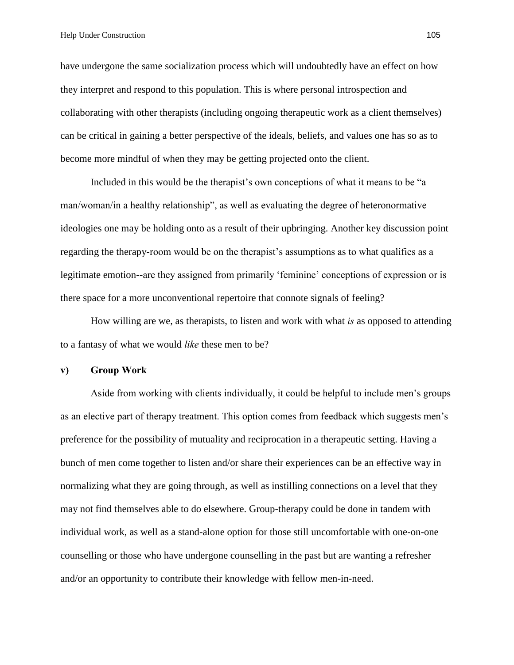have undergone the same socialization process which will undoubtedly have an effect on how they interpret and respond to this population. This is where personal introspection and collaborating with other therapists (including ongoing therapeutic work as a client themselves) can be critical in gaining a better perspective of the ideals, beliefs, and values one has so as to become more mindful of when they may be getting projected onto the client.

Included in this would be the therapist's own conceptions of what it means to be "a man/woman/in a healthy relationship", as well as evaluating the degree of heteronormative ideologies one may be holding onto as a result of their upbringing. Another key discussion point regarding the therapy-room would be on the therapist's assumptions as to what qualifies as a legitimate emotion--are they assigned from primarily 'feminine' conceptions of expression or is there space for a more unconventional repertoire that connote signals of feeling?

How willing are we, as therapists, to listen and work with what *is* as opposed to attending to a fantasy of what we would *like* these men to be?

### **v) Group Work**

Aside from working with clients individually, it could be helpful to include men's groups as an elective part of therapy treatment. This option comes from feedback which suggests men's preference for the possibility of mutuality and reciprocation in a therapeutic setting. Having a bunch of men come together to listen and/or share their experiences can be an effective way in normalizing what they are going through, as well as instilling connections on a level that they may not find themselves able to do elsewhere. Group-therapy could be done in tandem with individual work, as well as a stand-alone option for those still uncomfortable with one-on-one counselling or those who have undergone counselling in the past but are wanting a refresher and/or an opportunity to contribute their knowledge with fellow men-in-need.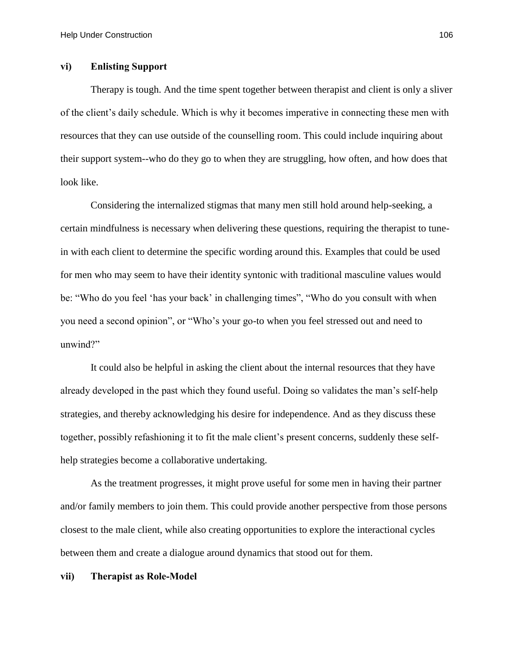# **vi) Enlisting Support**

Therapy is tough. And the time spent together between therapist and client is only a sliver of the client's daily schedule. Which is why it becomes imperative in connecting these men with resources that they can use outside of the counselling room. This could include inquiring about their support system--who do they go to when they are struggling, how often, and how does that look like.

Considering the internalized stigmas that many men still hold around help-seeking, a certain mindfulness is necessary when delivering these questions, requiring the therapist to tunein with each client to determine the specific wording around this. Examples that could be used for men who may seem to have their identity syntonic with traditional masculine values would be: "Who do you feel 'has your back' in challenging times", "Who do you consult with when you need a second opinion", or "Who's your go-to when you feel stressed out and need to unwind?"

It could also be helpful in asking the client about the internal resources that they have already developed in the past which they found useful. Doing so validates the man's self-help strategies, and thereby acknowledging his desire for independence. And as they discuss these together, possibly refashioning it to fit the male client's present concerns, suddenly these selfhelp strategies become a collaborative undertaking.

As the treatment progresses, it might prove useful for some men in having their partner and/or family members to join them. This could provide another perspective from those persons closest to the male client, while also creating opportunities to explore the interactional cycles between them and create a dialogue around dynamics that stood out for them.

**vii) Therapist as Role-Model**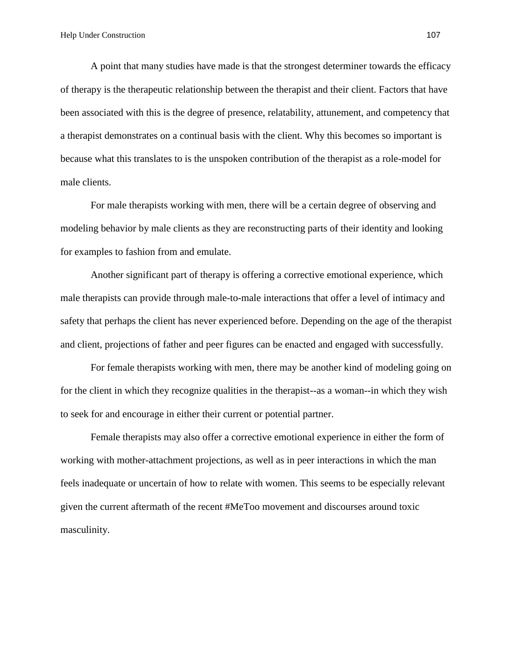A point that many studies have made is that the strongest determiner towards the efficacy of therapy is the therapeutic relationship between the therapist and their client. Factors that have been associated with this is the degree of presence, relatability, attunement, and competency that a therapist demonstrates on a continual basis with the client. Why this becomes so important is because what this translates to is the unspoken contribution of the therapist as a role-model for male clients.

For male therapists working with men, there will be a certain degree of observing and modeling behavior by male clients as they are reconstructing parts of their identity and looking for examples to fashion from and emulate.

Another significant part of therapy is offering a corrective emotional experience, which male therapists can provide through male-to-male interactions that offer a level of intimacy and safety that perhaps the client has never experienced before. Depending on the age of the therapist and client, projections of father and peer figures can be enacted and engaged with successfully.

For female therapists working with men, there may be another kind of modeling going on for the client in which they recognize qualities in the therapist--as a woman--in which they wish to seek for and encourage in either their current or potential partner.

Female therapists may also offer a corrective emotional experience in either the form of working with mother-attachment projections, as well as in peer interactions in which the man feels inadequate or uncertain of how to relate with women. This seems to be especially relevant given the current aftermath of the recent #MeToo movement and discourses around toxic masculinity.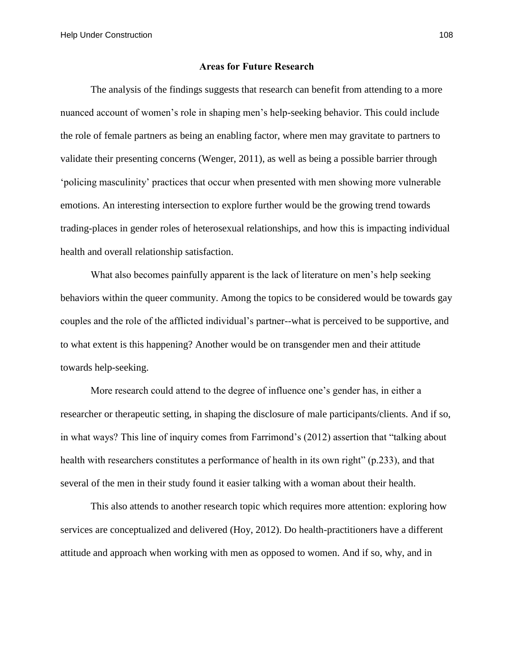#### **Areas for Future Research**

The analysis of the findings suggests that research can benefit from attending to a more nuanced account of women's role in shaping men's help-seeking behavior. This could include the role of female partners as being an enabling factor, where men may gravitate to partners to validate their presenting concerns (Wenger, 2011), as well as being a possible barrier through 'policing masculinity' practices that occur when presented with men showing more vulnerable emotions. An interesting intersection to explore further would be the growing trend towards trading-places in gender roles of heterosexual relationships, and how this is impacting individual health and overall relationship satisfaction.

What also becomes painfully apparent is the lack of literature on men's help seeking behaviors within the queer community. Among the topics to be considered would be towards gay couples and the role of the afflicted individual's partner--what is perceived to be supportive, and to what extent is this happening? Another would be on transgender men and their attitude towards help-seeking.

More research could attend to the degree of influence one's gender has, in either a researcher or therapeutic setting, in shaping the disclosure of male participants/clients. And if so, in what ways? This line of inquiry comes from Farrimond's (2012) assertion that "talking about health with researchers constitutes a performance of health in its own right" (p.233), and that several of the men in their study found it easier talking with a woman about their health.

This also attends to another research topic which requires more attention: exploring how services are conceptualized and delivered (Hoy, 2012). Do health-practitioners have a different attitude and approach when working with men as opposed to women. And if so, why, and in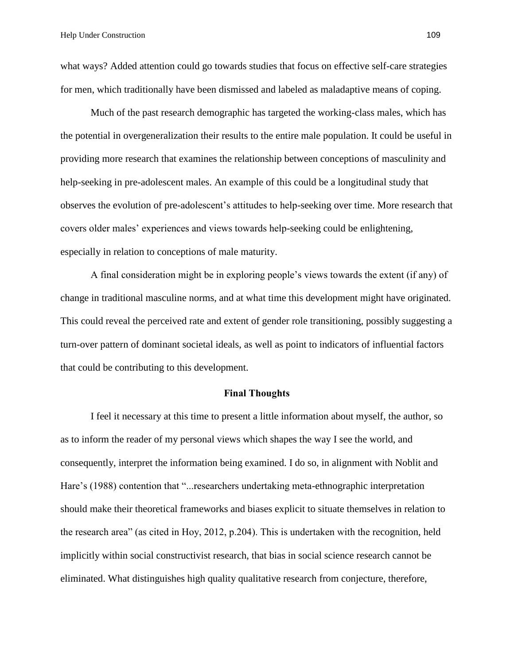what ways? Added attention could go towards studies that focus on effective self-care strategies for men, which traditionally have been dismissed and labeled as maladaptive means of coping.

Much of the past research demographic has targeted the working-class males, which has the potential in overgeneralization their results to the entire male population. It could be useful in providing more research that examines the relationship between conceptions of masculinity and help-seeking in pre-adolescent males. An example of this could be a longitudinal study that observes the evolution of pre-adolescent's attitudes to help-seeking over time. More research that covers older males' experiences and views towards help-seeking could be enlightening, especially in relation to conceptions of male maturity.

A final consideration might be in exploring people's views towards the extent (if any) of change in traditional masculine norms, and at what time this development might have originated. This could reveal the perceived rate and extent of gender role transitioning, possibly suggesting a turn-over pattern of dominant societal ideals, as well as point to indicators of influential factors that could be contributing to this development.

#### **Final Thoughts**

I feel it necessary at this time to present a little information about myself, the author, so as to inform the reader of my personal views which shapes the way I see the world, and consequently, interpret the information being examined. I do so, in alignment with Noblit and Hare's (1988) contention that "...researchers undertaking meta-ethnographic interpretation should make their theoretical frameworks and biases explicit to situate themselves in relation to the research area" (as cited in Hoy, 2012, p.204). This is undertaken with the recognition, held implicitly within social constructivist research, that bias in social science research cannot be eliminated. What distinguishes high quality qualitative research from conjecture, therefore,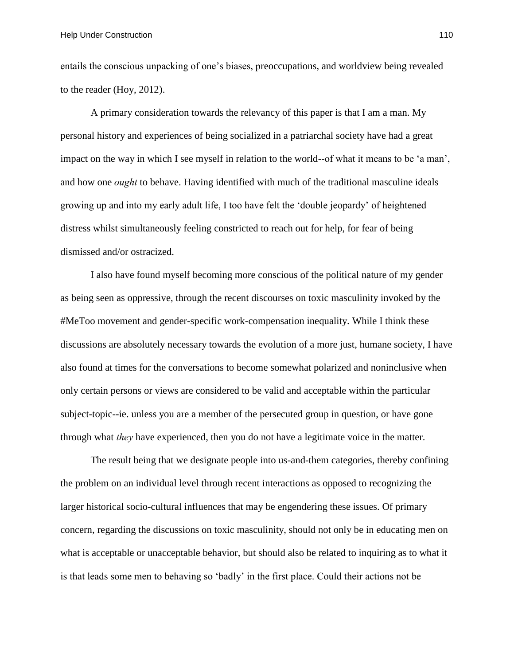entails the conscious unpacking of one's biases, preoccupations, and worldview being revealed to the reader (Hoy, 2012).

A primary consideration towards the relevancy of this paper is that I am a man. My personal history and experiences of being socialized in a patriarchal society have had a great impact on the way in which I see myself in relation to the world--of what it means to be 'a man', and how one *ought* to behave. Having identified with much of the traditional masculine ideals growing up and into my early adult life, I too have felt the 'double jeopardy' of heightened distress whilst simultaneously feeling constricted to reach out for help, for fear of being dismissed and/or ostracized.

I also have found myself becoming more conscious of the political nature of my gender as being seen as oppressive, through the recent discourses on toxic masculinity invoked by the #MeToo movement and gender-specific work-compensation inequality. While I think these discussions are absolutely necessary towards the evolution of a more just, humane society, I have also found at times for the conversations to become somewhat polarized and noninclusive when only certain persons or views are considered to be valid and acceptable within the particular subject-topic--ie. unless you are a member of the persecuted group in question, or have gone through what *they* have experienced, then you do not have a legitimate voice in the matter.

The result being that we designate people into us-and-them categories, thereby confining the problem on an individual level through recent interactions as opposed to recognizing the larger historical socio-cultural influences that may be engendering these issues. Of primary concern, regarding the discussions on toxic masculinity, should not only be in educating men on what is acceptable or unacceptable behavior, but should also be related to inquiring as to what it is that leads some men to behaving so 'badly' in the first place. Could their actions not be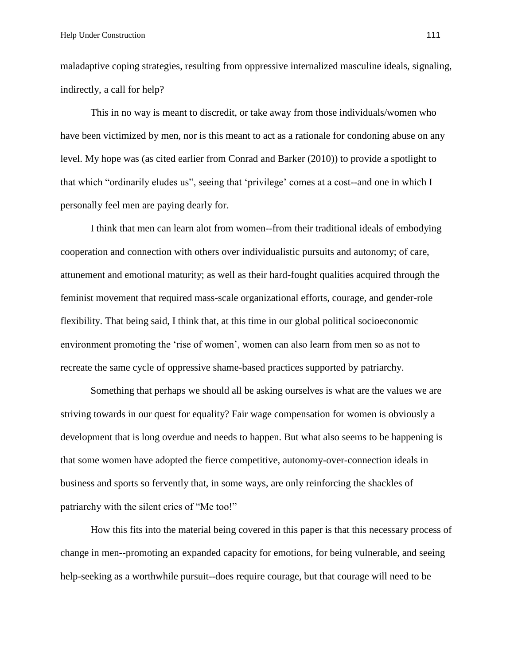maladaptive coping strategies, resulting from oppressive internalized masculine ideals, signaling, indirectly, a call for help?

This in no way is meant to discredit, or take away from those individuals/women who have been victimized by men, nor is this meant to act as a rationale for condoning abuse on any level. My hope was (as cited earlier from Conrad and Barker (2010)) to provide a spotlight to that which "ordinarily eludes us", seeing that 'privilege' comes at a cost--and one in which I personally feel men are paying dearly for.

I think that men can learn alot from women--from their traditional ideals of embodying cooperation and connection with others over individualistic pursuits and autonomy; of care, attunement and emotional maturity; as well as their hard-fought qualities acquired through the feminist movement that required mass-scale organizational efforts, courage, and gender-role flexibility. That being said, I think that, at this time in our global political socioeconomic environment promoting the 'rise of women', women can also learn from men so as not to recreate the same cycle of oppressive shame-based practices supported by patriarchy.

Something that perhaps we should all be asking ourselves is what are the values we are striving towards in our quest for equality? Fair wage compensation for women is obviously a development that is long overdue and needs to happen. But what also seems to be happening is that some women have adopted the fierce competitive, autonomy-over-connection ideals in business and sports so fervently that, in some ways, are only reinforcing the shackles of patriarchy with the silent cries of "Me too!"

How this fits into the material being covered in this paper is that this necessary process of change in men--promoting an expanded capacity for emotions, for being vulnerable, and seeing help-seeking as a worthwhile pursuit--does require courage, but that courage will need to be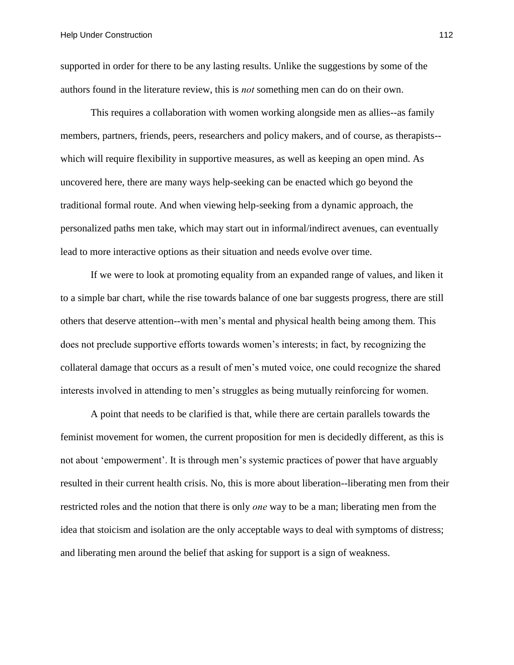supported in order for there to be any lasting results. Unlike the suggestions by some of the authors found in the literature review, this is *not* something men can do on their own.

This requires a collaboration with women working alongside men as allies--as family members, partners, friends, peers, researchers and policy makers, and of course, as therapists- which will require flexibility in supportive measures, as well as keeping an open mind. As uncovered here, there are many ways help-seeking can be enacted which go beyond the traditional formal route. And when viewing help-seeking from a dynamic approach, the personalized paths men take, which may start out in informal/indirect avenues, can eventually lead to more interactive options as their situation and needs evolve over time.

If we were to look at promoting equality from an expanded range of values, and liken it to a simple bar chart, while the rise towards balance of one bar suggests progress, there are still others that deserve attention--with men's mental and physical health being among them. This does not preclude supportive efforts towards women's interests; in fact, by recognizing the collateral damage that occurs as a result of men's muted voice, one could recognize the shared interests involved in attending to men's struggles as being mutually reinforcing for women.

A point that needs to be clarified is that, while there are certain parallels towards the feminist movement for women, the current proposition for men is decidedly different, as this is not about 'empowerment'. It is through men's systemic practices of power that have arguably resulted in their current health crisis. No, this is more about liberation--liberating men from their restricted roles and the notion that there is only *one* way to be a man; liberating men from the idea that stoicism and isolation are the only acceptable ways to deal with symptoms of distress; and liberating men around the belief that asking for support is a sign of weakness.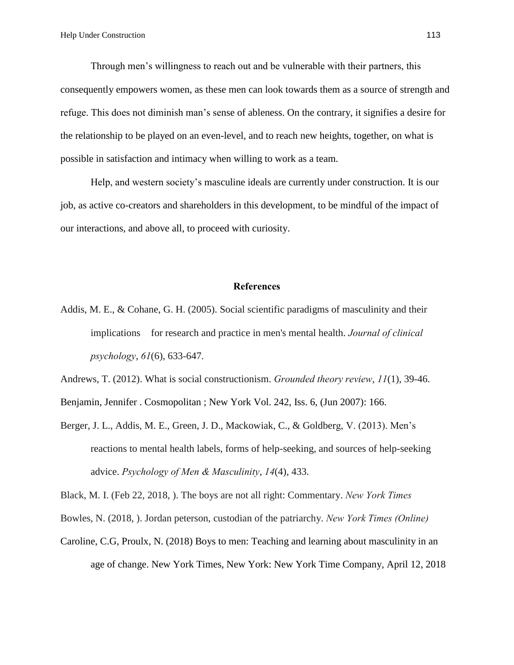Through men's willingness to reach out and be vulnerable with their partners, this consequently empowers women, as these men can look towards them as a source of strength and refuge. This does not diminish man's sense of ableness. On the contrary, it signifies a desire for the relationship to be played on an even-level, and to reach new heights, together, on what is possible in satisfaction and intimacy when willing to work as a team.

Help, and western society's masculine ideals are currently under construction. It is our job, as active co-creators and shareholders in this development, to be mindful of the impact of our interactions, and above all, to proceed with curiosity.

### **References**

Addis, M. E., & Cohane, G. H. (2005). Social scientific paradigms of masculinity and their implications for research and practice in men's mental health. *Journal of clinical psychology*, *61*(6), 633-647.

Andrews, T. (2012). What is social constructionism. *Grounded theory review*, *11*(1), 39-46.

Benjamin, Jennifer . Cosmopolitan ; New York Vol. 242, Iss. 6, (Jun 2007): 166.

Berger, J. L., Addis, M. E., Green, J. D., Mackowiak, C., & Goldberg, V. (2013). Men's reactions to mental health labels, forms of help-seeking, and sources of help-seeking advice. *Psychology of Men & Masculinity*, *14*(4), 433.

Black, M. I. (Feb 22, 2018, ). The boys are not all right: Commentary. *New York Times*

Bowles, N. (2018, ). Jordan peterson, custodian of the patriarchy. *New York Times (Online)*

Caroline, C.G, Proulx, N. (2018) Boys to men: Teaching and learning about masculinity in an age of change. New York Times, New York: New York Time Company, April 12, 2018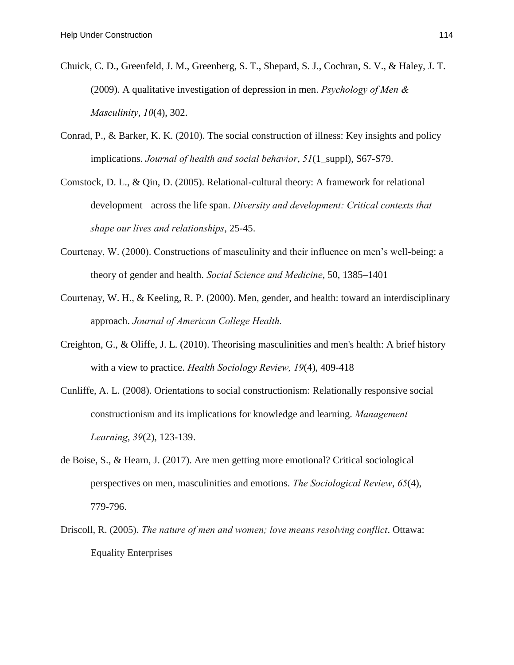- Chuick, C. D., Greenfeld, J. M., Greenberg, S. T., Shepard, S. J., Cochran, S. V., & Haley, J. T. (2009). A qualitative investigation of depression in men. *Psychology of Men & Masculinity*, *10*(4), 302.
- Conrad, P., & Barker, K. K. (2010). The social construction of illness: Key insights and policy implications. *Journal of health and social behavior*, *51*(1\_suppl), S67-S79.
- Comstock, D. L., & Qin, D. (2005). Relational-cultural theory: A framework for relational development across the life span. *Diversity and development: Critical contexts that shape our lives and relationships*, 25-45.
- Courtenay, W. (2000). Constructions of masculinity and their influence on men's well-being: a theory of gender and health. *Social Science and Medicine*, 50, 1385–1401
- Courtenay, W. H., & Keeling, R. P. (2000). Men, gender, and health: toward an interdisciplinary approach. *Journal of American College Health.*
- Creighton, G., & Oliffe, J. L. (2010). Theorising masculinities and men's health: A brief history with a view to practice. *Health Sociology Review, 19*(4), 409-418
- Cunliffe, A. L. (2008). Orientations to social constructionism: Relationally responsive social constructionism and its implications for knowledge and learning. *Management Learning*, *39*(2), 123-139.
- de Boise, S., & Hearn, J. (2017). Are men getting more emotional? Critical sociological perspectives on men, masculinities and emotions. *The Sociological Review*, *65*(4), 779-796.
- Driscoll, R. (2005). *The nature of men and women; love means resolving conflict*. Ottawa: Equality Enterprises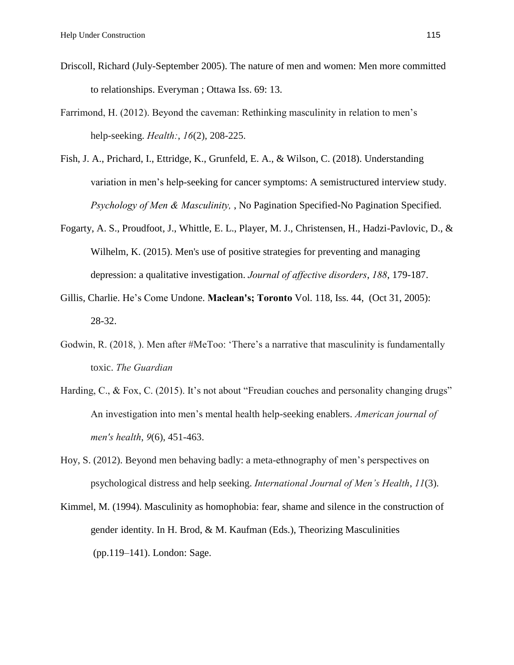- Driscoll, Richard (July-September 2005). The nature of men and women: Men more committed to relationships. Everyman ; Ottawa Iss. 69: 13.
- Farrimond, H. (2012). Beyond the caveman: Rethinking masculinity in relation to men's help-seeking. *Health:*, *16*(2), 208-225.
- Fish, J. A., Prichard, I., Ettridge, K., Grunfeld, E. A., & Wilson, C. (2018). Understanding variation in men's help-seeking for cancer symptoms: A semistructured interview study. *Psychology of Men & Masculinity,* , No Pagination Specified-No Pagination Specified.
- Fogarty, A. S., Proudfoot, J., Whittle, E. L., Player, M. J., Christensen, H., Hadzi-Pavlovic, D., & Wilhelm, K. (2015). Men's use of positive strategies for preventing and managing depression: a qualitative investigation. *Journal of affective disorders*, *188*, 179-187.
- Gillis, Charlie. He's Come Undone. **Maclean's; Toronto** Vol. 118, Iss. 44, (Oct 31, 2005): 28-32.
- Godwin, R. (2018, ). Men after #MeToo: 'There's a narrative that masculinity is fundamentally toxic. *The Guardian*
- Harding, C., & Fox, C. (2015). It's not about "Freudian couches and personality changing drugs" An investigation into men's mental health help-seeking enablers. *American journal of men's health*, *9*(6), 451-463.
- Hoy, S. (2012). Beyond men behaving badly: a meta-ethnography of men's perspectives on psychological distress and help seeking. *International Journal of Men's Health*, *11*(3).
- Kimmel, M. (1994). Masculinity as homophobia: fear, shame and silence in the construction of gender identity. In H. Brod, & M. Kaufman (Eds.), Theorizing Masculinities (pp.119–141). London: Sage.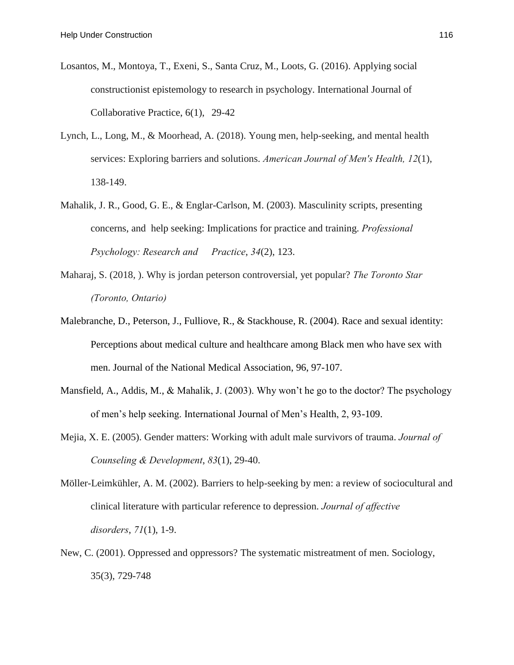- Losantos, M., Montoya, T., Exeni, S., Santa Cruz, M., Loots, G. (2016). Applying social constructionist epistemology to research in psychology. International Journal of Collaborative Practice, 6(1), 29-42
- Lynch, L., Long, M., & Moorhead, A. (2018). Young men, help-seeking, and mental health services: Exploring barriers and solutions. *American Journal of Men's Health, 12*(1), 138-149.
- Mahalik, J. R., Good, G. E., & Englar-Carlson, M. (2003). Masculinity scripts, presenting concerns, and help seeking: Implications for practice and training. *Professional Psychology: Research and Practice*, *34*(2), 123.
- Maharaj, S. (2018, ). Why is jordan peterson controversial, yet popular? *The Toronto Star (Toronto, Ontario)*
- Malebranche, D., Peterson, J., Fulliove, R., & Stackhouse, R. (2004). Race and sexual identity: Perceptions about medical culture and healthcare among Black men who have sex with men. Journal of the National Medical Association, 96, 97-107.
- Mansfield, A., Addis, M., & Mahalik, J. (2003). Why won't he go to the doctor? The psychology of men's help seeking. International Journal of Men's Health, 2, 93-109.
- Mejia, X. E. (2005). Gender matters: Working with adult male survivors of trauma. *Journal of Counseling & Development*, *83*(1), 29-40.
- Möller-Leimkühler, A. M. (2002). Barriers to help-seeking by men: a review of sociocultural and clinical literature with particular reference to depression. *Journal of affective disorders*, *71*(1), 1-9.
- New, C. (2001). Oppressed and oppressors? The systematic mistreatment of men. Sociology, 35(3), 729-748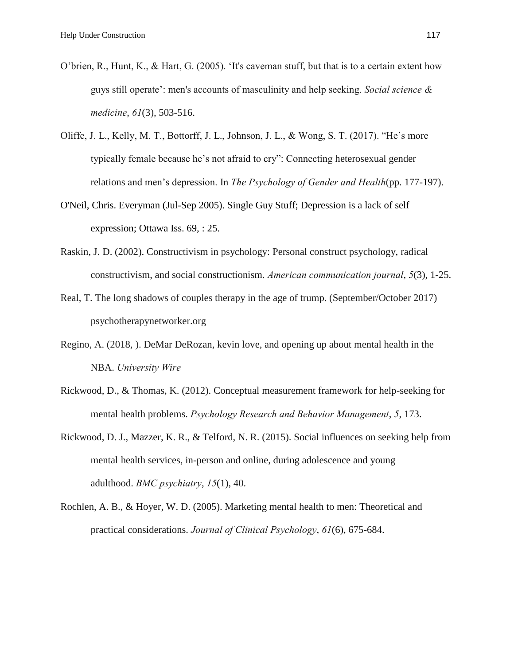- O'brien, R., Hunt, K., & Hart, G. (2005). 'It's caveman stuff, but that is to a certain extent how guys still operate': men's accounts of masculinity and help seeking. *Social science & medicine*, *61*(3), 503-516.
- Oliffe, J. L., Kelly, M. T., Bottorff, J. L., Johnson, J. L., & Wong, S. T. (2017). "He's more typically female because he's not afraid to cry": Connecting heterosexual gender relations and men's depression. In *The Psychology of Gender and Health*(pp. 177-197).
- O'Neil, Chris. Everyman (Jul-Sep 2005). Single Guy Stuff; Depression is a lack of self expression; Ottawa Iss. 69, : 25.
- Raskin, J. D. (2002). Constructivism in psychology: Personal construct psychology, radical constructivism, and social constructionism. *American communication journal*, *5*(3), 1-25.
- Real, T. The long shadows of couples therapy in the age of trump. (September/October 2017) psychotherapynetworker.org
- Regino, A. (2018, ). DeMar DeRozan, kevin love, and opening up about mental health in the NBA. *University Wire*
- Rickwood, D., & Thomas, K. (2012). Conceptual measurement framework for help-seeking for mental health problems. *Psychology Research and Behavior Management*, *5*, 173.
- Rickwood, D. J., Mazzer, K. R., & Telford, N. R. (2015). Social influences on seeking help from mental health services, in-person and online, during adolescence and young adulthood. *BMC psychiatry*, *15*(1), 40.
- Rochlen, A. B., & Hoyer, W. D. (2005). Marketing mental health to men: Theoretical and practical considerations. *Journal of Clinical Psychology*, *61*(6), 675-684.